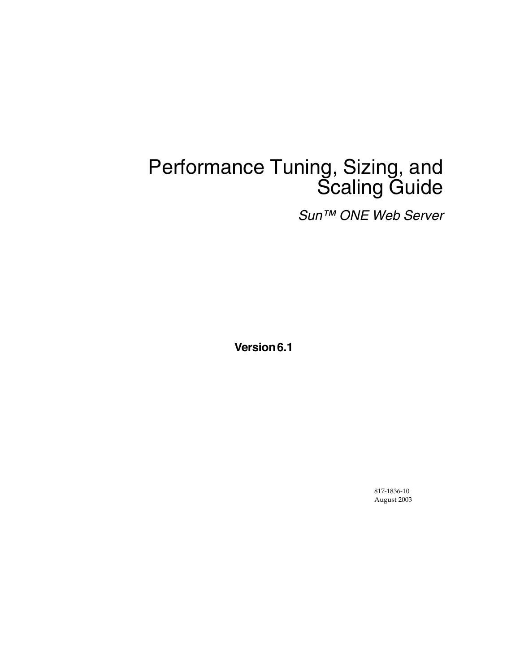# Performance Tuning, Sizing, and Scaling Guide

*Sun™ ONE Web Server*

**Version 6.1**

817-1836-10 August 2003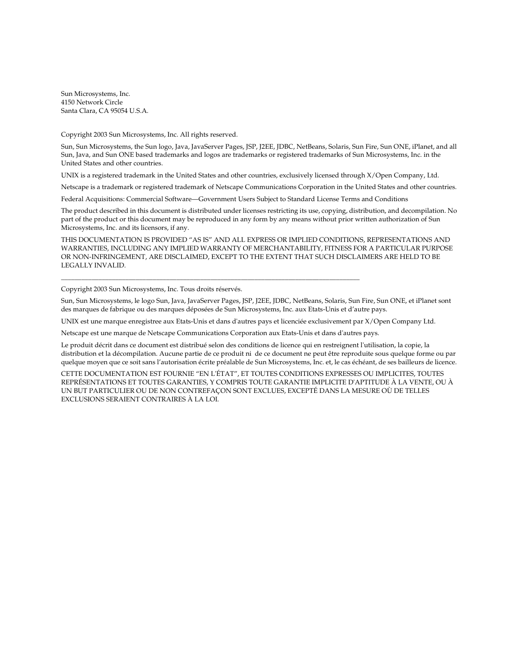Sun Microsystems, Inc. 4150 Network Circle Santa Clara, CA 95054 U.S.A.

Copyright 2003 Sun Microsystems, Inc. All rights reserved.

Sun, Sun Microsystems, the Sun logo, Java, JavaServer Pages, JSP, J2EE, JDBC, NetBeans, Solaris, Sun Fire, Sun ONE, iPlanet, and all Sun, Java, and Sun ONE based trademarks and logos are trademarks or registered trademarks of Sun Microsystems, Inc. in the United States and other countries.

UNIX is a registered trademark in the United States and other countries, exclusively licensed through X/Open Company, Ltd.

Netscape is a trademark or registered trademark of Netscape Communications Corporation in the United States and other countries.

Federal Acquisitions: Commercial Software—Government Users Subject to Standard License Terms and Conditions

The product described in this document is distributed under licenses restricting its use, copying, distribution, and decompilation. No part of the product or this document may be reproduced in any form by any means without prior written authorization of Sun Microsystems, Inc. and its licensors, if any.

THIS DOCUMENTATION IS PROVIDED "AS IS" AND ALL EXPRESS OR IMPLIED CONDITIONS, REPRESENTATIONS AND WARRANTIES, INCLUDING ANY IMPLIED WARRANTY OF MERCHANTABILITY, FITNESS FOR A PARTICULAR PURPOSE OR NON-INFRINGEMENT, ARE DISCLAIMED, EXCEPT TO THE EXTENT THAT SUCH DISCLAIMERS ARE HELD TO BE LEGALLY INVALID.

Copyright 2003 Sun Microsystems, Inc. Tous droits réservés.

Sun, Sun Microsystems, le logo Sun, Java, JavaServer Pages, JSP, J2EE, JDBC, NetBeans, Solaris, Sun Fire, Sun ONE, et iPlanet sont des marques de fabrique ou des marques déposées de Sun Microsystems, Inc. aux Etats-Unis et d'autre pays.

UNIX est une marque enregistree aux Etats-Unis et dans d'autres pays et licenciée exclusivement par X/Open Company Ltd.

Netscape est une marque de Netscape Communications Corporation aux Etats-Unis et dans d'autres pays.

\_\_\_\_\_\_\_\_\_\_\_\_\_\_\_\_\_\_\_\_\_\_\_\_\_\_\_\_\_\_\_\_\_\_\_\_\_\_\_\_\_\_\_\_\_\_\_\_\_\_\_\_\_\_\_\_\_\_\_\_\_\_\_\_\_\_\_\_\_\_\_\_\_\_\_\_\_\_\_\_\_\_\_\_\_\_\_\_

Le produit décrit dans ce document est distribué selon des conditions de licence qui en restreignent l'utilisation, la copie, la distribution et la décompilation. Aucune partie de ce produit ni de ce document ne peut être reproduite sous quelque forme ou par quelque moyen que ce soit sans l'autorisation écrite préalable de Sun Microsystems, Inc. et, le cas échéant, de ses bailleurs de licence.

CETTE DOCUMENTATION EST FOURNIE "EN L'ÉTAT", ET TOUTES CONDITIONS EXPRESSES OU IMPLICITES, TOUTES REPRÉSENTATIONS ET TOUTES GARANTIES, Y COMPRIS TOUTE GARANTIE IMPLICITE D'APTITUDE À LA VENTE, OU À UN BUT PARTICULIER OU DE NON CONTREFAÇON SONT EXCLUES, EXCEPTÉ DANS LA MESURE OÙ DE TELLES EXCLUSIONS SERAIENT CONTRAIRES À LA LOI.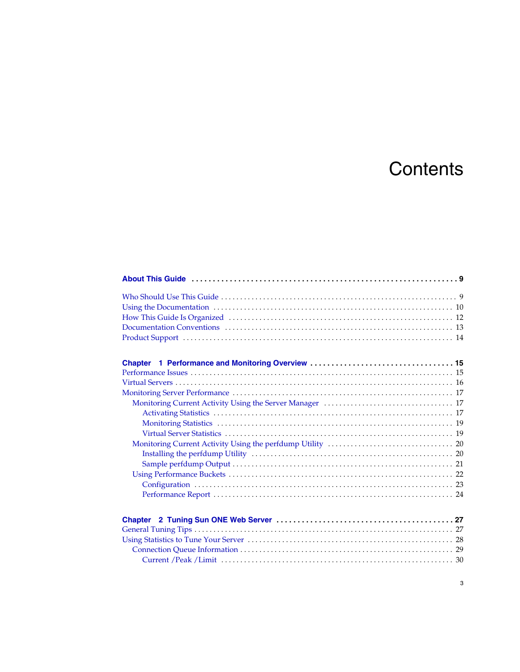# **Contents**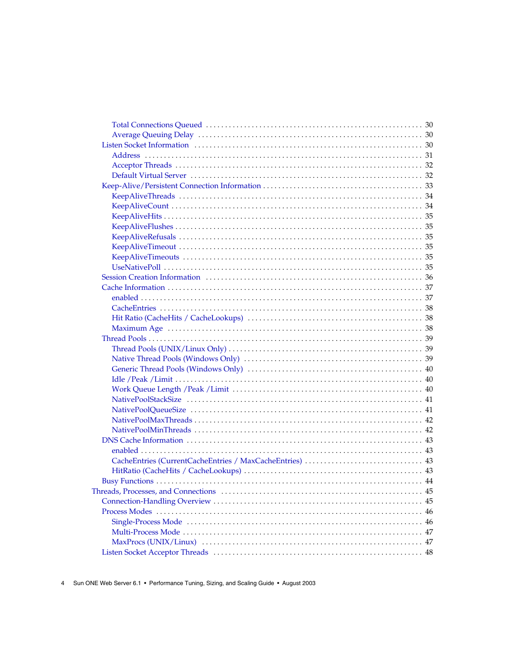| CacheEntries (CurrentCacheEntries / MaxCacheEntries)  43 |  |
|----------------------------------------------------------|--|
|                                                          |  |
|                                                          |  |
|                                                          |  |
|                                                          |  |
|                                                          |  |
|                                                          |  |
|                                                          |  |
|                                                          |  |
|                                                          |  |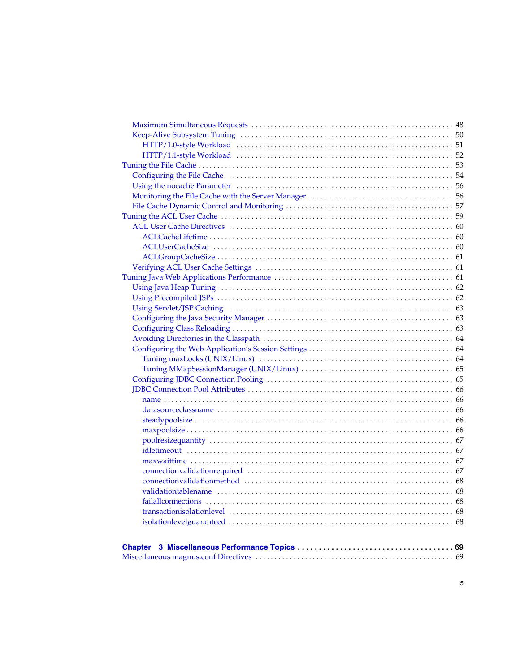| Using the nocache Parameter (and according to the non- |  |
|--------------------------------------------------------|--|
|                                                        |  |
|                                                        |  |
|                                                        |  |
|                                                        |  |
|                                                        |  |
|                                                        |  |
|                                                        |  |
|                                                        |  |
|                                                        |  |
|                                                        |  |
|                                                        |  |
|                                                        |  |
|                                                        |  |
|                                                        |  |
|                                                        |  |
|                                                        |  |
|                                                        |  |
|                                                        |  |
|                                                        |  |
|                                                        |  |
|                                                        |  |
|                                                        |  |
|                                                        |  |
|                                                        |  |
|                                                        |  |
|                                                        |  |
|                                                        |  |
|                                                        |  |
|                                                        |  |
|                                                        |  |
|                                                        |  |
|                                                        |  |
|                                                        |  |
|                                                        |  |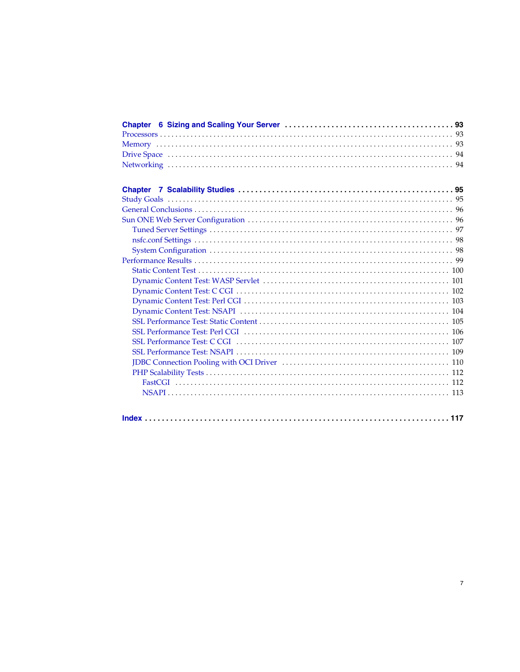|--|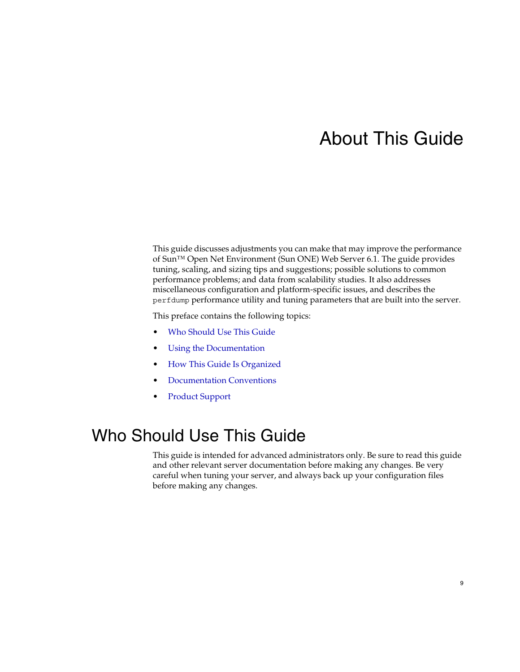# About This Guide

<span id="page-8-0"></span>This guide discusses adjustments you can make that may improve the performance of Sun™ Open Net Environment (Sun ONE) Web Server 6.1. The guide provides tuning, scaling, and sizing tips and suggestions; possible solutions to common performance problems; and data from scalability studies. It also addresses miscellaneous configuration and platform-specific issues, and describes the perfdump performance utility and tuning parameters that are built into the server.

This preface contains the following topics:

- [Who Should Use This Guide](#page-8-1)
- [Using the Documentation](#page-9-0)
- [How This Guide Is Organized](#page-11-0)
- [Documentation Conventions](#page-12-0)
- [Product Support](#page-13-0)

# <span id="page-8-1"></span>Who Should Use This Guide

This guide is intended for advanced administrators only. Be sure to read this guide and other relevant server documentation before making any changes. Be very careful when tuning your server, and always back up your configuration files before making any changes.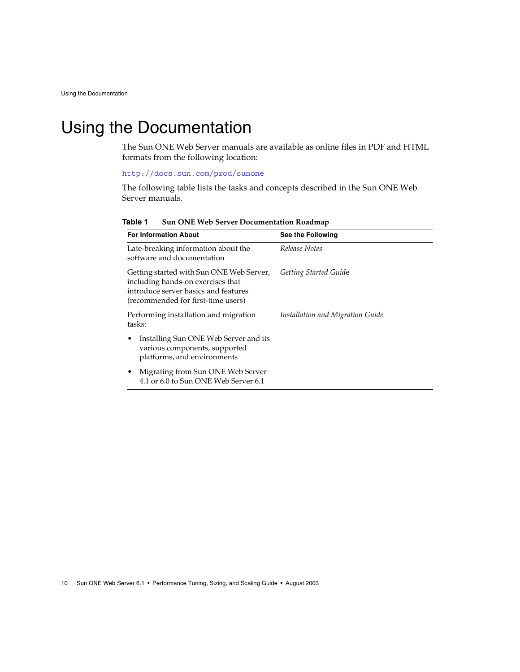# <span id="page-9-0"></span>Using the Documentation

The Sun ONE Web Server manuals are available as online files in PDF and HTML formats from the following location:

<http://docs.sun.com/prod/sunone>

The following table lists the tasks and concepts described in the Sun ONE Web Server manuals.

| <b>For Information About</b>                                                                                                                                | See the Following                |
|-------------------------------------------------------------------------------------------------------------------------------------------------------------|----------------------------------|
| Late-breaking information about the<br>software and documentation                                                                                           | Release Notes                    |
| Getting started with Sun ONE Web Server,<br>including hands-on exercises that<br>introduce server basics and features<br>(recommended for first-time users) | <b>Getting Started Guide</b>     |
| Performing installation and migration<br>tasks:                                                                                                             | Installation and Migration Guide |
| Installing Sun ONE Web Server and its<br>various components, supported<br>platforms, and environments                                                       |                                  |
| Migrating from Sun ONE Web Server<br>٠<br>4.1 or 6.0 to Sun ONE Web Server 6.1                                                                              |                                  |

#### **Table 1 Sun ONE Web Server Documentation Roadmap**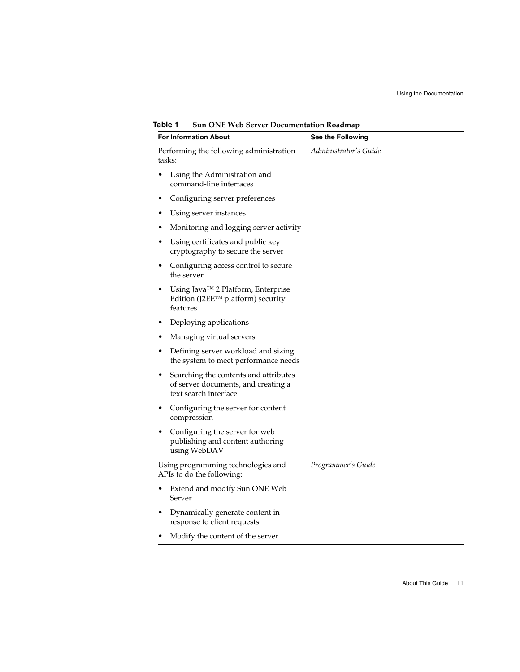| <b>For Information About</b>                                                                          | See the Following     |
|-------------------------------------------------------------------------------------------------------|-----------------------|
| Performing the following administration<br>tasks:                                                     | Administrator's Guide |
| Using the Administration and<br>command-line interfaces                                               |                       |
| Configuring server preferences                                                                        |                       |
| Using server instances                                                                                |                       |
| Monitoring and logging server activity                                                                |                       |
| Using certificates and public key<br>cryptography to secure the server                                |                       |
| Configuring access control to secure<br>the server                                                    |                       |
| Using Java™ 2 Platform, Enterprise<br>Edition (J2EE™ platform) security<br>features                   |                       |
| Deploying applications                                                                                |                       |
| Managing virtual servers                                                                              |                       |
| Defining server workload and sizing<br>the system to meet performance needs                           |                       |
| Searching the contents and attributes<br>of server documents, and creating a<br>text search interface |                       |
| Configuring the server for content<br>compression                                                     |                       |
| Configuring the server for web<br>publishing and content authoring<br>using WebDAV                    |                       |
| Using programming technologies and<br>APIs to do the following:                                       | Programmer's Guide    |
| Extend and modify Sun ONE Web<br>Server                                                               |                       |
| Dynamically generate content in<br>response to client requests                                        |                       |
| Modify the content of the server                                                                      |                       |

| Table 1<br><b>Sun ONE Web Server Documentation Roadmap</b> |  |
|------------------------------------------------------------|--|
|------------------------------------------------------------|--|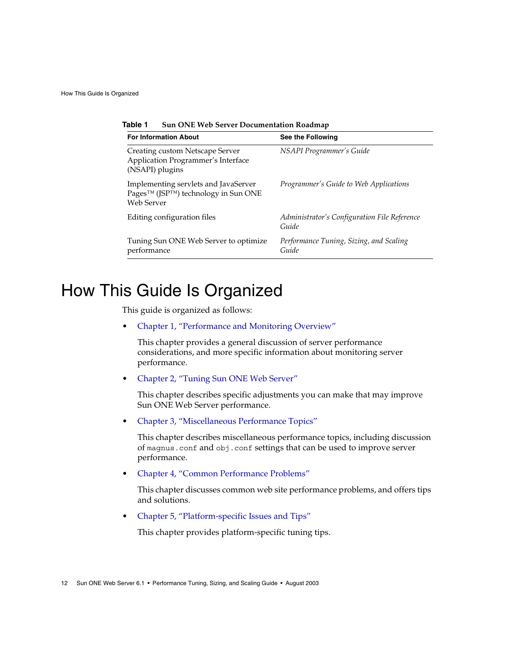| <b>For Information About</b>                                                                          | See the Following                                     |
|-------------------------------------------------------------------------------------------------------|-------------------------------------------------------|
| Creating custom Netscape Server<br>Application Programmer's Interface<br>(NSAPI) plugins              | NSAPI Programmer's Guide                              |
| Implementing servlets and JavaServer<br>Pages <sup>™</sup> (JSP™) technology in Sun ONE<br>Web Server | <i>Programmer's Guide to Web Applications</i>         |
| Editing configuration files                                                                           | Administrator's Configuration File Reference<br>Guide |
| Tuning Sun ONE Web Server to optimize<br>performance                                                  | Performance Tuning, Sizing, and Scaling<br>Guide      |

**Table 1 Sun ONE Web Server Documentation Roadmap**

# <span id="page-11-0"></span>How This Guide Is Organized

This guide is organized as follows:

• [Chapter 1, "Performance and Monitoring Overview"](#page-14-3)

This chapter provides a general discussion of server performance considerations, and more specific information about monitoring server performance.

• [Chapter 2, "Tuning Sun ONE Web Server"](#page-26-3)

This chapter describes specific adjustments you can make that may improve Sun ONE Web Server performance.

• [Chapter 3, "Miscellaneous Performance Topics"](#page-68-3)

This chapter describes miscellaneous performance topics, including discussion of magnus.conf and obj.conf settings that can be used to improve server performance.

• [Chapter 4, "Common Performance Problems"](#page-78-3)

This chapter discusses common web site performance problems, and offers tips and solutions.

• [Chapter 5, "Platform-specific Issues and Tips"](#page-82-4)

This chapter provides platform-specific tuning tips.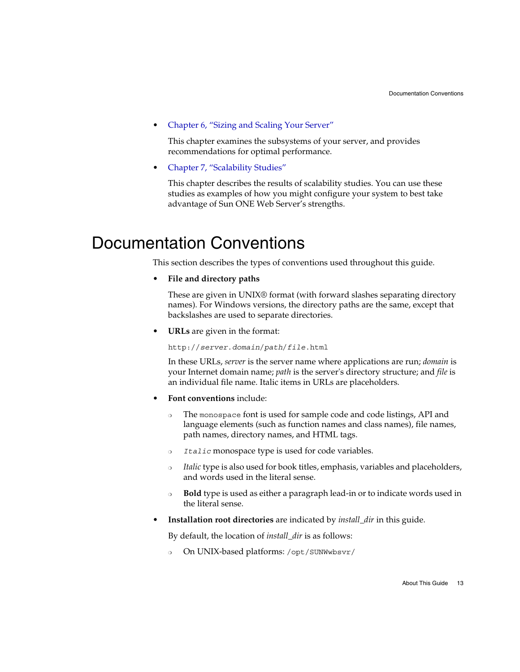#### • [Chapter 6, "Sizing and Scaling Your Server"](#page-92-4)

This chapter examines the subsystems of your server, and provides recommendations for optimal performance.

• [Chapter 7, "Scalability Studies"](#page-94-3)

This chapter describes the results of scalability studies. You can use these studies as examples of how you might configure your system to best take advantage of Sun ONE Web Server's strengths.

# <span id="page-12-0"></span>Documentation Conventions

This section describes the types of conventions used throughout this guide.

**• File and directory paths**

These are given in UNIX® format (with forward slashes separating directory names). For Windows versions, the directory paths are the same, except that backslashes are used to separate directories.

• **URLs** are given in the format:

http://*server*.*domain*/*path*/*file*.html

In these URLs, *server* is the server name where applications are run; *domain* is your Internet domain name; *path* is the server's directory structure; and *file* is an individual file name. Italic items in URLs are placeholders.

- **Font conventions** include:
	- ❍ The monospace font is used for sample code and code listings, API and language elements (such as function names and class names), file names, path names, directory names, and HTML tags.
	- ❍ *Italic* monospace type is used for code variables.
	- Italic type is also used for book titles, emphasis, variables and placeholders, and words used in the literal sense.
	- ❍ **Bold** type is used as either a paragraph lead-in or to indicate words used in the literal sense.
- **Installation root directories** are indicated by *install\_dir* in this guide.

By default, the location of *install\_dir* is as follows:

❍ On UNIX-based platforms: /opt/SUNWwbsvr/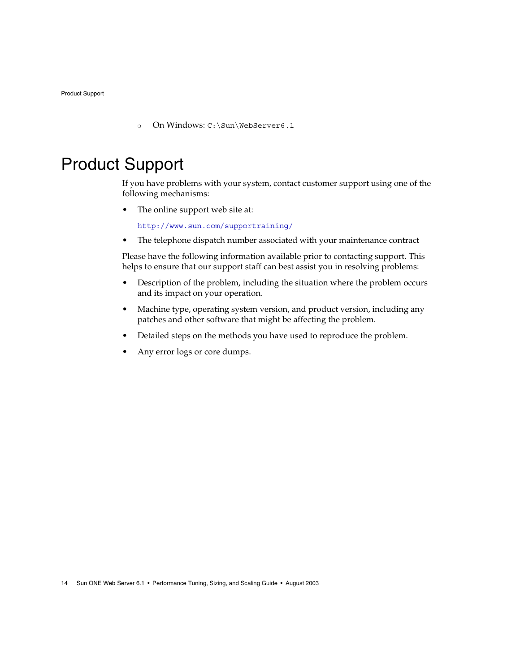❍ On Windows: C:\Sun\WebServer6.1

# <span id="page-13-0"></span>Product Support

If you have problems with your system, contact customer support using one of the following mechanisms:

• The online support web site at:

<http://www.sun.com/supportraining/>

• The telephone dispatch number associated with your maintenance contract

Please have the following information available prior to contacting support. This helps to ensure that our support staff can best assist you in resolving problems:

- Description of the problem, including the situation where the problem occurs and its impact on your operation.
- Machine type, operating system version, and product version, including any patches and other software that might be affecting the problem.
- Detailed steps on the methods you have used to reproduce the problem.
- Any error logs or core dumps.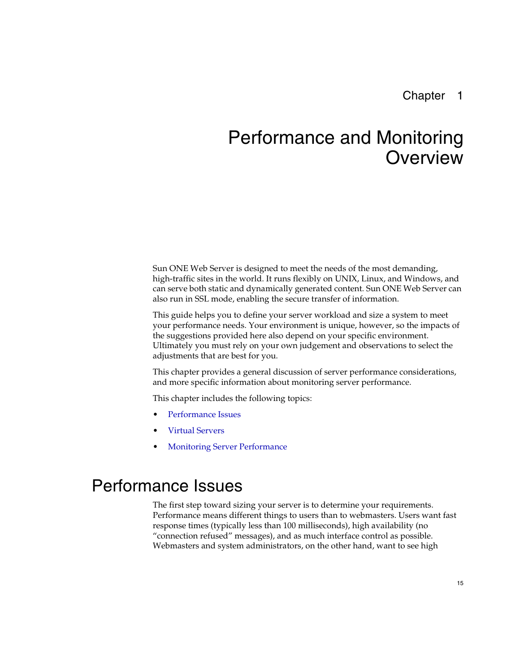# <span id="page-14-3"></span><span id="page-14-1"></span><span id="page-14-0"></span>Performance and Monitoring **Overview**

Sun ONE Web Server is designed to meet the needs of the most demanding, high-traffic sites in the world. It runs flexibly on UNIX, Linux, and Windows, and can serve both static and dynamically generated content. Sun ONE Web Server can also run in SSL mode, enabling the secure transfer of information.

This guide helps you to define your server workload and size a system to meet your performance needs. Your environment is unique, however, so the impacts of the suggestions provided here also depend on your specific environment. Ultimately you must rely on your own judgement and observations to select the adjustments that are best for you.

This chapter provides a general discussion of server performance considerations, and more specific information about monitoring server performance.

This chapter includes the following topics:

- [Performance Issues](#page-14-2)
- [Virtual Servers](#page-15-0)
- **[Monitoring Server Performance](#page-16-0)**

# <span id="page-14-2"></span>Performance Issues

The first step toward sizing your server is to determine your requirements. Performance means different things to users than to webmasters. Users want fast response times (typically less than 100 milliseconds), high availability (no "connection refused" messages), and as much interface control as possible. Webmasters and system administrators, on the other hand, want to see high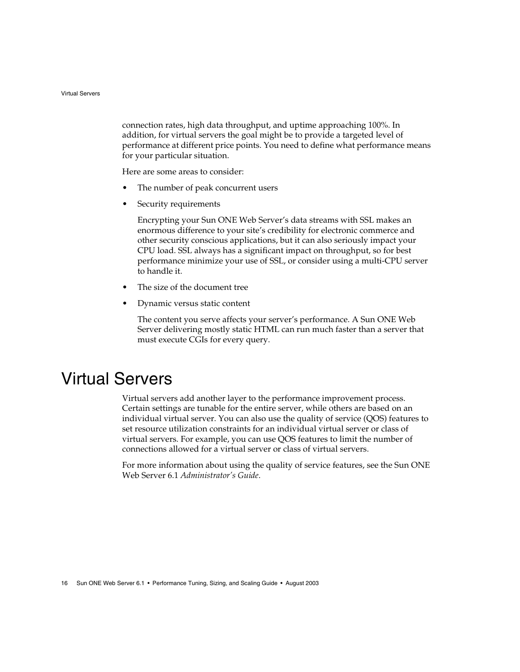connection rates, high data throughput, and uptime approaching 100%. In addition, for virtual servers the goal might be to provide a targeted level of performance at different price points. You need to define what performance means for your particular situation.

Here are some areas to consider:

- The number of peak concurrent users
- Security requirements

Encrypting your Sun ONE Web Server's data streams with SSL makes an enormous difference to your site's credibility for electronic commerce and other security conscious applications, but it can also seriously impact your CPU load. SSL always has a significant impact on throughput, so for best performance minimize your use of SSL, or consider using a multi-CPU server to handle it.

- The size of the document tree
- Dynamic versus static content

The content you serve affects your server's performance. A Sun ONE Web Server delivering mostly static HTML can run much faster than a server that must execute CGIs for every query.

# <span id="page-15-0"></span>Virtual Servers

Virtual servers add another layer to the performance improvement process. Certain settings are tunable for the entire server, while others are based on an individual virtual server. You can also use the quality of service (QOS) features to set resource utilization constraints for an individual virtual server or class of virtual servers. For example, you can use QOS features to limit the number of connections allowed for a virtual server or class of virtual servers.

For more information about using the quality of service features, see the Sun ONE Web Server 6.1 *Administrator's Guide*.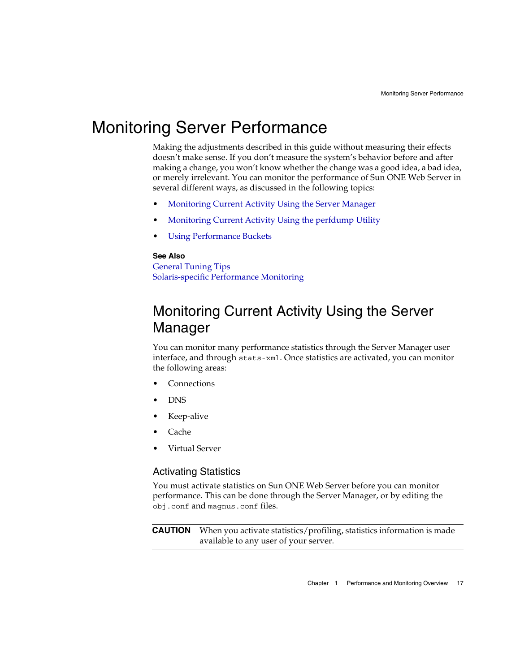# <span id="page-16-0"></span>Monitoring Server Performance

Making the adjustments described in this guide without measuring their effects doesn't make sense. If you don't measure the system's behavior before and after making a change, you won't know whether the change was a good idea, a bad idea, or merely irrelevant. You can monitor the performance of Sun ONE Web Server in several different ways, as discussed in the following topics:

- [Monitoring Current Activity Using the Server Manager](#page-16-1)
- [Monitoring Current Activity Using the perfdump Utility](#page-19-0)
- [Using Performance Buckets](#page-21-0)

#### **See Also**

[General Tuning Tips](#page-26-4) [Solaris-specific Performance Monitoring](#page-87-2)

# <span id="page-16-1"></span>Monitoring Current Activity Using the Server Manager

You can monitor many performance statistics through the Server Manager user interface, and through stats-xml. Once statistics are activated, you can monitor the following areas:

- **Connections**
- DNS
- Keep-alive
- Cache
- Virtual Server

## <span id="page-16-2"></span>Activating Statistics

You must activate statistics on Sun ONE Web Server before you can monitor performance. This can be done through the Server Manager, or by editing the obj.conf and magnus.conf files.

**CAUTION** When you activate statistics/profiling, statistics information is made available to any user of your server.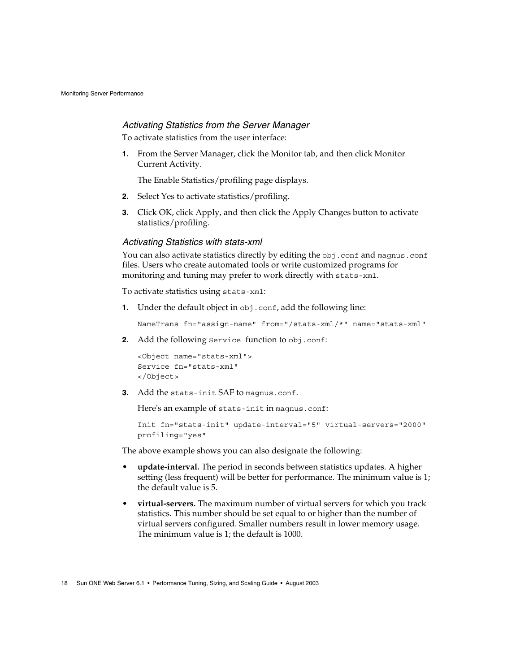#### *Activating Statistics from the Server Manager*

To activate statistics from the user interface:

**1.** From the Server Manager, click the Monitor tab, and then click Monitor Current Activity.

The Enable Statistics/profiling page displays.

- **2.** Select Yes to activate statistics/profiling.
- **3.** Click OK, click Apply, and then click the Apply Changes button to activate statistics/profiling.

#### *Activating Statistics with stats-xml*

You can also activate statistics directly by editing the  $obj$  conf and magnus.conf files. Users who create automated tools or write customized programs for monitoring and tuning may prefer to work directly with stats-xml.

To activate statistics using stats-xml:

**1.** Under the default object in obj.conf, add the following line:

NameTrans fn="assign-name" from="/stats-xml/\*" name="stats-xml"

**2.** Add the following Service function to obj.conf:

```
<Object name="stats-xml"> 
Service fn="stats-xml" 
</Object>
```
**3.** Add the stats-init SAF to magnus.conf.

Here's an example of stats-init in magnus.conf:

```
Init fn="stats-init" update-interval="5" virtual-servers="2000" 
profiling="yes"
```
The above example shows you can also designate the following:

- **update-interval.** The period in seconds between statistics updates. A higher setting (less frequent) will be better for performance. The minimum value is 1; the default value is 5.
- **virtual-servers.** The maximum number of virtual servers for which you track statistics. This number should be set equal to or higher than the number of virtual servers configured. Smaller numbers result in lower memory usage. The minimum value is 1; the default is 1000.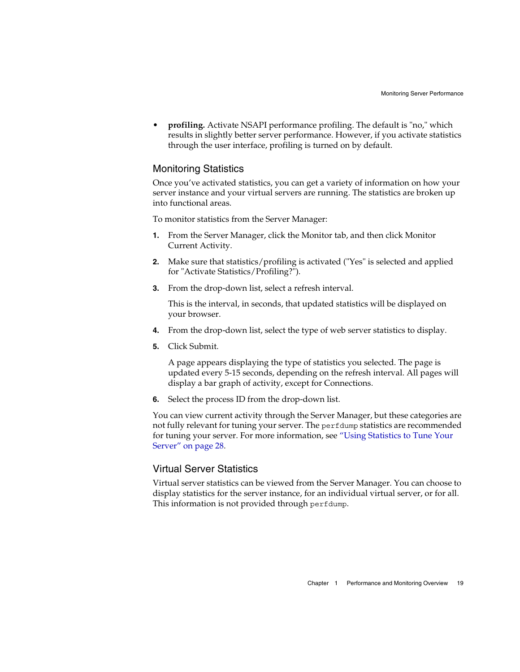• **profiling.** Activate NSAPI performance profiling. The default is "no," which results in slightly better server performance. However, if you activate statistics through the user interface, profiling is turned on by default.

### <span id="page-18-0"></span>Monitoring Statistics

Once you've activated statistics, you can get a variety of information on how your server instance and your virtual servers are running. The statistics are broken up into functional areas.

To monitor statistics from the Server Manager:

- **1.** From the Server Manager, click the Monitor tab, and then click Monitor Current Activity.
- **2.** Make sure that statistics/profiling is activated ("Yes" is selected and applied for "Activate Statistics/Profiling?").
- **3.** From the drop-down list, select a refresh interval.

This is the interval, in seconds, that updated statistics will be displayed on your browser.

- **4.** From the drop-down list, select the type of web server statistics to display.
- **5.** Click Submit.

A page appears displaying the type of statistics you selected. The page is updated every 5-15 seconds, depending on the refresh interval. All pages will display a bar graph of activity, except for Connections.

**6.** Select the process ID from the drop-down list.

You can view current activity through the Server Manager, but these categories are not fully relevant for tuning your server. The perfdump statistics are recommended for tuning your server. For more information, see ["Using Statistics to Tune Your](#page-27-1)  [Server" on page 28.](#page-27-1)

### <span id="page-18-1"></span>Virtual Server Statistics

Virtual server statistics can be viewed from the Server Manager. You can choose to display statistics for the server instance, for an individual virtual server, or for all. This information is not provided through perfdump.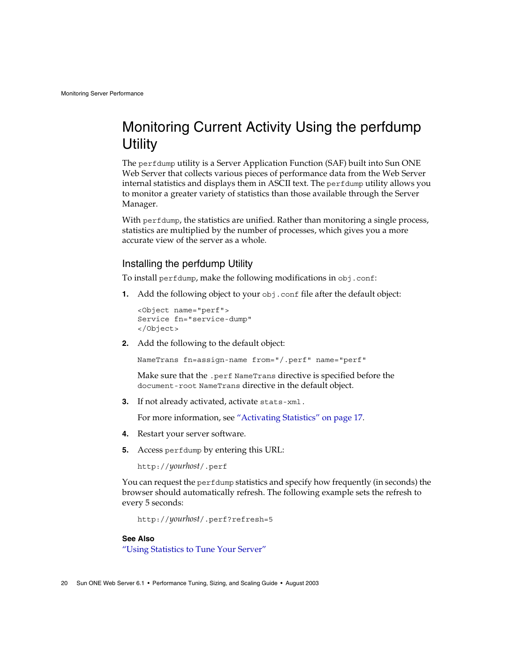# <span id="page-19-2"></span><span id="page-19-0"></span>Monitoring Current Activity Using the perfdump **Utility**

The perfdump utility is a Server Application Function (SAF) built into Sun ONE Web Server that collects various pieces of performance data from the Web Server internal statistics and displays them in ASCII text. The perfdump utility allows you to monitor a greater variety of statistics than those available through the Server Manager.

With perfdump, the statistics are unified. Rather than monitoring a single process, statistics are multiplied by the number of processes, which gives you a more accurate view of the server as a whole.

## <span id="page-19-1"></span>Installing the perfdump Utility

To install perfdump, make the following modifications in obj.conf:

**1.** Add the following object to your  $\circ$ bj.conf file after the default object:

```
<Object name="perf">
Service fn="service-dump"
</Object>
```
**2.** Add the following to the default object:

NameTrans fn=assign-name from="/.perf" name="perf"

Make sure that the .perf NameTrans directive is specified before the document-root NameTrans directive in the default object.

**3.** If not already activated, activate stats-xml.

For more information, see ["Activating Statistics" on page 17.](#page-16-2)

- **4.** Restart your server software.
- **5.** Access perfdump by entering this URL:

http://*yourhost*/.perf

You can request the perfdump statistics and specify how frequently (in seconds) the browser should automatically refresh. The following example sets the refresh to every 5 seconds:

http://*yourhost*/.perf?refresh=5

#### **See Also**

["Using Statistics to Tune Your Server"](#page-27-1)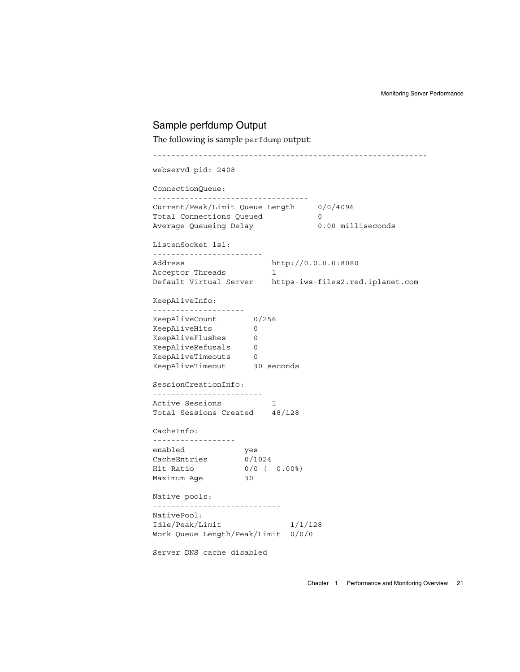#### <span id="page-20-0"></span>Sample perfdump Output

The following is sample perfdump output:

```
------------------------------------------------------------
webservd pid: 2408
ConnectionQueue:
----------------------------------
Current/Peak/Limit Queue Length 0/0/4096
Total Connections Queued 0
Average Queueing Delay 0.00 milliseconds
ListenSocket ls1:
------------------------
Address http://0.0.0.0:8080
Acceptor Threads 1
Default Virtual Server https-iws-files2.red.iplanet.com
KeepAliveInfo:
--------------------
KeepAliveCount 0/256
KeepAliveHits 0
KeepAliveFlushes 0
KeepAliveRefusals 0
KeepAliveTimeouts 0
KeepAliveTimeout 30 seconds
SessionCreationInfo:
------------------------
Active Sessions 1
Total Sessions Created 48/128
CacheInfo:
------------------
enabled yes
CacheEntries 0/1024
Hit Ratio 0/0 ( 0.00%)
Maximum Age 30
Native pools:
----------------------------
NativePool:
Idle/Peak/Limit 1/1/128
Work Queue Length/Peak/Limit 0/0/0
```
Server DNS cache disabled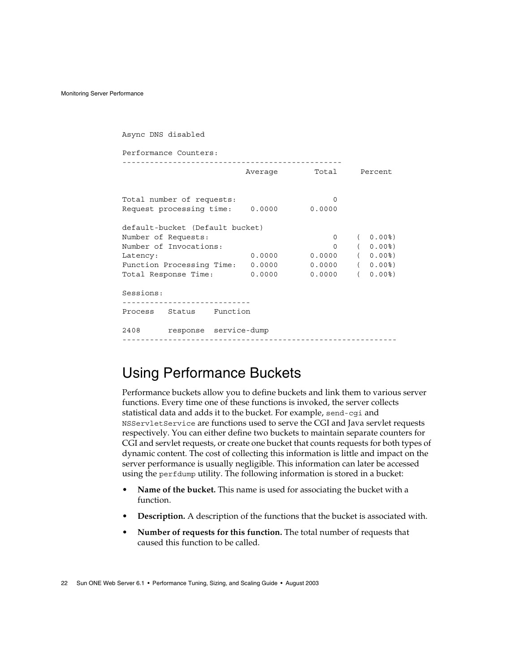Async DNS disabled Performance Counters: ------------------------------------------------ Average Total Percent Total number of requests: 0 Request processing time: 0.0000 0.0000 default-bucket (Default bucket) Number of Requests: 0 ( 0.00%) Number of Invocations: 0 ( 0.00%) Latency: 0.0000 0.0000 (0.00%) Function Processing Time: 0.0000 0.0000 ( 0.00%) Total Response Time: 0.0000 0.0000 ( 0.00%) Sessions: ---------------------------- Process Status Function 2408 response service-dump ------------------------------------------------------------

## <span id="page-21-0"></span>Using Performance Buckets

Performance buckets allow you to define buckets and link them to various server functions. Every time one of these functions is invoked, the server collects statistical data and adds it to the bucket. For example, send-cgi and NSServletService are functions used to serve the CGI and Java servlet requests respectively. You can either define two buckets to maintain separate counters for CGI and servlet requests, or create one bucket that counts requests for both types of dynamic content. The cost of collecting this information is little and impact on the server performance is usually negligible. This information can later be accessed using the perfdump utility. The following information is stored in a bucket:

- **Name of the bucket.** This name is used for associating the bucket with a function.
- **Description.** A description of the functions that the bucket is associated with.
- **Number of requests for this function.** The total number of requests that caused this function to be called.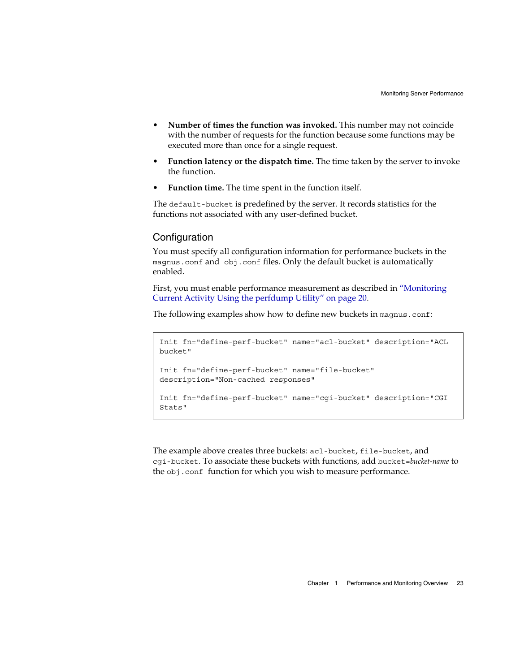- **Number of times the function was invoked.** This number may not coincide with the number of requests for the function because some functions may be executed more than once for a single request.
- **Function latency or the dispatch time.** The time taken by the server to invoke the function.
- **Function time.** The time spent in the function itself.

The default-bucket is predefined by the server. It records statistics for the functions not associated with any user-defined bucket.

## <span id="page-22-0"></span>Configuration

You must specify all configuration information for performance buckets in the magnus.conf and obj.conf files. Only the default bucket is automatically enabled.

First, you must enable performance measurement as described in ["Monitoring](#page-19-0)  [Current Activity Using the perfdump Utility" on page 20.](#page-19-0)

The following examples show how to define new buckets in magnus.conf:

```
Init fn="define-perf-bucket" name="acl-bucket" description="ACL 
bucket"
Init fn="define-perf-bucket" name="file-bucket" 
description="Non-cached responses"
Init fn="define-perf-bucket" name="cgi-bucket" description="CGI 
Stats"
```
The example above creates three buckets: acl-bucket, file-bucket, and cgi-bucket. To associate these buckets with functions, add bucket=*bucket-name* to the obj.conf function for which you wish to measure performance.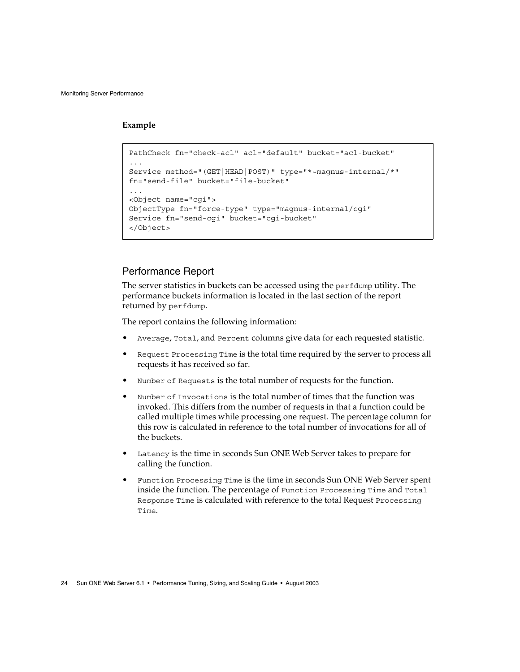#### **Example**

```
PathCheck fn="check-acl" acl="default" bucket="acl-bucket"
...
Service method="(GET|HEAD|POST)" type="*~magnus-internal/*" 
fn="send-file" bucket="file-bucket"
...
<Object name="cgi">
ObjectType fn="force-type" type="magnus-internal/cgi"
Service fn="send-cgi" bucket="cgi-bucket"
</Object>
```
### <span id="page-23-0"></span>Performance Report

The server statistics in buckets can be accessed using the perfdump utility. The performance buckets information is located in the last section of the report returned by perfdump.

The report contains the following information:

- Average, Total, and Percent columns give data for each requested statistic.
- Request Processing Time is the total time required by the server to process all requests it has received so far.
- Number of Requests is the total number of requests for the function.
- Number of Invocations is the total number of times that the function was invoked. This differs from the number of requests in that a function could be called multiple times while processing one request. The percentage column for this row is calculated in reference to the total number of invocations for all of the buckets.
- Latency is the time in seconds Sun ONE Web Server takes to prepare for calling the function.
- Function Processing Time is the time in seconds Sun ONE Web Server spent inside the function. The percentage of Function Processing Time and Total Response Time is calculated with reference to the total Request Processing Time.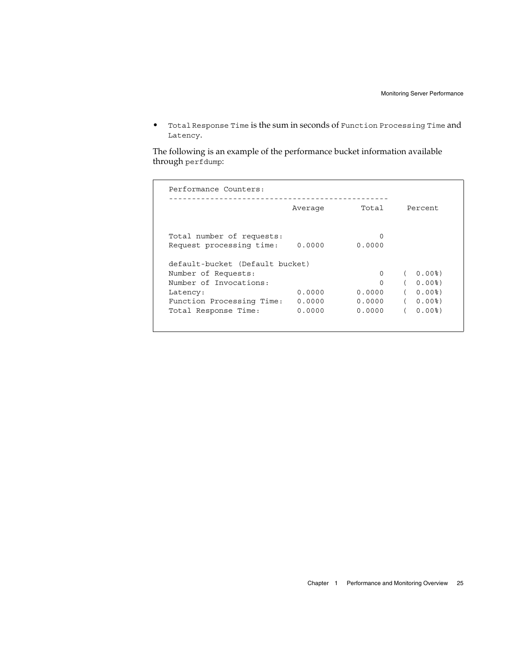• Total Response Time is the sum in seconds of Function Processing Time and Latency.

The following is an example of the performance bucket information available through perfdump:

|                                 | Average | Total    | Percent   |
|---------------------------------|---------|----------|-----------|
|                                 |         |          |           |
| Total number of requests:       |         | ∩        |           |
| Request processing time:        | 0.0000  | 0.0000   |           |
| default-bucket (Default bucket) |         |          |           |
| Number of Requests:             |         | $\Omega$ | $0.00$ \, |
| Number of Invocations:          |         | $\Omega$ | $0.00$ \, |
| Latency:                        | 0.0000  | 0.0000   | $0.00$ \, |
| Function Processing Time:       | 0.0000  | 0.0000   | $0.00$ \, |
| Total Response Time:            | 0.0000  | 0.0000   | $0.00$ \, |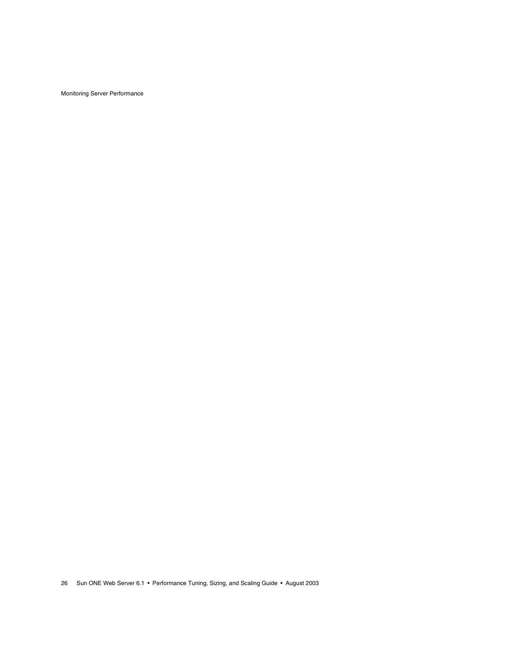Monitoring Server Performance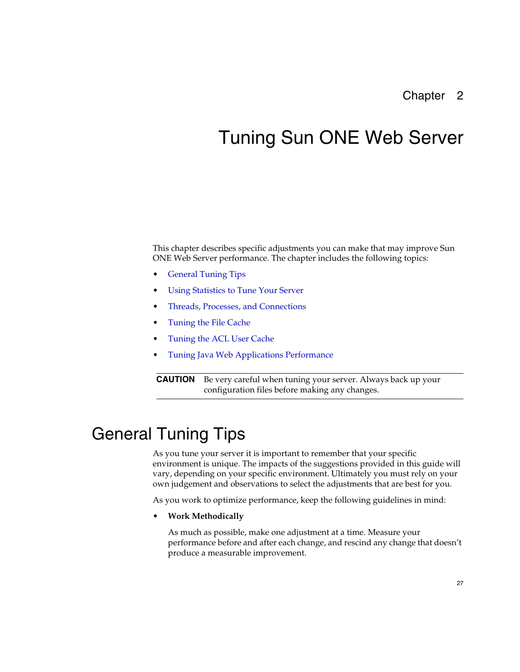# <span id="page-26-3"></span><span id="page-26-1"></span><span id="page-26-0"></span>Tuning Sun ONE Web Server

This chapter describes specific adjustments you can make that may improve Sun ONE Web Server performance. The chapter includes the following topics:

- [General Tuning Tips](#page-26-2)
- [Using Statistics to Tune Your Server](#page-27-0)
- [Threads, Processes, and Connections](#page-44-0)
- [Tuning the File Cache](#page-52-0)
- [Tuning the ACL User Cache](#page-58-0)
- [Tuning Java Web Applications Performance](#page-60-2)

**CAUTION** Be very careful when tuning your server. Always back up your configuration files before making any changes.

# <span id="page-26-4"></span><span id="page-26-2"></span>General Tuning Tips

As you tune your server it is important to remember that your specific environment is unique. The impacts of the suggestions provided in this guide will vary, depending on your specific environment. Ultimately you must rely on your own judgement and observations to select the adjustments that are best for you.

As you work to optimize performance, keep the following guidelines in mind:

**• Work Methodically**

As much as possible, make one adjustment at a time. Measure your performance before and after each change, and rescind any change that doesn't produce a measurable improvement.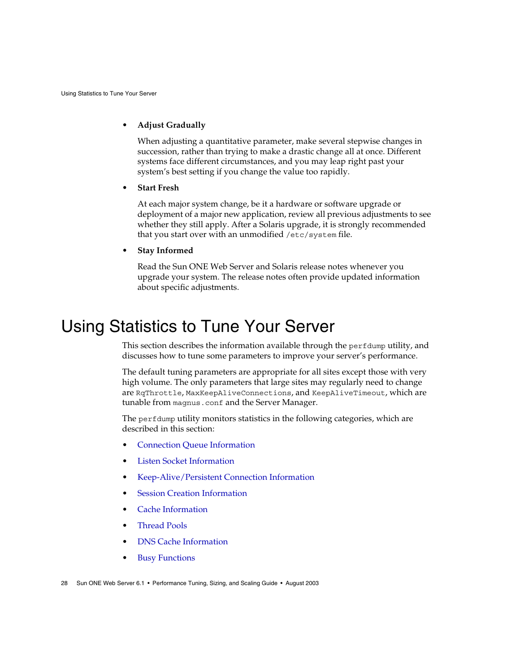#### **• Adjust Gradually**

When adjusting a quantitative parameter, make several stepwise changes in succession, rather than trying to make a drastic change all at once. Different systems face different circumstances, and you may leap right past your system's best setting if you change the value too rapidly.

**• Start Fresh**

At each major system change, be it a hardware or software upgrade or deployment of a major new application, review all previous adjustments to see whether they still apply. After a Solaris upgrade, it is strongly recommended that you start over with an unmodified /etc/system file.

#### **• Stay Informed**

Read the Sun ONE Web Server and Solaris release notes whenever you upgrade your system. The release notes often provide updated information about specific adjustments.

# <span id="page-27-1"></span><span id="page-27-0"></span>Using Statistics to Tune Your Server

This section describes the information available through the perfdump utility, and discusses how to tune some parameters to improve your server's performance.

The default tuning parameters are appropriate for all sites except those with very high volume. The only parameters that large sites may regularly need to change are RqThrottle, MaxKeepAliveConnections, and KeepAliveTimeout, which are tunable from magnus.conf and the Server Manager.

The perfdump utility monitors statistics in the following categories, which are described in this section:

- [Connection Queue Information](#page-28-0)
- [Listen Socket Information](#page-29-3)
- [Keep-Alive/Persistent Connection Information](#page-32-0)
- **[Session Creation Information](#page-35-0)**
- [Cache Information](#page-36-0)
- [Thread Pools](#page-38-0)
- [DNS Cache Information](#page-42-0)
- **[Busy Functions](#page-43-0)**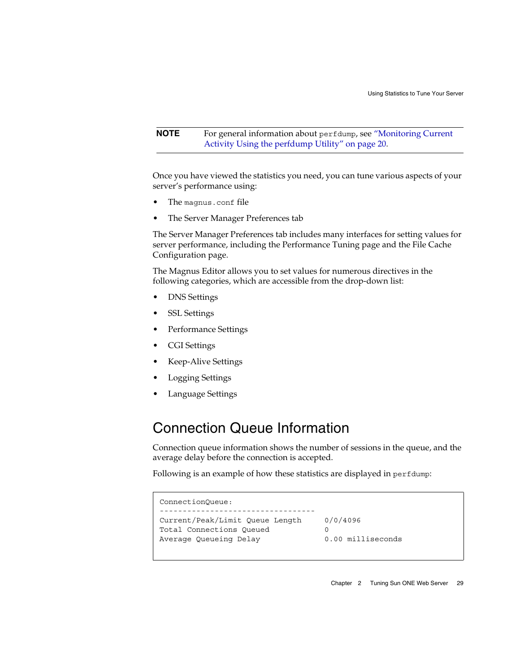**NOTE** For general information about perfdump, see ["Monitoring Current](#page-19-2)  [Activity Using the perfdump Utility" on page 20.](#page-19-2)

Once you have viewed the statistics you need, you can tune various aspects of your server's performance using:

- The magnus.conf file
- The Server Manager Preferences tab

The Server Manager Preferences tab includes many interfaces for setting values for server performance, including the Performance Tuning page and the File Cache Configuration page.

The Magnus Editor allows you to set values for numerous directives in the following categories, which are accessible from the drop-down list:

- DNS Settings
- SSL Settings
- Performance Settings
- CGI Settings
- Keep-Alive Settings
- Logging Settings
- Language Settings

## <span id="page-28-0"></span>Connection Queue Information

Connection queue information shows the number of sessions in the queue, and the average delay before the connection is accepted.

Following is an example of how these statistics are displayed in perfdump:

```
ConnectionQueue:
----------------------------------
Current/Peak/Limit Queue Length 0/0/4096
Total Connections Queued 0
Average Queueing Delay 0.00 milliseconds
```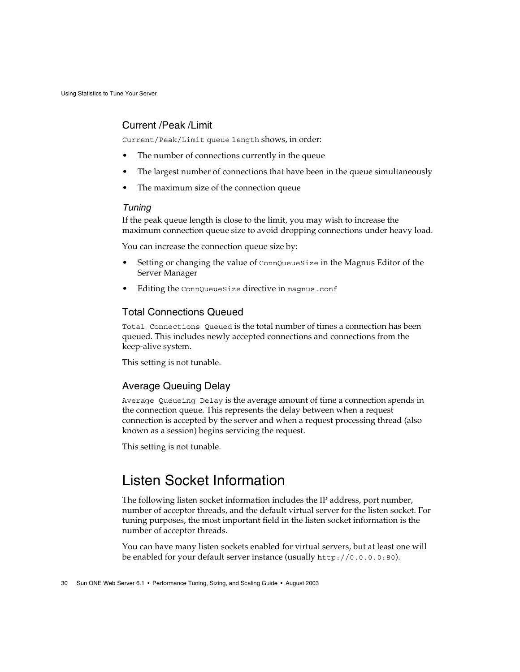### <span id="page-29-0"></span>Current /Peak /Limit

Current/Peak/Limit queue length shows, in order:

- The number of connections currently in the queue
- The largest number of connections that have been in the queue simultaneously
- The maximum size of the connection queue

#### *Tuning*

If the peak queue length is close to the limit, you may wish to increase the maximum connection queue size to avoid dropping connections under heavy load.

You can increase the connection queue size by:

- Setting or changing the value of ConnQueueSize in the Magnus Editor of the Server Manager
- Editing the ConnQueueSize directive in magnus.conf

## <span id="page-29-1"></span>Total Connections Queued

Total Connections Queued is the total number of times a connection has been queued. This includes newly accepted connections and connections from the keep-alive system.

This setting is not tunable.

## <span id="page-29-2"></span>Average Queuing Delay

Average Queueing Delay is the average amount of time a connection spends in the connection queue. This represents the delay between when a request connection is accepted by the server and when a request processing thread (also known as a session) begins servicing the request.

This setting is not tunable.

# <span id="page-29-3"></span>Listen Socket Information

The following listen socket information includes the IP address, port number, number of acceptor threads, and the default virtual server for the listen socket. For tuning purposes, the most important field in the listen socket information is the number of acceptor threads.

You can have many listen sockets enabled for virtual servers, but at least one will be enabled for your default server instance (usually http://0.0.0.0:80).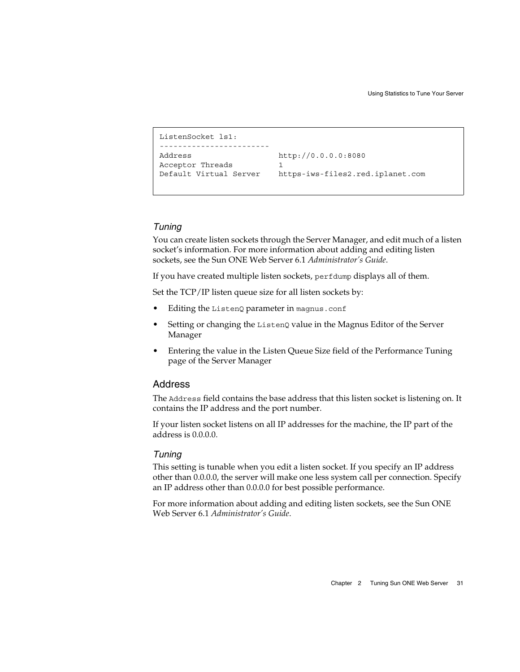```
ListenSocket ls1:
------------------------
Address http://0.0.0.0:8080
Acceptor Threads 1
Default Virtual Server https-iws-files2.red.iplanet.com
```
#### *Tuning*

You can create listen sockets through the Server Manager, and edit much of a listen socket's information. For more information about adding and editing listen sockets, see the Sun ONE Web Server 6.1 *Administrator's Guide*.

If you have created multiple listen sockets, perfdump displays all of them.

Set the TCP/IP listen queue size for all listen sockets by:

- Editing the ListenQ parameter in magnus.conf
- Setting or changing the ListenQ value in the Magnus Editor of the Server Manager
- Entering the value in the Listen Queue Size field of the Performance Tuning page of the Server Manager

#### <span id="page-30-0"></span>Address

The Address field contains the base address that this listen socket is listening on. It contains the IP address and the port number.

If your listen socket listens on all IP addresses for the machine, the IP part of the address is 0.0.0.0.

#### *Tuning*

This setting is tunable when you edit a listen socket. If you specify an IP address other than 0.0.0.0, the server will make one less system call per connection. Specify an IP address other than 0.0.0.0 for best possible performance.

For more information about adding and editing listen sockets, see the Sun ONE Web Server 6.1 *Administrator's Guide*.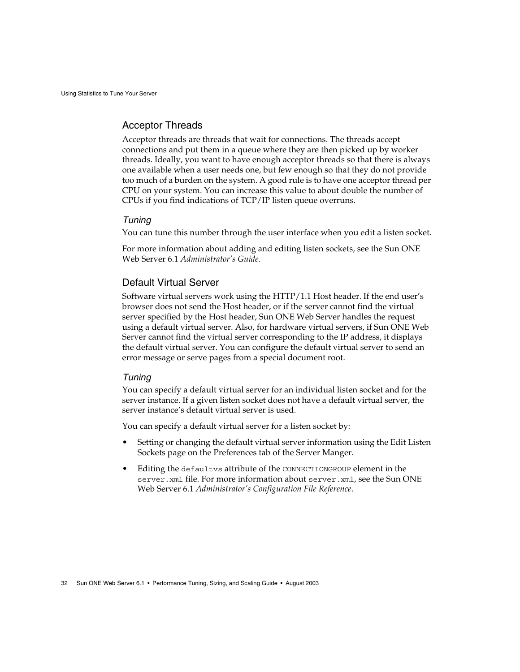## <span id="page-31-0"></span>Acceptor Threads

Acceptor threads are threads that wait for connections. The threads accept connections and put them in a queue where they are then picked up by worker threads. Ideally, you want to have enough acceptor threads so that there is always one available when a user needs one, but few enough so that they do not provide too much of a burden on the system. A good rule is to have one acceptor thread per CPU on your system. You can increase this value to about double the number of CPUs if you find indications of TCP/IP listen queue overruns.

### *Tuning*

You can tune this number through the user interface when you edit a listen socket.

For more information about adding and editing listen sockets, see the Sun ONE Web Server 6.1 *Administrator's Guide*.

## <span id="page-31-1"></span>Default Virtual Server

Software virtual servers work using the HTTP/1.1 Host header. If the end user's browser does not send the Host header, or if the server cannot find the virtual server specified by the Host header, Sun ONE Web Server handles the request using a default virtual server. Also, for hardware virtual servers, if Sun ONE Web Server cannot find the virtual server corresponding to the IP address, it displays the default virtual server. You can configure the default virtual server to send an error message or serve pages from a special document root.

### *Tuning*

You can specify a default virtual server for an individual listen socket and for the server instance. If a given listen socket does not have a default virtual server, the server instance's default virtual server is used.

You can specify a default virtual server for a listen socket by:

- Setting or changing the default virtual server information using the Edit Listen Sockets page on the Preferences tab of the Server Manger.
- Editing the defaultvs attribute of the CONNECTIONGROUP element in the server.xml file. For more information about server.xml, see the Sun ONE Web Server 6.1 *Administrator's Configuration File Reference*.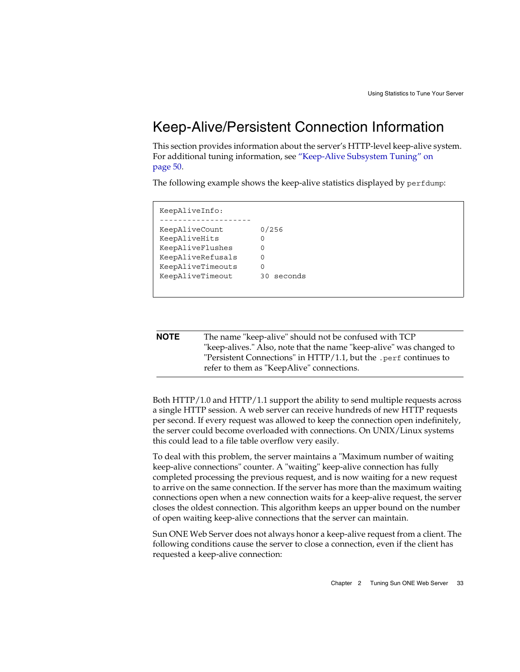# <span id="page-32-0"></span>Keep-Alive/Persistent Connection Information

This section provides information about the server's HTTP-level keep-alive system. For additional tuning information, see ["Keep-Alive Subsystem Tuning" on](#page-49-0)  [page 50.](#page-49-0)

The following example shows the keep-alive statistics displayed by perfdump:

```
KeepAliveInfo:
--------------------
KeepAliveCount 0/256
KeepAliveHits 0
KeepAliveFlushes 0
KeepAliveRefusals 0
KeepAliveTimeouts 0
KeepAliveTimeout 30 seconds
```
**NOTE** The name "keep-alive" should not be confused with TCP "keep-alives." Also, note that the name "keep-alive" was changed to "Persistent Connections" in HTTP/1.1, but the .perf continues to refer to them as "KeepAlive" connections.

Both HTTP/1.0 and HTTP/1.1 support the ability to send multiple requests across a single HTTP session. A web server can receive hundreds of new HTTP requests per second. If every request was allowed to keep the connection open indefinitely, the server could become overloaded with connections. On UNIX/Linux systems this could lead to a file table overflow very easily.

To deal with this problem, the server maintains a "Maximum number of waiting keep-alive connections" counter. A "waiting" keep-alive connection has fully completed processing the previous request, and is now waiting for a new request to arrive on the same connection. If the server has more than the maximum waiting connections open when a new connection waits for a keep-alive request, the server closes the oldest connection. This algorithm keeps an upper bound on the number of open waiting keep-alive connections that the server can maintain.

Sun ONE Web Server does not always honor a keep-alive request from a client. The following conditions cause the server to close a connection, even if the client has requested a keep-alive connection: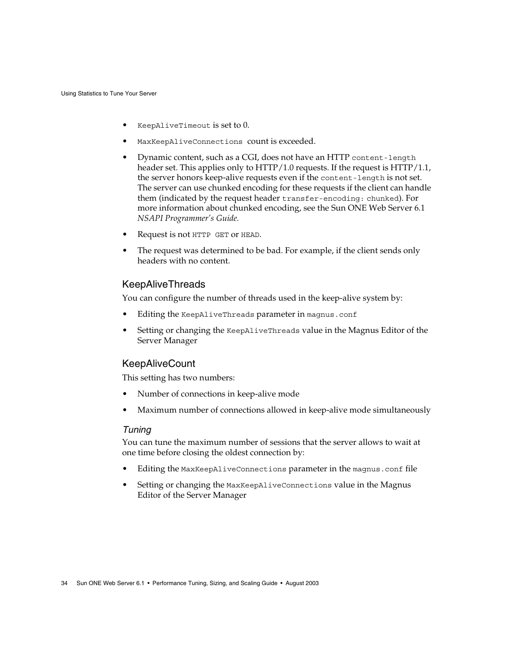- KeepAliveTimeout is set to 0.
- MaxKeepAliveConnections count is exceeded.
- Dynamic content, such as a CGI, does not have an HTTP content-length header set. This applies only to HTTP/1.0 requests. If the request is HTTP/1.1, the server honors keep-alive requests even if the content-length is not set. The server can use chunked encoding for these requests if the client can handle them (indicated by the request header transfer-encoding: chunked). For more information about chunked encoding, see the Sun ONE Web Server 6.1 *NSAPI Programmer's Guide.*
- Request is not HTTP GET or HEAD.
- The request was determined to be bad. For example, if the client sends only headers with no content.

#### <span id="page-33-0"></span>KeepAliveThreads

You can configure the number of threads used in the keep-alive system by:

- Editing the KeepAliveThreads parameter in magnus.conf
- Setting or changing the KeepAliveThreads value in the Magnus Editor of the Server Manager

#### <span id="page-33-1"></span>KeepAliveCount

This setting has two numbers:

- Number of connections in keep-alive mode
- Maximum number of connections allowed in keep-alive mode simultaneously

#### *Tuning*

You can tune the maximum number of sessions that the server allows to wait at one time before closing the oldest connection by:

- Editing the MaxKeepAliveConnections parameter in the magnus.conf file
- Setting or changing the MaxKeepAliveConnections value in the Magnus Editor of the Server Manager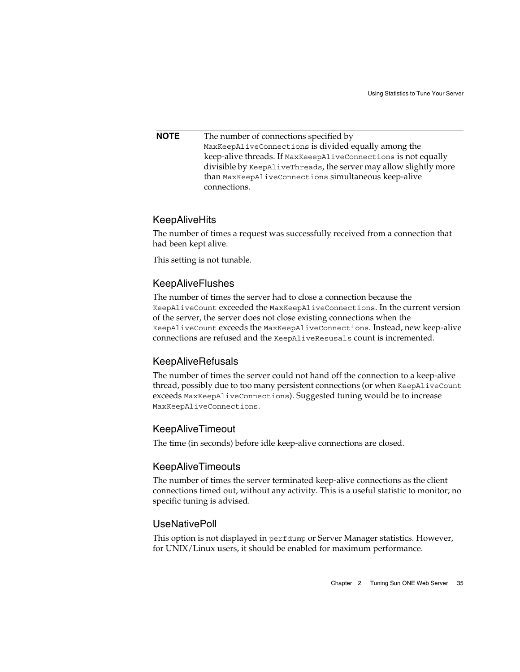| <b>NOTE</b> | The number of connections specified by                            |
|-------------|-------------------------------------------------------------------|
|             | MaxKeepAliveConnections is divided equally among the              |
|             | keep-alive threads. If MaxKeeepAliveConnections is not equally    |
|             | divisible by KeepAliveThreads, the server may allow slightly more |
|             | than MaxKeepAliveConnections simultaneous keep-alive              |
|             | connections.                                                      |

#### <span id="page-34-0"></span>KeepAliveHits

The number of times a request was successfully received from a connection that had been kept alive.

This setting is not tunable.

### <span id="page-34-1"></span>KeepAliveFlushes

The number of times the server had to close a connection because the KeepAliveCount exceeded the MaxKeepAliveConnections. In the current version of the server, the server does not close existing connections when the KeepAliveCount exceeds the MaxKeepAliveConnections. Instead, new keep-alive connections are refused and the KeepAliveResusals count is incremented.

### <span id="page-34-2"></span>KeepAliveRefusals

The number of times the server could not hand off the connection to a keep-alive thread, possibly due to too many persistent connections (or when KeepAliveCount exceeds MaxKeepAliveConnections). Suggested tuning would be to increase MaxKeepAliveConnections.

### <span id="page-34-3"></span>KeepAliveTimeout

The time (in seconds) before idle keep-alive connections are closed.

### <span id="page-34-4"></span>KeepAliveTimeouts

The number of times the server terminated keep-alive connections as the client connections timed out, without any activity. This is a useful statistic to monitor; no specific tuning is advised.

### <span id="page-34-5"></span>UseNativePoll

This option is not displayed in perfdump or Server Manager statistics. However, for UNIX/Linux users, it should be enabled for maximum performance.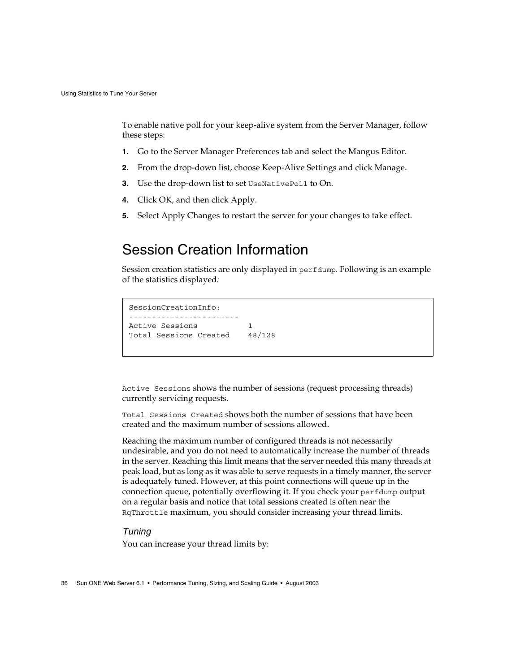To enable native poll for your keep-alive system from the Server Manager, follow these steps:

- **1.** Go to the Server Manager Preferences tab and select the Mangus Editor.
- **2.** From the drop-down list, choose Keep-Alive Settings and click Manage.
- **3.** Use the drop-down list to set UseNativePoll to On.
- **4.** Click OK, and then click Apply.
- **5.** Select Apply Changes to restart the server for your changes to take effect.

## <span id="page-35-0"></span>Session Creation Information

Session creation statistics are only displayed in perfdump. Following is an example of the statistics displayed*:*

```
SessionCreationInfo:
------------------------
Active Sessions 1
Total Sessions Created 48/128
```
Active Sessions shows the number of sessions (request processing threads) currently servicing requests.

Total Sessions Created shows both the number of sessions that have been created and the maximum number of sessions allowed.

Reaching the maximum number of configured threads is not necessarily undesirable, and you do not need to automatically increase the number of threads in the server. Reaching this limit means that the server needed this many threads at peak load, but as long as it was able to serve requests in a timely manner, the server is adequately tuned. However, at this point connections will queue up in the connection queue, potentially overflowing it. If you check your perfdump output on a regular basis and notice that total sessions created is often near the RqThrottle maximum, you should consider increasing your thread limits.

#### *Tuning*

You can increase your thread limits by: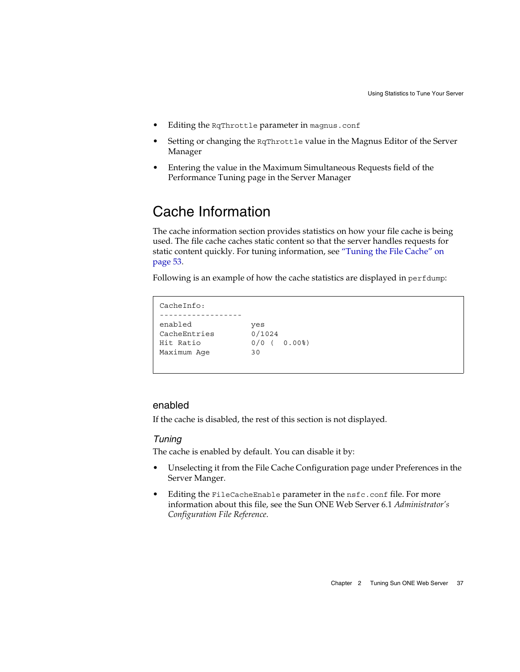- Editing the RqThrottle parameter in magnus.conf
- Setting or changing the RqThrottle value in the Magnus Editor of the Server Manager
- Entering the value in the Maximum Simultaneous Requests field of the Performance Tuning page in the Server Manager

### Cache Information

The cache information section provides statistics on how your file cache is being used. The file cache caches static content so that the server handles requests for static content quickly. For tuning information, see ["Tuning the File Cache" on](#page-52-0)  [page 53.](#page-52-0)

Following is an example of how the cache statistics are displayed in perfdump:

```
CacheInfo:
------------------
enabled yes
CacheEntries 0/1024
Hit Ratio 0/0 ( 0.00%)
Maximum Age 30
```
### enabled

If the cache is disabled, the rest of this section is not displayed.

#### *Tuning*

The cache is enabled by default. You can disable it by:

- Unselecting it from the File Cache Configuration page under Preferences in the Server Manger.
- Editing the FileCacheEnable parameter in the nsfc.conf file. For more information about this file, see the Sun ONE Web Server 6.1 *Administrator's Configuration File Reference*.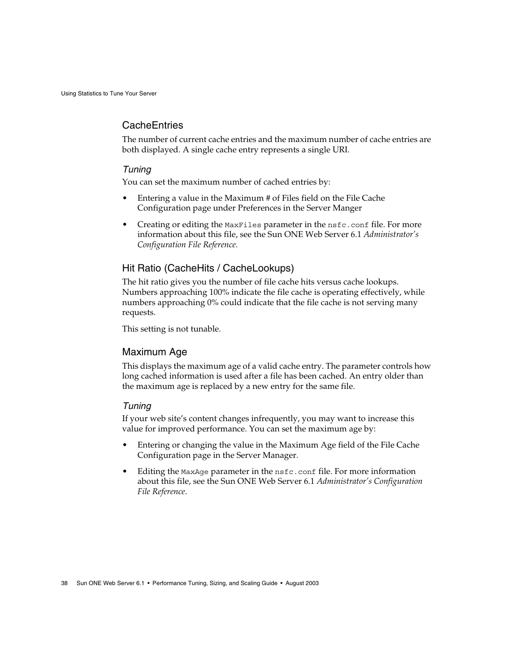### **CacheFntries**

The number of current cache entries and the maximum number of cache entries are both displayed. A single cache entry represents a single URI.

### *Tuning*

You can set the maximum number of cached entries by:

- Entering a value in the Maximum # of Files field on the File Cache Configuration page under Preferences in the Server Manger
- Creating or editing the MaxFiles parameter in the nsfc.conf file. For more information about this file, see the Sun ONE Web Server 6.1 *Administrator's Configuration File Reference*.

### Hit Ratio (CacheHits / CacheLookups)

The hit ratio gives you the number of file cache hits versus cache lookups. Numbers approaching 100% indicate the file cache is operating effectively, while numbers approaching 0% could indicate that the file cache is not serving many requests.

This setting is not tunable.

### Maximum Age

This displays the maximum age of a valid cache entry. The parameter controls how long cached information is used after a file has been cached. An entry older than the maximum age is replaced by a new entry for the same file.

### *Tuning*

If your web site's content changes infrequently, you may want to increase this value for improved performance. You can set the maximum age by:

- Entering or changing the value in the Maximum Age field of the File Cache Configuration page in the Server Manager.
- Editing the MaxAge parameter in the nsfc.conf file. For more information about this file, see the Sun ONE Web Server 6.1 *Administrator's Configuration File Reference*.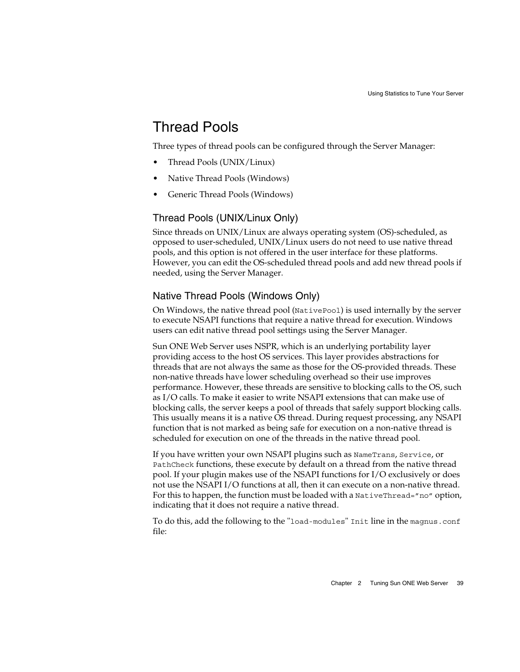## Thread Pools

Three types of thread pools can be configured through the Server Manager:

- Thread Pools (UNIX/Linux)
- Native Thread Pools (Windows)
- Generic Thread Pools (Windows)

### Thread Pools (UNIX/Linux Only)

Since threads on UNIX/Linux are always operating system (OS)-scheduled, as opposed to user-scheduled, UNIX/Linux users do not need to use native thread pools, and this option is not offered in the user interface for these platforms. However, you can edit the OS-scheduled thread pools and add new thread pools if needed, using the Server Manager.

### Native Thread Pools (Windows Only)

On Windows, the native thread pool (NativePool) is used internally by the server to execute NSAPI functions that require a native thread for execution. Windows users can edit native thread pool settings using the Server Manager.

Sun ONE Web Server uses NSPR, which is an underlying portability layer providing access to the host OS services. This layer provides abstractions for threads that are not always the same as those for the OS-provided threads. These non-native threads have lower scheduling overhead so their use improves performance. However, these threads are sensitive to blocking calls to the OS, such as I/O calls. To make it easier to write NSAPI extensions that can make use of blocking calls, the server keeps a pool of threads that safely support blocking calls. This usually means it is a native OS thread. During request processing, any NSAPI function that is not marked as being safe for execution on a non-native thread is scheduled for execution on one of the threads in the native thread pool.

If you have written your own NSAPI plugins such as NameTrans, Service, or PathCheck functions, these execute by default on a thread from the native thread pool. If your plugin makes use of the NSAPI functions for I/O exclusively or does not use the NSAPI I/O functions at all, then it can execute on a non-native thread. For this to happen, the function must be loaded with a NativeThread="no" option, indicating that it does not require a native thread.

To do this, add the following to the "load-modules" Init line in the magnus.conf file: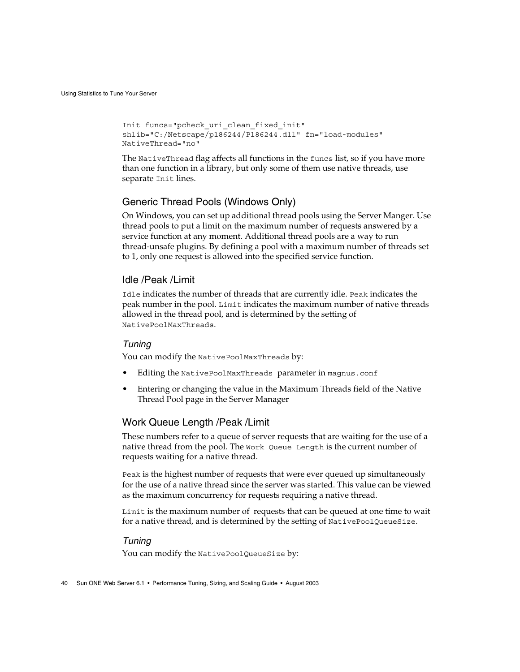```
Init funcs="pcheck_uri_clean_fixed_init" 
shlib="C:/Netscape/p186244/P186244.dll" fn="load-modules" 
NativeThread="no"
```
The NativeThread flag affects all functions in the funcs list, so if you have more than one function in a library, but only some of them use native threads, use separate Init lines.

### Generic Thread Pools (Windows Only)

On Windows, you can set up additional thread pools using the Server Manger. Use thread pools to put a limit on the maximum number of requests answered by a service function at any moment. Additional thread pools are a way to run thread-unsafe plugins. By defining a pool with a maximum number of threads set to 1, only one request is allowed into the specified service function.

### Idle /Peak /Limit

Idle indicates the number of threads that are currently idle. Peak indicates the peak number in the pool. Limit indicates the maximum number of native threads allowed in the thread pool, and is determined by the setting of NativePoolMaxThreads.

### *Tuning*

You can modify the NativePoolMaxThreads by:

- Editing the NativePoolMaxThreads parameter in magnus.conf
- Entering or changing the value in the Maximum Threads field of the Native Thread Pool page in the Server Manager

### Work Queue Length /Peak /Limit

These numbers refer to a queue of server requests that are waiting for the use of a native thread from the pool. The Work Queue Length is the current number of requests waiting for a native thread.

Peak is the highest number of requests that were ever queued up simultaneously for the use of a native thread since the server was started. This value can be viewed as the maximum concurrency for requests requiring a native thread.

Limit is the maximum number of requests that can be queued at one time to wait for a native thread, and is determined by the setting of NativePoolQueueSize.

### *Tuning*

You can modify the NativePoolQueueSize by: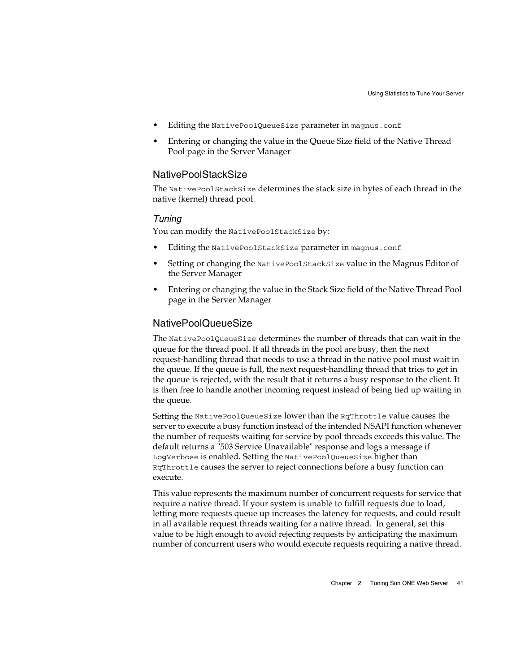- Editing the NativePoolQueueSize parameter in magnus.conf
- Entering or changing the value in the Queue Size field of the Native Thread Pool page in the Server Manager

### NativePoolStackSize

The NativePoolStackSize determines the stack size in bytes of each thread in the native (kernel) thread pool.

### *Tuning*

You can modify the NativePoolStackSize by:

- Editing the NativePoolStackSize parameter in magnus.conf
- Setting or changing the NativePoolStackSize value in the Magnus Editor of the Server Manager
- Entering or changing the value in the Stack Size field of the Native Thread Pool page in the Server Manager

### NativePoolQueueSize

The NativePoolQueueSize determines the number of threads that can wait in the queue for the thread pool. If all threads in the pool are busy, then the next request-handling thread that needs to use a thread in the native pool must wait in the queue. If the queue is full, the next request-handling thread that tries to get in the queue is rejected, with the result that it returns a busy response to the client. It is then free to handle another incoming request instead of being tied up waiting in the queue.

Setting the NativePoolQueueSize lower than the RqThrottle value causes the server to execute a busy function instead of the intended NSAPI function whenever the number of requests waiting for service by pool threads exceeds this value. The default returns a "503 Service Unavailable" response and logs a message if LogVerbose is enabled. Setting the NativePoolQueueSize higher than RqThrottle causes the server to reject connections before a busy function can execute.

This value represents the maximum number of concurrent requests for service that require a native thread. If your system is unable to fulfill requests due to load, letting more requests queue up increases the latency for requests, and could result in all available request threads waiting for a native thread. In general, set this value to be high enough to avoid rejecting requests by anticipating the maximum number of concurrent users who would execute requests requiring a native thread.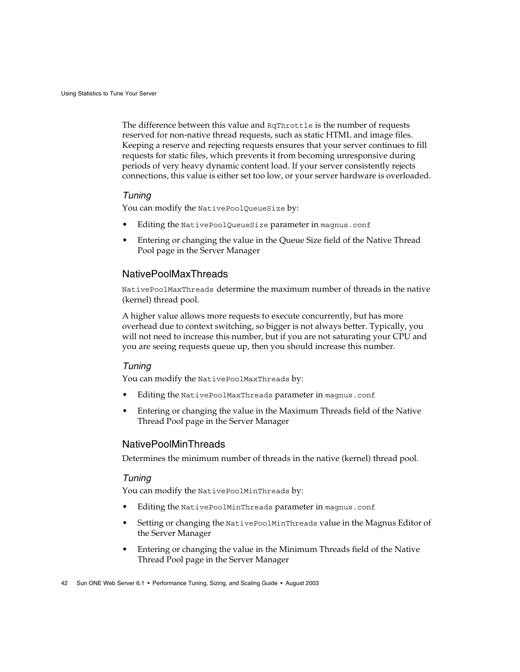The difference between this value and RqThrottle is the number of requests reserved for non-native thread requests, such as static HTML and image files. Keeping a reserve and rejecting requests ensures that your server continues to fill requests for static files, which prevents it from becoming unresponsive during periods of very heavy dynamic content load. If your server consistently rejects connections, this value is either set too low, or your server hardware is overloaded.

### *Tuning*

You can modify the NativePoolQueueSize by:

- Editing the NativePoolQueueSize parameter in magnus.conf
- Entering or changing the value in the Queue Size field of the Native Thread Pool page in the Server Manager

### NativePoolMaxThreads

NativePoolMaxThreads determine the maximum number of threads in the native (kernel) thread pool.

A higher value allows more requests to execute concurrently, but has more overhead due to context switching, so bigger is not always better. Typically, you will not need to increase this number, but if you are not saturating your CPU and you are seeing requests queue up, then you should increase this number.

### *Tuning*

You can modify the NativePoolMaxThreads by:

- Editing the NativePoolMaxThreads parameter in magnus.conf
- Entering or changing the value in the Maximum Threads field of the Native Thread Pool page in the Server Manager

### NativePoolMinThreads

Determines the minimum number of threads in the native (kernel) thread pool.

### *Tuning*

You can modify the NativePoolMinThreads by:

- Editing the NativePoolMinThreads parameter in magnus.conf
- Setting or changing the NativePoolMinThreads value in the Magnus Editor of the Server Manager
- Entering or changing the value in the Minimum Threads field of the Native Thread Pool page in the Server Manager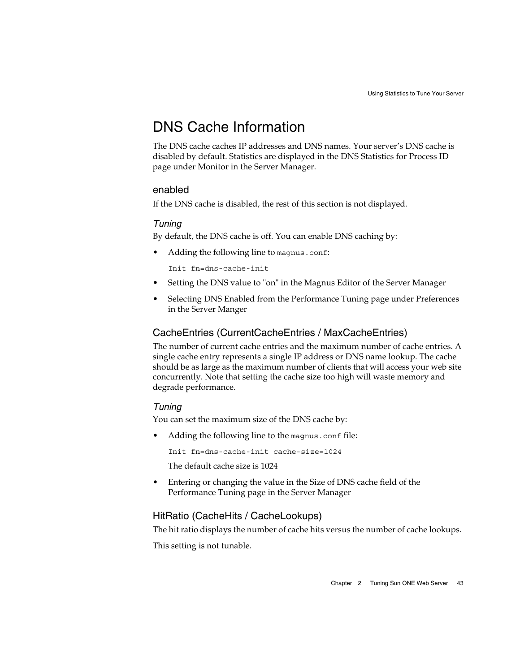## DNS Cache Information

The DNS cache caches IP addresses and DNS names. Your server's DNS cache is disabled by default. Statistics are displayed in the DNS Statistics for Process ID page under Monitor in the Server Manager.

### enabled

If the DNS cache is disabled, the rest of this section is not displayed.

### *Tuning*

By default, the DNS cache is off. You can enable DNS caching by:

Adding the following line to magnus.conf:

Init fn=dns-cache-init

- Setting the DNS value to "on" in the Magnus Editor of the Server Manager
- Selecting DNS Enabled from the Performance Tuning page under Preferences in the Server Manger

### CacheEntries (CurrentCacheEntries / MaxCacheEntries)

The number of current cache entries and the maximum number of cache entries. A single cache entry represents a single IP address or DNS name lookup. The cache should be as large as the maximum number of clients that will access your web site concurrently. Note that setting the cache size too high will waste memory and degrade performance.

### *Tuning*

You can set the maximum size of the DNS cache by:

Adding the following line to the magnus.conf file:

Init fn=dns-cache-init cache-size=1024

The default cache size is 1024

• Entering or changing the value in the Size of DNS cache field of the Performance Tuning page in the Server Manager

### HitRatio (CacheHits / CacheLookups)

The hit ratio displays the number of cache hits versus the number of cache lookups.

This setting is not tunable.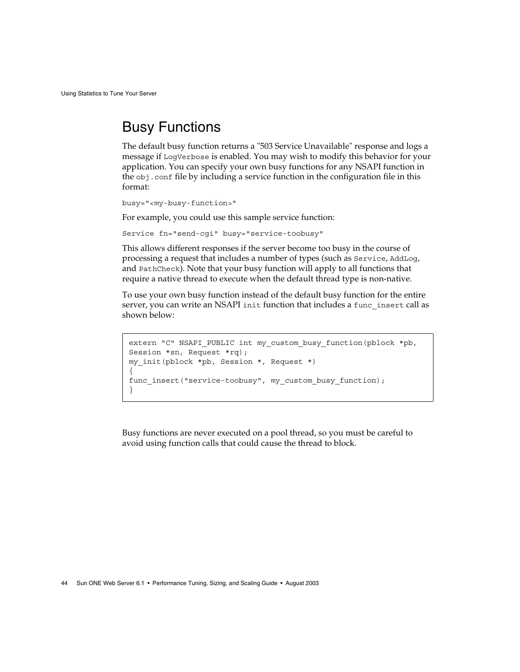## Busy Functions

The default busy function returns a "503 Service Unavailable" response and logs a message if LogVerbose is enabled. You may wish to modify this behavior for your application. You can specify your own busy functions for any NSAPI function in the obj.conf file by including a service function in the configuration file in this format:

```
busy="<my-busy-function>"
```
For example, you could use this sample service function:

Service fn="send-cgi" busy="service-toobusy"

This allows different responses if the server become too busy in the course of processing a request that includes a number of types (such as Service, AddLog, and PathCheck). Note that your busy function will apply to all functions that require a native thread to execute when the default thread type is non-native.

To use your own busy function instead of the default busy function for the entire server, you can write an NSAPI init function that includes a func\_insert call as shown below:

```
extern "C" NSAPI_PUBLIC int my_custom_busy_function(pblock *pb, 
Session *sn, Request *rq);
my_init(pblock *pb, Session *, Request *)
{
func insert("service-toobusy", my custom busy function);
}
```
Busy functions are never executed on a pool thread, so you must be careful to avoid using function calls that could cause the thread to block.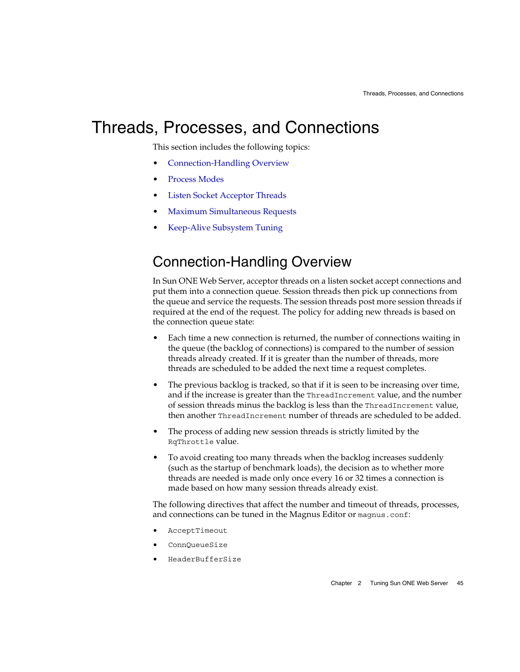# Threads, Processes, and Connections

This section includes the following topics:

- [Connection-Handling Overview](#page-44-0)
- [Process Modes](#page-45-0)
- [Listen Socket Acceptor Threads](#page-47-0)
- [Maximum Simultaneous Requests](#page-47-1)
- [Keep-Alive Subsystem Tuning](#page-49-0)

## <span id="page-44-0"></span>Connection-Handling Overview

In Sun ONE Web Server, acceptor threads on a listen socket accept connections and put them into a connection queue. Session threads then pick up connections from the queue and service the requests. The session threads post more session threads if required at the end of the request. The policy for adding new threads is based on the connection queue state:

- Each time a new connection is returned, the number of connections waiting in the queue (the backlog of connections) is compared to the number of session threads already created. If it is greater than the number of threads, more threads are scheduled to be added the next time a request completes.
- The previous backlog is tracked, so that if it is seen to be increasing over time, and if the increase is greater than the ThreadIncrement value, and the number of session threads minus the backlog is less than the ThreadIncrement value, then another ThreadIncrement number of threads are scheduled to be added.
- The process of adding new session threads is strictly limited by the RqThrottle value.
- To avoid creating too many threads when the backlog increases suddenly (such as the startup of benchmark loads), the decision as to whether more threads are needed is made only once every 16 or 32 times a connection is made based on how many session threads already exist.

The following directives that affect the number and timeout of threads, processes, and connections can be tuned in the Magnus Editor or magnus.conf:

- AcceptTimeout
- ConnQueueSize
- HeaderBufferSize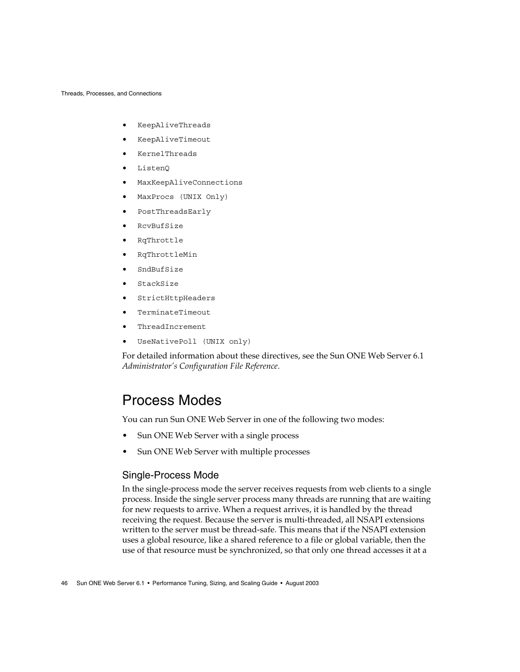- KeepAliveThreads
- KeepAliveTimeout
- KernelThreads
- ListenQ
- MaxKeepAliveConnections
- MaxProcs (UNIX Only)
- PostThreadsEarly
- RcvBufSize
- RqThrottle
- RqThrottleMin
- SndBufSize
- StackSize
- StrictHttpHeaders
- TerminateTimeout
- ThreadIncrement
- UseNativePoll (UNIX only)

For detailed information about these directives, see the Sun ONE Web Server 6.1 *Administrator's Configuration File Reference*.

### <span id="page-45-0"></span>Process Modes

You can run Sun ONE Web Server in one of the following two modes:

- Sun ONE Web Server with a single process
- Sun ONE Web Server with multiple processes

### Single-Process Mode

In the single-process mode the server receives requests from web clients to a single process. Inside the single server process many threads are running that are waiting for new requests to arrive. When a request arrives, it is handled by the thread receiving the request. Because the server is multi-threaded, all NSAPI extensions written to the server must be thread-safe. This means that if the NSAPI extension uses a global resource, like a shared reference to a file or global variable, then the use of that resource must be synchronized, so that only one thread accesses it at a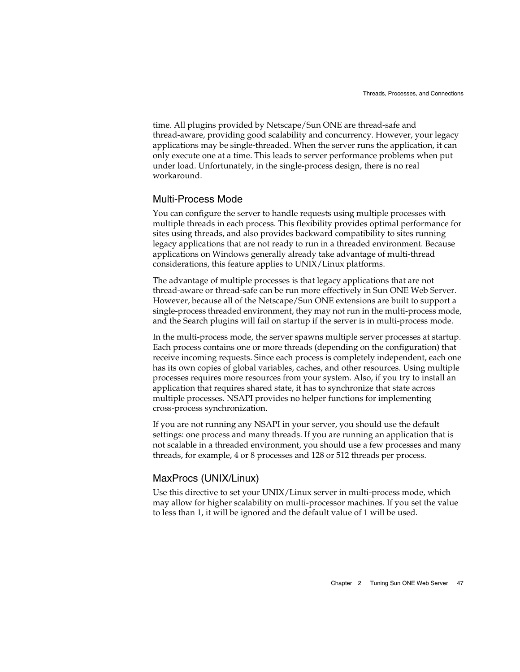time. All plugins provided by Netscape/Sun ONE are thread-safe and thread-aware, providing good scalability and concurrency. However, your legacy applications may be single-threaded. When the server runs the application, it can only execute one at a time. This leads to server performance problems when put under load. Unfortunately, in the single-process design, there is no real workaround.

### Multi-Process Mode

You can configure the server to handle requests using multiple processes with multiple threads in each process. This flexibility provides optimal performance for sites using threads, and also provides backward compatibility to sites running legacy applications that are not ready to run in a threaded environment. Because applications on Windows generally already take advantage of multi-thread considerations, this feature applies to UNIX/Linux platforms.

The advantage of multiple processes is that legacy applications that are not thread-aware or thread-safe can be run more effectively in Sun ONE Web Server. However, because all of the Netscape/Sun ONE extensions are built to support a single-process threaded environment, they may not run in the multi-process mode, and the Search plugins will fail on startup if the server is in multi-process mode.

In the multi-process mode, the server spawns multiple server processes at startup. Each process contains one or more threads (depending on the configuration) that receive incoming requests. Since each process is completely independent, each one has its own copies of global variables, caches, and other resources. Using multiple processes requires more resources from your system. Also, if you try to install an application that requires shared state, it has to synchronize that state across multiple processes. NSAPI provides no helper functions for implementing cross-process synchronization.

If you are not running any NSAPI in your server, you should use the default settings: one process and many threads. If you are running an application that is not scalable in a threaded environment, you should use a few processes and many threads, for example, 4 or 8 processes and 128 or 512 threads per process.

### MaxProcs (UNIX/Linux)

Use this directive to set your UNIX/Linux server in multi-process mode, which may allow for higher scalability on multi-processor machines. If you set the value to less than 1, it will be ignored and the default value of 1 will be used.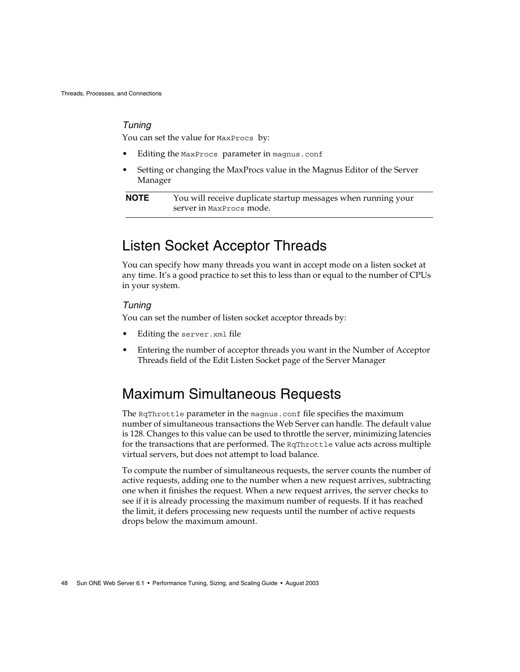### *Tuning*

You can set the value for MaxProcs by:

- Editing the MaxProcs parameter in magnus.conf
- Setting or changing the MaxProcs value in the Magnus Editor of the Server Manager

| <b>NOTE</b> | You will receive duplicate startup messages when running your |
|-------------|---------------------------------------------------------------|
|             | server in MaxProcs mode.                                      |

## <span id="page-47-0"></span>Listen Socket Acceptor Threads

You can specify how many threads you want in accept mode on a listen socket at any time. It's a good practice to set this to less than or equal to the number of CPUs in your system.

### *Tuning*

You can set the number of listen socket acceptor threads by:

- Editing the server. xml file
- Entering the number of acceptor threads you want in the Number of Acceptor Threads field of the Edit Listen Socket page of the Server Manager

## <span id="page-47-1"></span>Maximum Simultaneous Requests

The RqThrottle parameter in the magnus.conf file specifies the maximum number of simultaneous transactions the Web Server can handle. The default value is 128. Changes to this value can be used to throttle the server, minimizing latencies for the transactions that are performed. The RqThrottle value acts across multiple virtual servers, but does not attempt to load balance.

To compute the number of simultaneous requests, the server counts the number of active requests, adding one to the number when a new request arrives, subtracting one when it finishes the request. When a new request arrives, the server checks to see if it is already processing the maximum number of requests. If it has reached the limit, it defers processing new requests until the number of active requests drops below the maximum amount.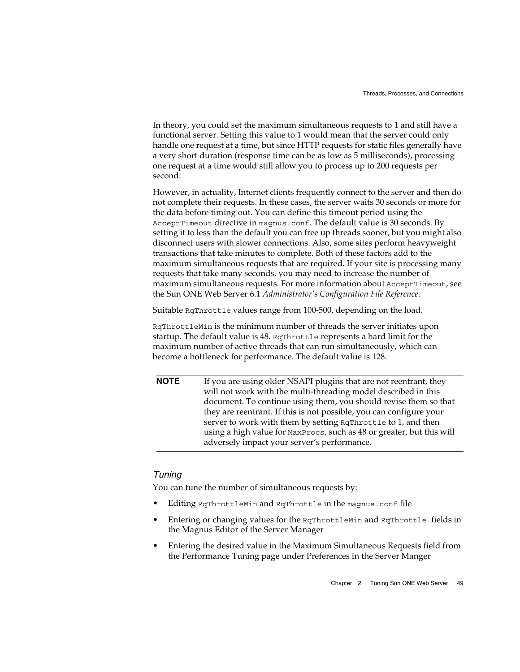In theory, you could set the maximum simultaneous requests to 1 and still have a functional server. Setting this value to 1 would mean that the server could only handle one request at a time, but since HTTP requests for static files generally have a very short duration (response time can be as low as 5 milliseconds), processing one request at a time would still allow you to process up to 200 requests per second.

However, in actuality, Internet clients frequently connect to the server and then do not complete their requests. In these cases, the server waits 30 seconds or more for the data before timing out. You can define this timeout period using the AcceptTimeout directive in magnus.conf. The default value is 30 seconds. By setting it to less than the default you can free up threads sooner, but you might also disconnect users with slower connections. Also, some sites perform heavyweight transactions that take minutes to complete. Both of these factors add to the maximum simultaneous requests that are required. If your site is processing many requests that take many seconds, you may need to increase the number of maximum simultaneous requests. For more information about AcceptTimeout, see the Sun ONE Web Server 6.1 *Administrator's Configuration File Reference*.

Suitable RqThrottle values range from 100-500, depending on the load.

RqThrottleMin is the minimum number of threads the server initiates upon startup. The default value is 48. RqThrottle represents a hard limit for the maximum number of active threads that can run simultaneously, which can become a bottleneck for performance. The default value is 128.

**NOTE** If you are using older NSAPI plugins that are not reentrant, they will not work with the multi-threading model described in this document. To continue using them, you should revise them so that they are reentrant. If this is not possible, you can configure your server to work with them by setting RqThrottle to 1, and then using a high value for MaxProcs, such as 48 or greater, but this will adversely impact your server's performance.

### *Tuning*

You can tune the number of simultaneous requests by:

- Editing RqThrottleMin and RqThrottle in the magnus.conf file
- Entering or changing values for the RqThrottleMin and RqThrottle fields in the Magnus Editor of the Server Manager
- Entering the desired value in the Maximum Simultaneous Requests field from the Performance Tuning page under Preferences in the Server Manger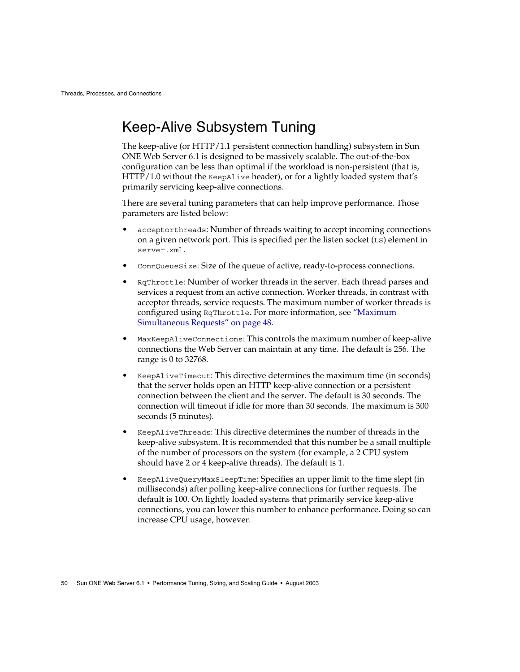## <span id="page-49-0"></span>Keep-Alive Subsystem Tuning

The keep-alive (or HTTP/1.1 persistent connection handling) subsystem in Sun ONE Web Server 6.1 is designed to be massively scalable. The out-of-the-box configuration can be less than optimal if the workload is non-persistent (that is, HTTP/1.0 without the KeepAlive header), or for a lightly loaded system that's primarily servicing keep-alive connections.

There are several tuning parameters that can help improve performance. Those parameters are listed below:

- acceptorthreads: Number of threads waiting to accept incoming connections on a given network port. This is specified per the listen socket (LS) element in server.xml.
- ConnQueueSize: Size of the queue of active, ready-to-process connections.
- RqThrottle: Number of worker threads in the server. Each thread parses and services a request from an active connection. Worker threads, in contrast with acceptor threads, service requests. The maximum number of worker threads is configured using RqThrottle. For more information, see ["Maximum](#page-47-1)  [Simultaneous Requests" on page 48.](#page-47-1)
- MaxKeepAliveConnections: This controls the maximum number of keep-alive connections the Web Server can maintain at any time. The default is 256. The range is 0 to 32768.
- KeepAliveTimeout: This directive determines the maximum time (in seconds) that the server holds open an HTTP keep-alive connection or a persistent connection between the client and the server. The default is 30 seconds. The connection will timeout if idle for more than 30 seconds. The maximum is 300 seconds (5 minutes).
- KeepAliveThreads: This directive determines the number of threads in the keep-alive subsystem. It is recommended that this number be a small multiple of the number of processors on the system (for example, a 2 CPU system should have 2 or 4 keep-alive threads). The default is 1.
- KeepAliveQueryMaxSleepTime: Specifies an upper limit to the time slept (in milliseconds) after polling keep-alive connections for further requests. The default is 100. On lightly loaded systems that primarily service keep-alive connections, you can lower this number to enhance performance. Doing so can increase CPU usage, however.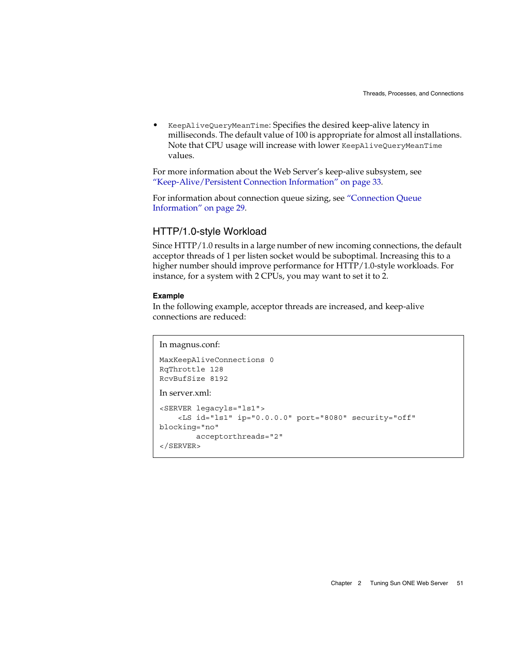• KeepAliveQueryMeanTime: Specifies the desired keep-alive latency in milliseconds. The default value of 100 is appropriate for almost all installations. Note that CPU usage will increase with lower KeepAliveQueryMeanTime values.

For more information about the Web Server's keep-alive subsystem, see ["Keep-Alive/Persistent Connection Information" on page 33.](#page-32-0)

For information about connection queue sizing, see ["Connection Queue](#page-28-0)  [Information" on page 29](#page-28-0).

### HTTP/1.0-style Workload

Since HTTP/1.0 results in a large number of new incoming connections, the default acceptor threads of 1 per listen socket would be suboptimal. Increasing this to a higher number should improve performance for HTTP/1.0-style workloads. For instance, for a system with 2 CPUs, you may want to set it to 2.

#### **Example**

In the following example, acceptor threads are increased, and keep-alive connections are reduced:

```
In magnus.conf:
MaxKeepAliveConnections 0
RqThrottle 128
RcvBufSize 8192
In server.xml:
<SERVER legacyls="ls1">
    <LS id="ls1" ip="0.0.0.0" port="8080" security="off" 
blocking="no"
        acceptorthreads="2"
</SERVER>
```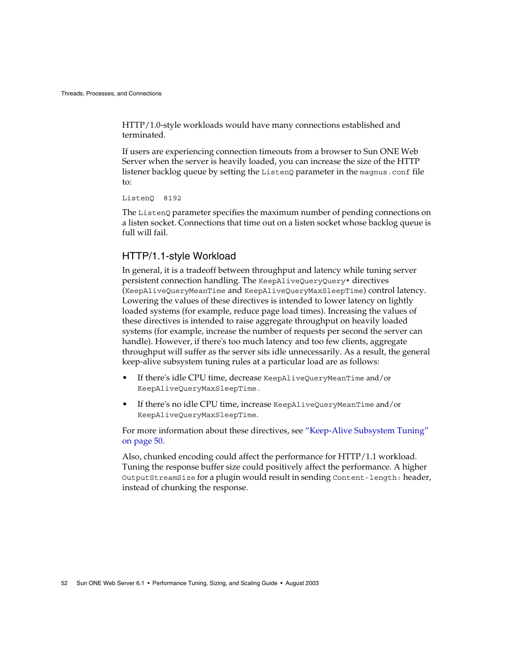HTTP/1.0-style workloads would have many connections established and terminated.

If users are experiencing connection timeouts from a browser to Sun ONE Web Server when the server is heavily loaded, you can increase the size of the HTTP listener backlog queue by setting the ListenQ parameter in the magnus.conf file to:

ListenQ 8192

The ListenQ parameter specifies the maximum number of pending connections on a listen socket. Connections that time out on a listen socket whose backlog queue is full will fail.

### HTTP/1.1-style Workload

In general, it is a tradeoff between throughput and latency while tuning server persistent connection handling. The KeepAliveQueryQuery\* directives (KeepAliveQueryMeanTime and KeepAliveQueryMaxSleepTime) control latency. Lowering the values of these directives is intended to lower latency on lightly loaded systems (for example, reduce page load times). Increasing the values of these directives is intended to raise aggregate throughput on heavily loaded systems (for example, increase the number of requests per second the server can handle). However, if there's too much latency and too few clients, aggregate throughput will suffer as the server sits idle unnecessarily. As a result, the general keep-alive subsystem tuning rules at a particular load are as follows:

- If there's idle CPU time, decrease KeepAliveQueryMeanTime and/or KeepAliveQueryMaxSleepTime.
- If there's no idle CPU time, increase KeepAliveQueryMeanTime and/or KeepAliveQueryMaxSleepTime.

For more information about these directives, see ["Keep-Alive Subsystem Tuning"](#page-49-0)  [on page 50.](#page-49-0)

Also, chunked encoding could affect the performance for HTTP/1.1 workload. Tuning the response buffer size could positively affect the performance. A higher OutputStreamSize for a plugin would result in sending Content-length: header, instead of chunking the response.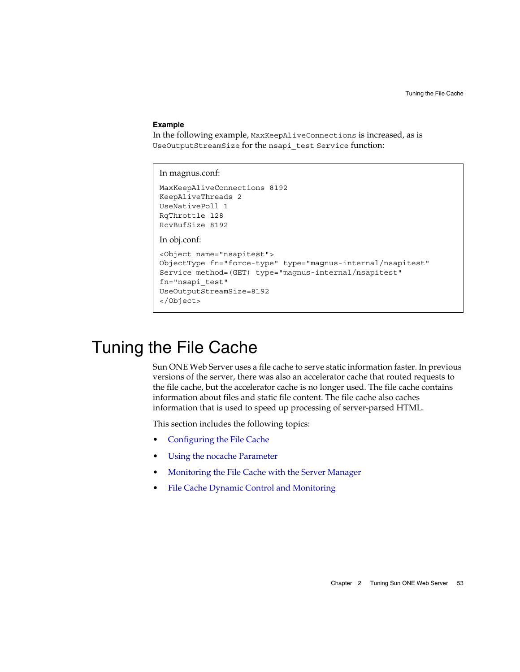#### **Example**

In the following example, MaxKeepAliveConnections is increased, as is UseOutputStreamSize for the nsapi test Service function:

```
In magnus.conf:
MaxKeepAliveConnections 8192
KeepAliveThreads 2
UseNativePoll 1
RqThrottle 128
RcvBufSize 8192
In obj.conf:
<Object name="nsapitest"> 
ObjectType fn="force-type" type="magnus-internal/nsapitest" 
Service method=(GET) type="magnus-internal/nsapitest" 
fn="nsapi_test"
UseOutputStreamSize=8192 
</Object>
```
## <span id="page-52-0"></span>Tuning the File Cache

Sun ONE Web Server uses a file cache to serve static information faster. In previous versions of the server, there was also an accelerator cache that routed requests to the file cache, but the accelerator cache is no longer used. The file cache contains information about files and static file content. The file cache also caches information that is used to speed up processing of server-parsed HTML.

This section includes the following topics:

- [Configuring the File Cache](#page-53-0)
- [Using the nocache Parameter](#page-55-0)
- [Monitoring the File Cache with the Server Manager](#page-55-1)
- [File Cache Dynamic Control and Monitoring](#page-56-0)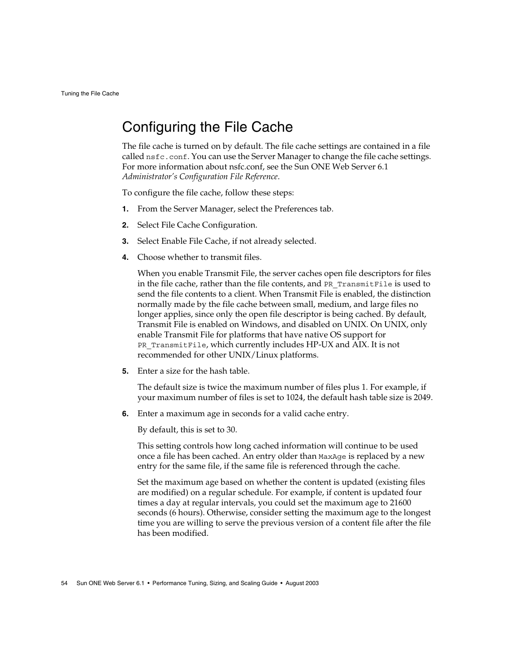## <span id="page-53-0"></span>Configuring the File Cache

The file cache is turned on by default. The file cache settings are contained in a file called nsfc.conf. You can use the Server Manager to change the file cache settings. For more information about nsfc.conf, see the Sun ONE Web Server 6.1 *Administrator's Configuration File Reference*.

To configure the file cache, follow these steps:

- **1.** From the Server Manager, select the Preferences tab.
- **2.** Select File Cache Configuration.
- **3.** Select Enable File Cache, if not already selected.
- **4.** Choose whether to transmit files.

When you enable Transmit File, the server caches open file descriptors for files in the file cache, rather than the file contents, and PR\_TransmitFile is used to send the file contents to a client. When Transmit File is enabled, the distinction normally made by the file cache between small, medium, and large files no longer applies, since only the open file descriptor is being cached. By default, Transmit File is enabled on Windows, and disabled on UNIX. On UNIX, only enable Transmit File for platforms that have native OS support for PR TransmitFile, which currently includes HP-UX and AIX. It is not recommended for other UNIX/Linux platforms.

**5.** Enter a size for the hash table.

The default size is twice the maximum number of files plus 1. For example, if your maximum number of files is set to 1024, the default hash table size is 2049.

**6.** Enter a maximum age in seconds for a valid cache entry.

By default, this is set to 30.

This setting controls how long cached information will continue to be used once a file has been cached. An entry older than MaxAge is replaced by a new entry for the same file, if the same file is referenced through the cache.

Set the maximum age based on whether the content is updated (existing files are modified) on a regular schedule. For example, if content is updated four times a day at regular intervals, you could set the maximum age to 21600 seconds (6 hours). Otherwise, consider setting the maximum age to the longest time you are willing to serve the previous version of a content file after the file has been modified.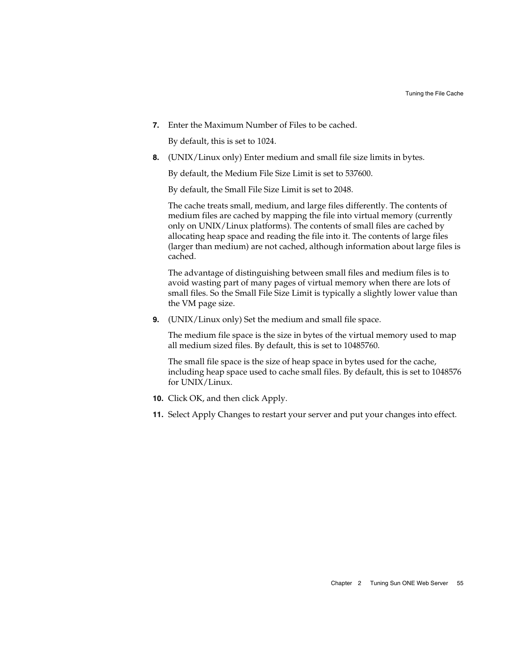**7.** Enter the Maximum Number of Files to be cached.

By default, this is set to 1024.

**8.** (UNIX/Linux only) Enter medium and small file size limits in bytes.

By default, the Medium File Size Limit is set to 537600.

By default, the Small File Size Limit is set to 2048.

The cache treats small, medium, and large files differently. The contents of medium files are cached by mapping the file into virtual memory (currently only on UNIX/Linux platforms). The contents of small files are cached by allocating heap space and reading the file into it. The contents of large files (larger than medium) are not cached, although information about large files is cached.

The advantage of distinguishing between small files and medium files is to avoid wasting part of many pages of virtual memory when there are lots of small files. So the Small File Size Limit is typically a slightly lower value than the VM page size.

**9.** (UNIX/Linux only) Set the medium and small file space.

The medium file space is the size in bytes of the virtual memory used to map all medium sized files. By default, this is set to 10485760.

The small file space is the size of heap space in bytes used for the cache, including heap space used to cache small files. By default, this is set to 1048576 for UNIX/Linux.

- **10.** Click OK, and then click Apply.
- **11.** Select Apply Changes to restart your server and put your changes into effect.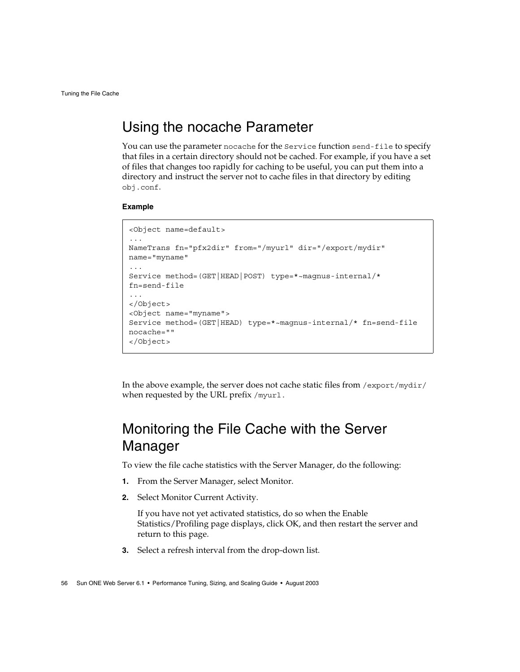## <span id="page-55-2"></span><span id="page-55-0"></span>Using the nocache Parameter

You can use the parameter nocache for the Service function send-file to specify that files in a certain directory should not be cached. For example, if you have a set of files that changes too rapidly for caching to be useful, you can put them into a directory and instruct the server not to cache files in that directory by editing obj.conf.

#### **Example**

```
<Object name=default>
NameTrans fn="pfx2dir" from="/myurl" dir="/export/mydir"
name="myname"
...
Service method=(GET|HEAD|POST) type=*~magnus-internal/*
fn=send-file
...
</Object>
<Object name="myname">
Service method=(GET|HEAD) type=*~magnus-internal/* fn=send-file
nocache=""
</Object>
```
In the above example, the server does not cache static files from /export/mydir/ when requested by the URL prefix /myurl.

## <span id="page-55-1"></span>Monitoring the File Cache with the Server Manager

To view the file cache statistics with the Server Manager, do the following:

- **1.** From the Server Manager, select Monitor.
- **2.** Select Monitor Current Activity.

If you have not yet activated statistics, do so when the Enable Statistics/Profiling page displays, click OK, and then restart the server and return to this page.

**3.** Select a refresh interval from the drop-down list.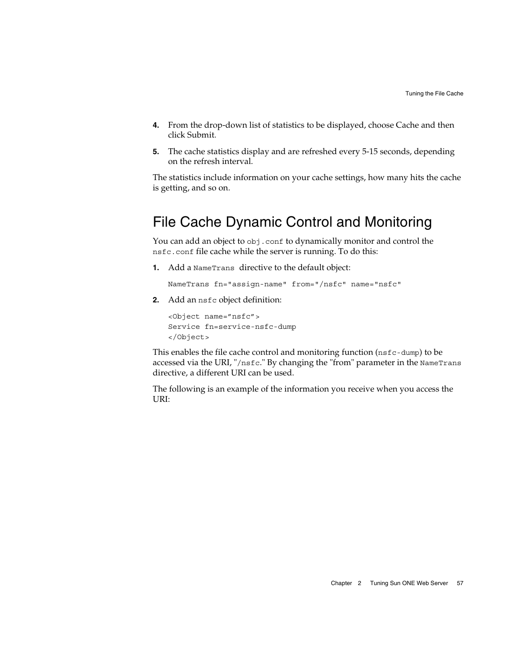- **4.** From the drop-down list of statistics to be displayed, choose Cache and then click Submit.
- **5.** The cache statistics display and are refreshed every 5-15 seconds, depending on the refresh interval.

The statistics include information on your cache settings, how many hits the cache is getting, and so on.

### <span id="page-56-0"></span>File Cache Dynamic Control and Monitoring

You can add an object to  $\circ$ bj.conf to dynamically monitor and control the nsfc.conf file cache while the server is running. To do this:

**1.** Add a NameTrans directive to the default object:

NameTrans fn="assign-name" from="/nsfc" name="nsfc"

**2.** Add an nsfc object definition:

```
<Object name="nsfc"> 
Service fn=service-nsfc-dump 
</Object>
```
This enables the file cache control and monitoring function (nsfc-dump) to be accessed via the URI, "/nsfc." By changing the "from" parameter in the NameTrans directive, a different URI can be used.

The following is an example of the information you receive when you access the URI: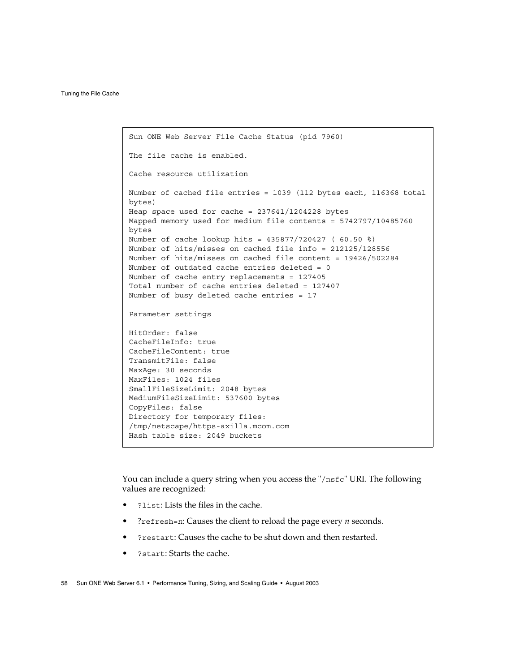```
Sun ONE Web Server File Cache Status (pid 7960)
The file cache is enabled. 
Cache resource utilization
Number of cached file entries = 1039 (112 bytes each, 116368 total
bytes)
Heap space used for cache = 237641/1204228 bytes
Mapped memory used for medium file contents = 5742797/10485760 
bytes
Number of cache lookup hits = 435877/720427 ( 60.50 %)
Number of hits/misses on cached file info = 212125/128556
Number of hits/misses on cached file content = 19426/502284
Number of outdated cache entries deleted = 0
Number of cache entry replacements = 127405
Total number of cache entries deleted = 127407
Number of busy deleted cache entries = 17
Parameter settings
HitOrder: false
CacheFileInfo: true
CacheFileContent: true
TransmitFile: false
MaxAge: 30 seconds
MaxFiles: 1024 files
SmallFileSizeLimit: 2048 bytes
MediumFileSizeLimit: 537600 bytes
CopyFiles: false
Directory for temporary files: 
/tmp/netscape/https-axilla.mcom.com
Hash table size: 2049 buckets
```
You can include a query string when you access the "/nsfc" URI. The following values are recognized:

- ?list: Lists the files in the cache.
- ?refresh=*n*: Causes the client to reload the page every *n* seconds.
- ?restart: Causes the cache to be shut down and then restarted.
- ?start: Starts the cache.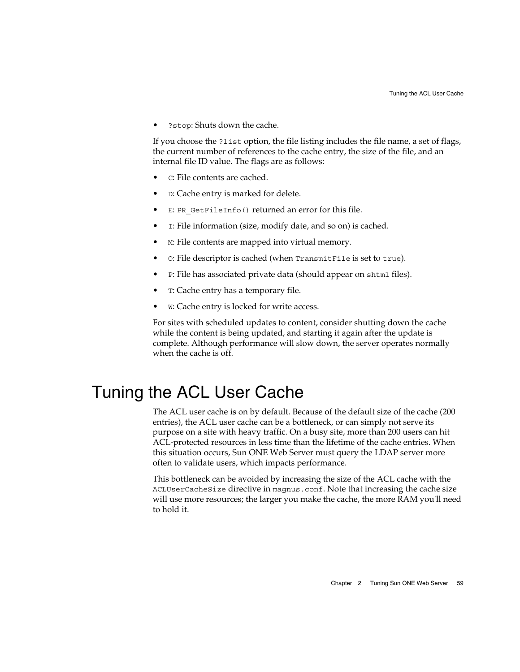?stop: Shuts down the cache.

If you choose the ?list option, the file listing includes the file name, a set of flags, the current number of references to the cache entry, the size of the file, and an internal file ID value. The flags are as follows:

- C: File contents are cached.
- D: Cache entry is marked for delete.
- $E: PR$  GetFileInfo() returned an error for this file.
- I: File information (size, modify date, and so on) is cached.
- M: File contents are mapped into virtual memory.
- O: File descriptor is cached (when TransmitFile is set to true).
- P: File has associated private data (should appear on shtml files).
- T: Cache entry has a temporary file.
- W: Cache entry is locked for write access.

For sites with scheduled updates to content, consider shutting down the cache while the content is being updated, and starting it again after the update is complete. Although performance will slow down, the server operates normally when the cache is off.

## Tuning the ACL User Cache

The ACL user cache is on by default. Because of the default size of the cache (200 entries), the ACL user cache can be a bottleneck, or can simply not serve its purpose on a site with heavy traffic. On a busy site, more than 200 users can hit ACL-protected resources in less time than the lifetime of the cache entries. When this situation occurs, Sun ONE Web Server must query the LDAP server more often to validate users, which impacts performance.

This bottleneck can be avoided by increasing the size of the ACL cache with the ACLUserCacheSize directive in magnus.conf. Note that increasing the cache size will use more resources; the larger you make the cache, the more RAM you'll need to hold it.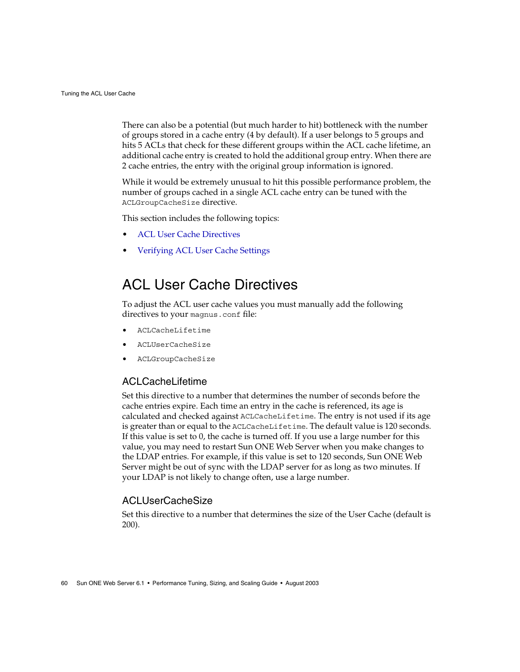There can also be a potential (but much harder to hit) bottleneck with the number of groups stored in a cache entry (4 by default). If a user belongs to 5 groups and hits 5 ACLs that check for these different groups within the ACL cache lifetime, an additional cache entry is created to hold the additional group entry. When there are 2 cache entries, the entry with the original group information is ignored.

While it would be extremely unusual to hit this possible performance problem, the number of groups cached in a single ACL cache entry can be tuned with the ACLGroupCacheSize directive.

This section includes the following topics:

- [ACL User Cache Directives](#page-59-0)
- [Verifying ACL User Cache Settings](#page-60-0)

## <span id="page-59-0"></span>ACL User Cache Directives

To adjust the ACL user cache values you must manually add the following directives to your magnus.conf file:

- ACLCacheLifetime
- ACLUserCacheSize
- ACLGroupCacheSize

### ACLCacheLifetime

Set this directive to a number that determines the number of seconds before the cache entries expire. Each time an entry in the cache is referenced, its age is calculated and checked against ACLCacheLifetime. The entry is not used if its age is greater than or equal to the ACLCacheLifetime. The default value is 120 seconds. If this value is set to 0, the cache is turned off. If you use a large number for this value, you may need to restart Sun ONE Web Server when you make changes to the LDAP entries. For example, if this value is set to 120 seconds, Sun ONE Web Server might be out of sync with the LDAP server for as long as two minutes. If your LDAP is not likely to change often, use a large number.

### ACLUserCacheSize

Set this directive to a number that determines the size of the User Cache (default is 200).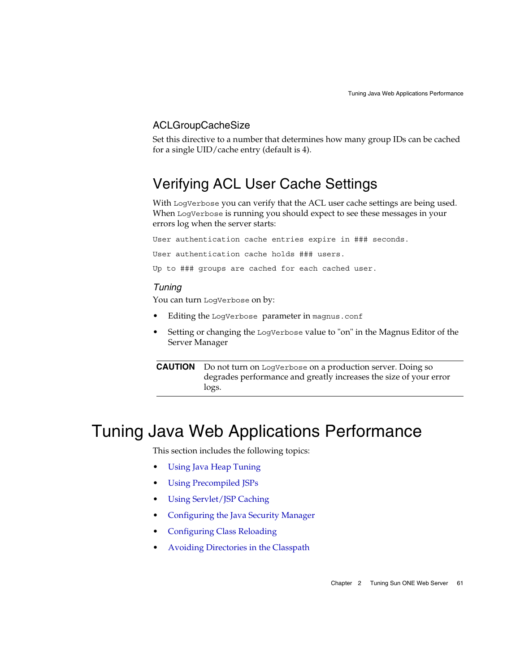### ACLGroupCacheSize

Set this directive to a number that determines how many group IDs can be cached for a single UID/cache entry (default is 4).

## <span id="page-60-0"></span>Verifying ACL User Cache Settings

With LogVerbose you can verify that the ACL user cache settings are being used. When LogVerbose is running you should expect to see these messages in your errors log when the server starts:

User authentication cache entries expire in ### seconds.

User authentication cache holds ### users.

Up to ### groups are cached for each cached user.

### *Tuning*

You can turn LogVerbose on by:

- Editing the LogVerbose parameter in magnus.conf
- Setting or changing the LogVerbose value to "on" in the Magnus Editor of the Server Manager

**CAUTION** Do not turn on LogVerbose on a production server. Doing so degrades performance and greatly increases the size of your error logs.

# Tuning Java Web Applications Performance

This section includes the following topics:

- [Using Java Heap Tuning](#page-61-0)
- [Using Precompiled JSPs](#page-61-1)
- [Using Servlet/JSP Caching](#page-62-0)
- [Configuring the Java Security Manager](#page-62-1)
- [Configuring Class Reloading](#page-62-2)
- [Avoiding Directories in the Classpath](#page-63-0)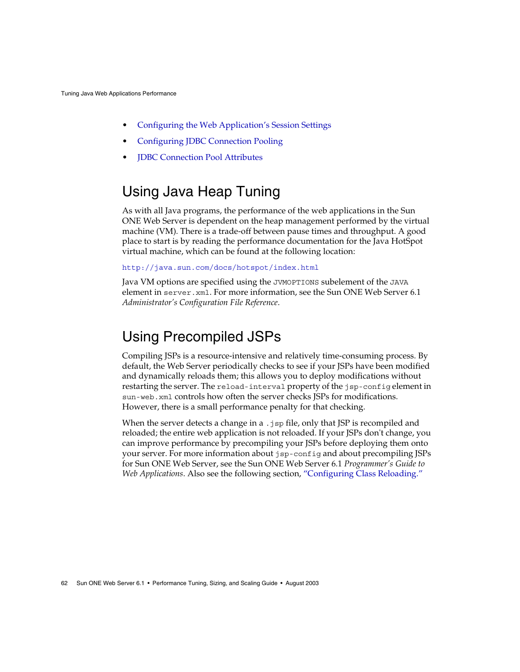- [Configuring the Web Application's Session Settings](#page-63-1)
- [Configuring JDBC Connection Pooling](#page-64-0)
- [JDBC Connection Pool Attributes](#page-65-0)

## <span id="page-61-0"></span>Using Java Heap Tuning

As with all Java programs, the performance of the web applications in the Sun ONE Web Server is dependent on the heap management performed by the virtual machine (VM). There is a trade-off between pause times and throughput. A good place to start is by reading the performance documentation for the Java HotSpot virtual machine, which can be found at the following location:

<http://java.sun.com/docs/hotspot/index.html>

Java VM options are specified using the JVMOPTIONS subelement of the JAVA element in server.xml. For more information, see the Sun ONE Web Server 6.1 *Administrator's Configuration File Reference*.

## <span id="page-61-1"></span>Using Precompiled JSPs

Compiling JSPs is a resource-intensive and relatively time-consuming process. By default, the Web Server periodically checks to see if your JSPs have been modified and dynamically reloads them; this allows you to deploy modifications without restarting the server. The reload-interval property of the jsp-config element in sun-web.xml controls how often the server checks JSPs for modifications. However, there is a small performance penalty for that checking.

When the server detects a change in a  $\cdot$  jsp file, only that JSP is recompiled and reloaded; the entire web application is not reloaded. If your JSPs don't change, you can improve performance by precompiling your JSPs before deploying them onto your server. For more information about jsp-config and about precompiling JSPs for Sun ONE Web Server, see the Sun ONE Web Server 6.1 *Programmer's Guide to Web Applications*. Also see the following section, ["Configuring Class Reloading."](#page-62-2)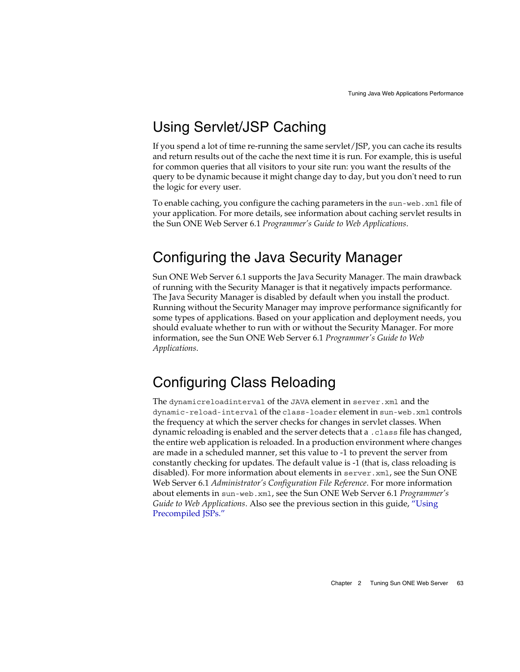## <span id="page-62-0"></span>Using Servlet/JSP Caching

If you spend a lot of time re-running the same servlet/JSP, you can cache its results and return results out of the cache the next time it is run. For example, this is useful for common queries that all visitors to your site run: you want the results of the query to be dynamic because it might change day to day, but you don't need to run the logic for every user.

To enable caching, you configure the caching parameters in the sun-web.xml file of your application. For more details, see information about caching servlet results in the Sun ONE Web Server 6.1 *Programmer's Guide to Web Applications*.

## <span id="page-62-1"></span>Configuring the Java Security Manager

Sun ONE Web Server 6.1 supports the Java Security Manager. The main drawback of running with the Security Manager is that it negatively impacts performance. The Java Security Manager is disabled by default when you install the product. Running without the Security Manager may improve performance significantly for some types of applications. Based on your application and deployment needs, you should evaluate whether to run with or without the Security Manager. For more information, see the Sun ONE Web Server 6.1 *Programmer's Guide to Web Applications*.

## <span id="page-62-2"></span>Configuring Class Reloading

The dynamicreloadinterval of the JAVA element in server.xml and the dynamic-reload-interval of the class-loader element in sun-web.xml controls the frequency at which the server checks for changes in servlet classes. When dynamic reloading is enabled and the server detects that a .class file has changed, the entire web application is reloaded. In a production environment where changes are made in a scheduled manner, set this value to -1 to prevent the server from constantly checking for updates. The default value is -1 (that is, class reloading is disabled). For more information about elements in server.xml, see the Sun ONE Web Server 6.1 *Administrator's Configuration File Reference*. For more information about elements in sun-web.xml, see the Sun ONE Web Server 6.1 *Programmer's Guide to Web Applications*. Also see the previous section in this guide, ["Using](#page-61-1)  [Precompiled JSPs."](#page-61-1)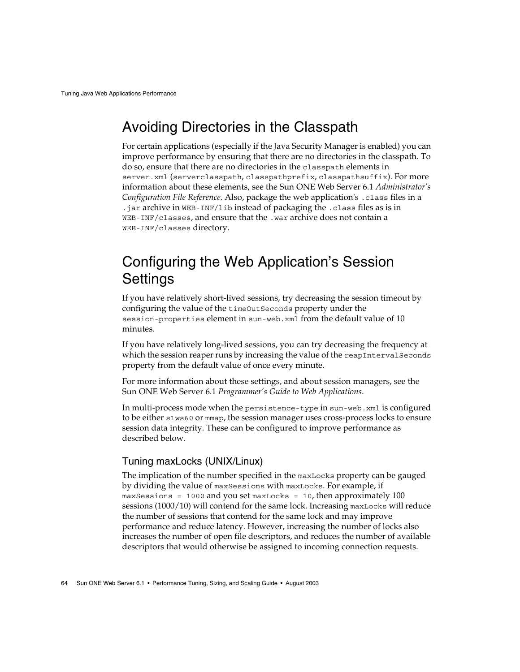## <span id="page-63-0"></span>Avoiding Directories in the Classpath

For certain applications (especially if the Java Security Manager is enabled) you can improve performance by ensuring that there are no directories in the classpath. To do so, ensure that there are no directories in the classpath elements in server.xml (serverclasspath, classpathprefix, classpathsuffix). For more information about these elements, see the Sun ONE Web Server 6.1 *Administrator's Configuration File Reference*. Also, package the web application's .class files in a .jar archive in WEB-INF/lib instead of packaging the .class files as is in WEB-INF/classes, and ensure that the .war archive does not contain a WEB-INF/classes directory.

## <span id="page-63-1"></span>Configuring the Web Application's Session **Settings**

If you have relatively short-lived sessions, try decreasing the session timeout by configuring the value of the timeOutSeconds property under the session-properties element in sun-web.xml from the default value of 10 minutes.

If you have relatively long-lived sessions, you can try decreasing the frequency at which the session reaper runs by increasing the value of the reapIntervalSeconds property from the default value of once every minute.

For more information about these settings, and about session managers, see the Sun ONE Web Server 6.1 *Programmer's Guide to Web Applications*.

In multi-process mode when the persistence-type in sun-web.xml is configured to be either s1ws60 or mmap, the session manager uses cross-process locks to ensure session data integrity. These can be configured to improve performance as described below.

### Tuning maxLocks (UNIX/Linux)

The implication of the number specified in the maxLocks property can be gauged by dividing the value of maxSessions with maxLocks. For example, if maxSessions = 1000 and you set maxLocks = 10, then approximately 100 sessions (1000/10) will contend for the same lock. Increasing maxLocks will reduce the number of sessions that contend for the same lock and may improve performance and reduce latency. However, increasing the number of locks also increases the number of open file descriptors, and reduces the number of available descriptors that would otherwise be assigned to incoming connection requests.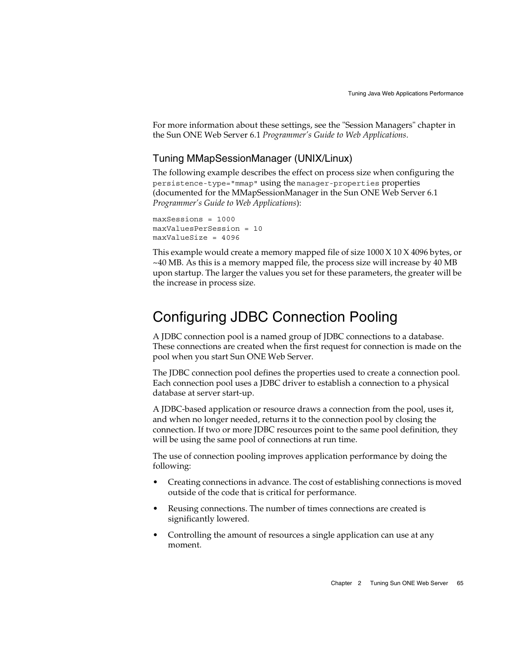For more information about these settings, see the "Session Managers" chapter in the Sun ONE Web Server 6.1 *Programmer's Guide to Web Applications*.

### Tuning MMapSessionManager (UNIX/Linux)

The following example describes the effect on process size when configuring the persistence-type="mmap" using the manager-properties properties (documented for the MMapSessionManager in the Sun ONE Web Server 6.1 *Programmer's Guide to Web Applications*):

```
maxSessions = 1000
maxValuesPerSession = 10
maxValueSize = 4096
```
This example would create a memory mapped file of size 1000 X 10 X 4096 bytes, or  $\sim$ 40 MB. As this is a memory mapped file, the process size will increase by 40 MB upon startup. The larger the values you set for these parameters, the greater will be the increase in process size.

## <span id="page-64-0"></span>Configuring JDBC Connection Pooling

A JDBC connection pool is a named group of JDBC connections to a database. These connections are created when the first request for connection is made on the pool when you start Sun ONE Web Server.

The JDBC connection pool defines the properties used to create a connection pool. Each connection pool uses a JDBC driver to establish a connection to a physical database at server start-up.

A JDBC-based application or resource draws a connection from the pool, uses it, and when no longer needed, returns it to the connection pool by closing the connection. If two or more JDBC resources point to the same pool definition, they will be using the same pool of connections at run time.

The use of connection pooling improves application performance by doing the following:

- Creating connections in advance. The cost of establishing connections is moved outside of the code that is critical for performance.
- Reusing connections. The number of times connections are created is significantly lowered.
- Controlling the amount of resources a single application can use at any moment.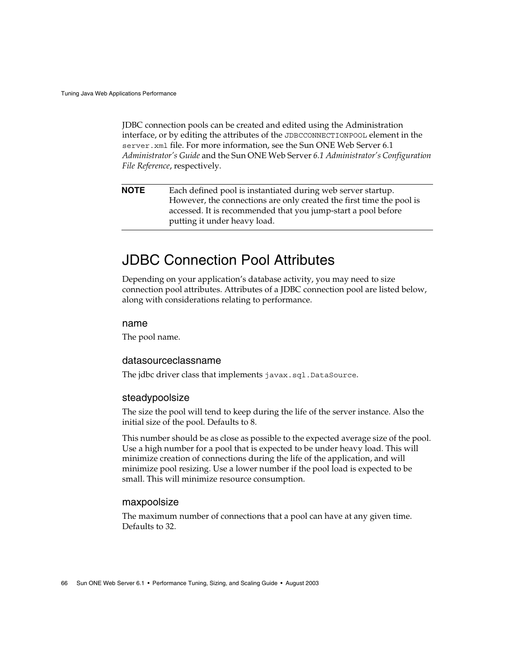JDBC connection pools can be created and edited using the Administration interface, or by editing the attributes of the JDBCCONNECTIONPOOL element in the server.xml file. For more information, see the Sun ONE Web Server 6.1 *Administrator's Guide* and the Sun ONE Web Server *6.1 Administrator's Configuration File Reference*, respectively.

**NOTE** Each defined pool is instantiated during web server startup. However, the connections are only created the first time the pool is accessed. It is recommended that you jump-start a pool before putting it under heavy load.

## <span id="page-65-0"></span>JDBC Connection Pool Attributes

Depending on your application's database activity, you may need to size connection pool attributes. Attributes of a JDBC connection pool are listed below, along with considerations relating to performance.

### name

The pool name.

### datasourceclassname

The jdbc driver class that implements javax.sql.DataSource.

### steadypoolsize

The size the pool will tend to keep during the life of the server instance. Also the initial size of the pool. Defaults to 8.

This number should be as close as possible to the expected average size of the pool. Use a high number for a pool that is expected to be under heavy load. This will minimize creation of connections during the life of the application, and will minimize pool resizing. Use a lower number if the pool load is expected to be small. This will minimize resource consumption.

### maxpoolsize

The maximum number of connections that a pool can have at any given time. Defaults to 32.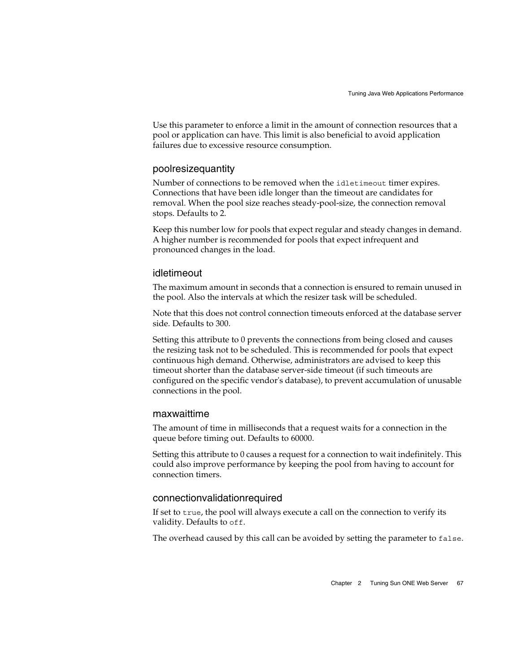Use this parameter to enforce a limit in the amount of connection resources that a pool or application can have. This limit is also beneficial to avoid application failures due to excessive resource consumption.

### poolresizequantity

Number of connections to be removed when the idletimeout timer expires. Connections that have been idle longer than the timeout are candidates for removal. When the pool size reaches steady-pool-size, the connection removal stops. Defaults to 2.

Keep this number low for pools that expect regular and steady changes in demand. A higher number is recommended for pools that expect infrequent and pronounced changes in the load.

### idletimeout

The maximum amount in seconds that a connection is ensured to remain unused in the pool. Also the intervals at which the resizer task will be scheduled.

Note that this does not control connection timeouts enforced at the database server side. Defaults to 300.

Setting this attribute to 0 prevents the connections from being closed and causes the resizing task not to be scheduled. This is recommended for pools that expect continuous high demand. Otherwise, administrators are advised to keep this timeout shorter than the database server-side timeout (if such timeouts are configured on the specific vendor's database), to prevent accumulation of unusable connections in the pool.

### maxwaittime

The amount of time in milliseconds that a request waits for a connection in the queue before timing out. Defaults to 60000.

Setting this attribute to 0 causes a request for a connection to wait indefinitely. This could also improve performance by keeping the pool from having to account for connection timers.

### connectionvalidationrequired

If set to true, the pool will always execute a call on the connection to verify its validity. Defaults to off.

The overhead caused by this call can be avoided by setting the parameter to false.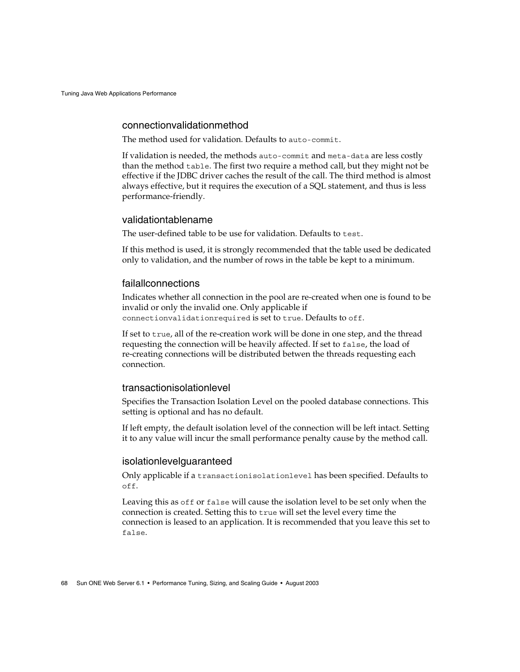### connectionvalidationmethod

The method used for validation. Defaults to auto-commit.

If validation is needed, the methods auto-commit and meta-data are less costly than the method table. The first two require a method call, but they might not be effective if the JDBC driver caches the result of the call. The third method is almost always effective, but it requires the execution of a SQL statement, and thus is less performance-friendly.

### validationtablename

The user-defined table to be use for validation. Defaults to test.

If this method is used, it is strongly recommended that the table used be dedicated only to validation, and the number of rows in the table be kept to a minimum.

### failallconnections

Indicates whether all connection in the pool are re-created when one is found to be invalid or only the invalid one. Only applicable if connectionvalidationrequired is set to true. Defaults to off.

If set to true, all of the re-creation work will be done in one step, and the thread requesting the connection will be heavily affected. If set to false, the load of re-creating connections will be distributed betwen the threads requesting each connection.

### transactionisolationlevel

Specifies the Transaction Isolation Level on the pooled database connections. This setting is optional and has no default.

If left empty, the default isolation level of the connection will be left intact. Setting it to any value will incur the small performance penalty cause by the method call.

### isolationlevelguaranteed

Only applicable if a transactionisolationlevel has been specified. Defaults to off.

Leaving this as off or false will cause the isolation level to be set only when the connection is created. Setting this to true will set the level every time the connection is leased to an application. It is recommended that you leave this set to false.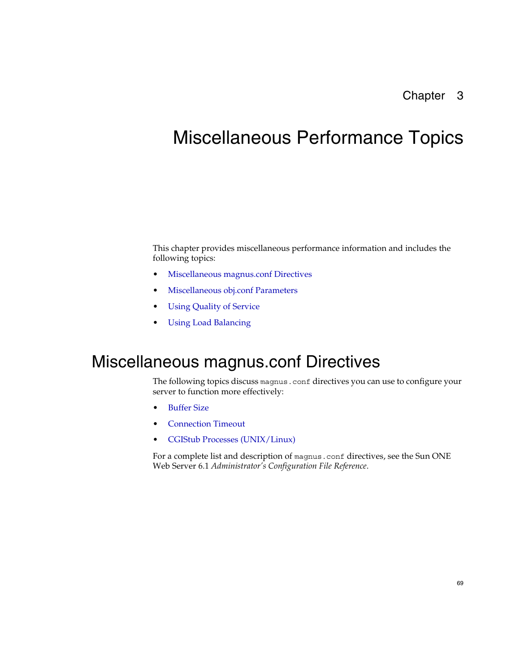# Miscellaneous Performance Topics

This chapter provides miscellaneous performance information and includes the following topics:

- [Miscellaneous magnus.conf Directives](#page-68-0)
- [Miscellaneous obj.conf Parameters](#page-71-0)
- [Using Quality of Service](#page-72-0)
- [Using Load Balancing](#page-73-0)

# <span id="page-68-0"></span>Miscellaneous magnus.conf Directives

The following topics discuss magnus.conf directives you can use to configure your server to function more effectively:

- **[Buffer Size](#page-69-0)**
- [Connection Timeout](#page-69-1)
- [CGIStub Processes \(UNIX/Linux\)](#page-69-2)

For a complete list and description of magnus.conf directives, see the Sun ONE Web Server 6.1 *Administrator's Configuration File Reference*.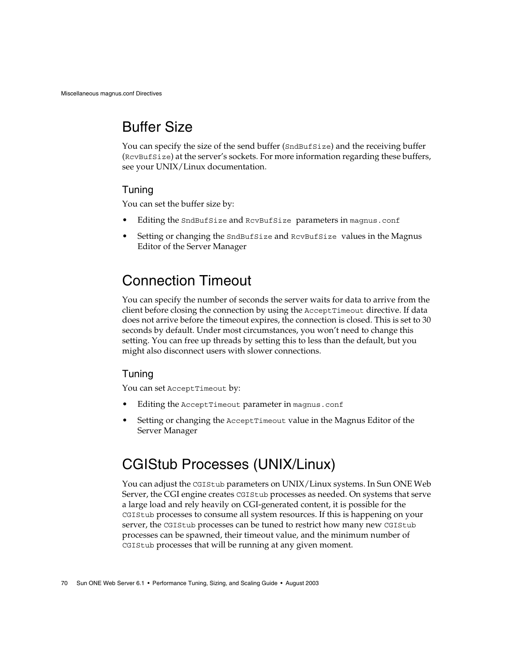## <span id="page-69-0"></span>Buffer Size

You can specify the size of the send buffer (SndBufSize) and the receiving buffer (RcvBufSize) at the server's sockets. For more information regarding these buffers, see your UNIX/Linux documentation.

### Tuning

You can set the buffer size by:

- Editing the SndBufSize and RcvBufSize parameters in magnus.conf
- Setting or changing the SndBufSize and RcvBufSize values in the Magnus Editor of the Server Manager

# <span id="page-69-1"></span>Connection Timeout

You can specify the number of seconds the server waits for data to arrive from the client before closing the connection by using the AcceptTimeout directive. If data does not arrive before the timeout expires, the connection is closed. This is set to 30 seconds by default. Under most circumstances, you won't need to change this setting. You can free up threads by setting this to less than the default, but you might also disconnect users with slower connections.

### Tuning

You can set Accept Timeout by:

- Editing the AcceptTimeout parameter in magnus.conf
- Setting or changing the AcceptTimeout value in the Magnus Editor of the Server Manager

# <span id="page-69-2"></span>CGIStub Processes (UNIX/Linux)

You can adjust the CGIStub parameters on UNIX/Linux systems. In Sun ONE Web Server, the CGI engine creates CGIStub processes as needed. On systems that serve a large load and rely heavily on CGI-generated content, it is possible for the CGIStub processes to consume all system resources. If this is happening on your server, the CGIStub processes can be tuned to restrict how many new CGIStub processes can be spawned, their timeout value, and the minimum number of CGIStub processes that will be running at any given moment.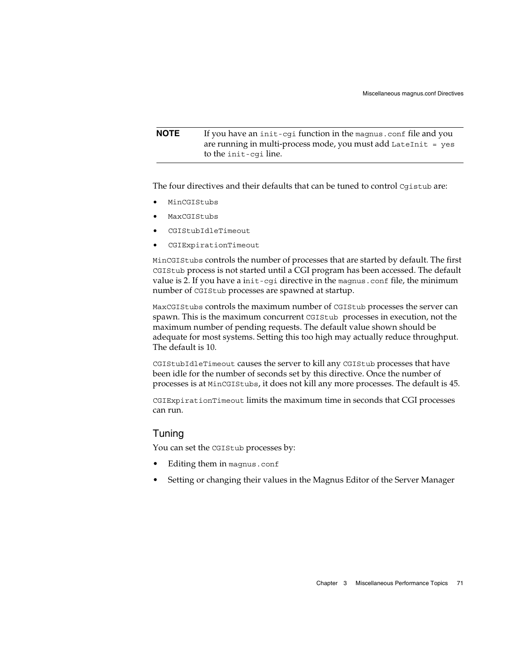**NOTE** If you have an init-cgi function in the magnus.conf file and you are running in multi-process mode, you must add LateInit = yes to the init-cgi line.

The four directives and their defaults that can be tuned to control Cgistub are:

- MinCGIStubs
- MaxCGIStubs
- CGIStubIdleTimeout
- CGIExpirationTimeout

MinCGIStubs controls the number of processes that are started by default. The first CGIStub process is not started until a CGI program has been accessed. The default value is 2. If you have a init-cgi directive in the magnus.conf file, the minimum number of CGIStub processes are spawned at startup.

MaxCGIStubs controls the maximum number of CGIStub processes the server can spawn. This is the maximum concurrent CGIStub processes in execution, not the maximum number of pending requests. The default value shown should be adequate for most systems. Setting this too high may actually reduce throughput. The default is 10.

CGIStubIdleTimeout causes the server to kill any CGIStub processes that have been idle for the number of seconds set by this directive. Once the number of processes is at MinCGIStubs, it does not kill any more processes. The default is 45.

CGIExpirationTimeout limits the maximum time in seconds that CGI processes can run.

### Tuning

You can set the CGIStub processes by:

- Editing them in magnus.conf
- Setting or changing their values in the Magnus Editor of the Server Manager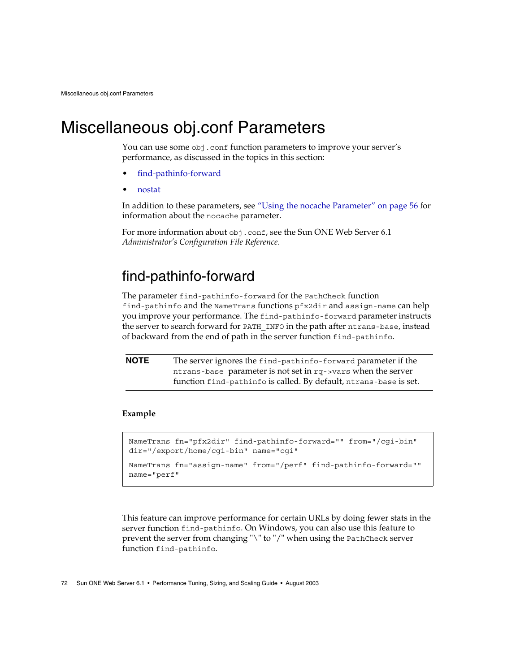# <span id="page-71-0"></span>Miscellaneous obj.conf Parameters

You can use some  $obj$ .conf function parameters to improve your server's performance, as discussed in the topics in this section:

- [find-pathinfo-forward](#page-71-1)
- [nostat](#page-72-1)

In addition to these parameters, see ["Using the nocache Parameter" on page 56](#page-55-2) for information about the nocache parameter.

For more information about obj.conf, see the Sun ONE Web Server 6.1 *Administrator's Configuration File Reference*.

## <span id="page-71-1"></span>find-pathinfo-forward

The parameter find-pathinfo-forward for the PathCheck function find-pathinfo and the NameTrans functions pfx2dir and assign-name can help you improve your performance. The find-pathinfo-forward parameter instructs the server to search forward for PATH\_INFO in the path after ntrans-base, instead of backward from the end of path in the server function find-pathinfo.

**NOTE** The server ignores the find-pathinfo-forward parameter if the ntrans-base parameter is not set in rq->vars when the server function find-pathinfo is called. By default, ntrans-base is set.

### **Example**

```
NameTrans fn="pfx2dir" find-pathinfo-forward="" from="/cgi-bin" 
dir="/export/home/cgi-bin" name="cgi"
NameTrans fn="assign-name" from="/perf" find-pathinfo-forward="" 
name="perf"
```
This feature can improve performance for certain URLs by doing fewer stats in the server function find-pathinfo. On Windows, you can also use this feature to prevent the server from changing "\" to "/" when using the PathCheck server function find-pathinfo.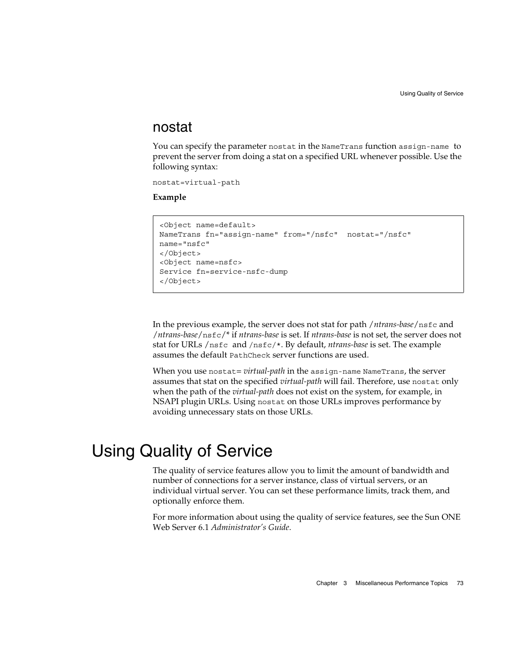#### nostat

You can specify the parameter nostat in the NameTrans function assign-name to prevent the server from doing a stat on a specified URL whenever possible. Use the following syntax:

```
nostat=virtual-path
```
#### **Example**

```
<Object name=default>
NameTrans fn="assign-name" from="/nsfc" nostat="/nsfc" 
name="nsfc"
</Object>
<Object name=nsfc>
Service fn=service-nsfc-dump
</Object>
```
In the previous example, the server does not stat for path /*ntrans-base*/nsfc and /*ntrans-base*/nsfc/\* if *ntrans-base* is set. If *ntrans-base* is not set, the server does not stat for URLs /nsfc and /nsfc/\*. By default, *ntrans-base* is set. The example assumes the default PathCheck server functions are used.

When you use nostat= *virtual-path* in the assign-name NameTrans, the server assumes that stat on the specified *virtual-path* will fail. Therefore, use nostat only when the path of the *virtual-path* does not exist on the system, for example, in NSAPI plugin URLs. Using nostat on those URLs improves performance by avoiding unnecessary stats on those URLs.

### Using Quality of Service

The quality of service features allow you to limit the amount of bandwidth and number of connections for a server instance, class of virtual servers, or an individual virtual server. You can set these performance limits, track them, and optionally enforce them.

For more information about using the quality of service features, see the Sun ONE Web Server 6.1 *Administrator's Guide*.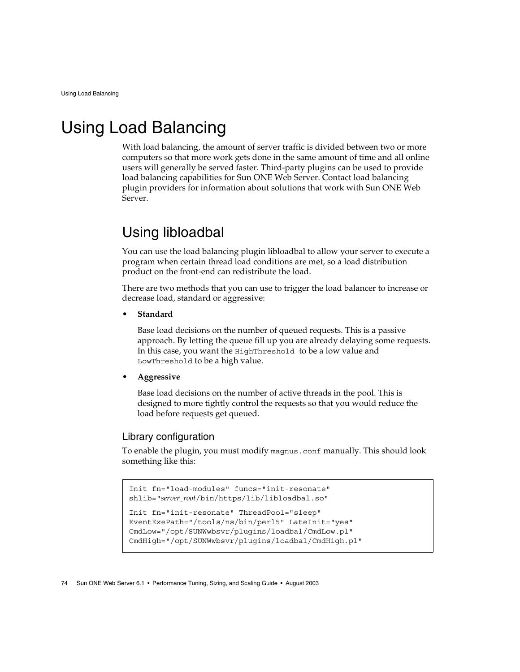# Using Load Balancing

With load balancing, the amount of server traffic is divided between two or more computers so that more work gets done in the same amount of time and all online users will generally be served faster. Third-party plugins can be used to provide load balancing capabilities for Sun ONE Web Server. Contact load balancing plugin providers for information about solutions that work with Sun ONE Web Server.

### Using libloadbal

You can use the load balancing plugin libloadbal to allow your server to execute a program when certain thread load conditions are met, so a load distribution product on the front-end can redistribute the load.

There are two methods that you can use to trigger the load balancer to increase or decrease load, standard or aggressive:

**• Standard**

Base load decisions on the number of queued requests. This is a passive approach. By letting the queue fill up you are already delaying some requests. In this case, you want the HighThreshold to be a low value and LowThreshold to be a high value.

**• Aggressive**

Base load decisions on the number of active threads in the pool. This is designed to more tightly control the requests so that you would reduce the load before requests get queued.

#### Library configuration

To enable the plugin, you must modify magnus.conf manually. This should look something like this:

```
Init fn="load-modules" funcs="init-resonate" 
shlib="server_root/bin/https/lib/libloadbal.so"
Init fn="init-resonate" ThreadPool="sleep" 
EventExePath="/tools/ns/bin/perl5" LateInit="yes" 
CmdLow="/opt/SUNWwbsvr/plugins/loadbal/CmdLow.pl" 
CmdHigh="/opt/SUNWwbsvr/plugins/loadbal/CmdHigh.pl"
```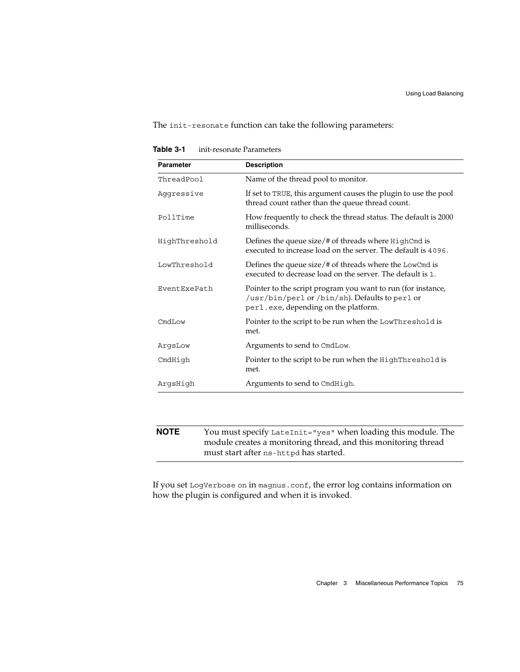The init-resonate function can take the following parameters:

| <b>Parameter</b> | <b>Description</b>                                                                                                                                      |
|------------------|---------------------------------------------------------------------------------------------------------------------------------------------------------|
| ThreadPool       | Name of the thread pool to monitor.                                                                                                                     |
| Aggressive       | If set to TRUE, this argument causes the plugin to use the pool<br>thread count rather than the queue thread count.                                     |
| PollTime         | How frequently to check the thread status. The default is 2000<br>milliseconds.                                                                         |
| HighThreshold    | Defines the queue size/# of threads where $HighCmd$ is<br>executed to increase load on the server. The default is 4096.                                 |
| LowThreshold     | Defines the queue size/# of threads where the LowCmd is<br>executed to decrease load on the server. The default is 1.                                   |
| EventExePath     | Pointer to the script program you want to run (for instance,<br>/usr/bin/perl or /bin/sh). Defaults to perl or<br>perl. exe, depending on the platform. |
| CmdLow           | Pointer to the script to be run when the LowThreshold is<br>met.                                                                                        |
| ArgsLow          | Arguments to send to CmdLow.                                                                                                                            |
| CmdHigh          | Pointer to the script to be run when the HighThreshold is<br>met.                                                                                       |
| ArqsHiqh         | Arguments to send to CmdHigh.                                                                                                                           |

**Table 3-1** init-resonate Parameters

| <b>NOTE</b> | You must specify LateInit="yes" when loading this module. The  |
|-------------|----------------------------------------------------------------|
|             | module creates a monitoring thread, and this monitoring thread |
|             | must start after ns-httpd has started.                         |

If you set LogVerbose on in magnus.conf, the error log contains information on how the plugin is configured and when it is invoked.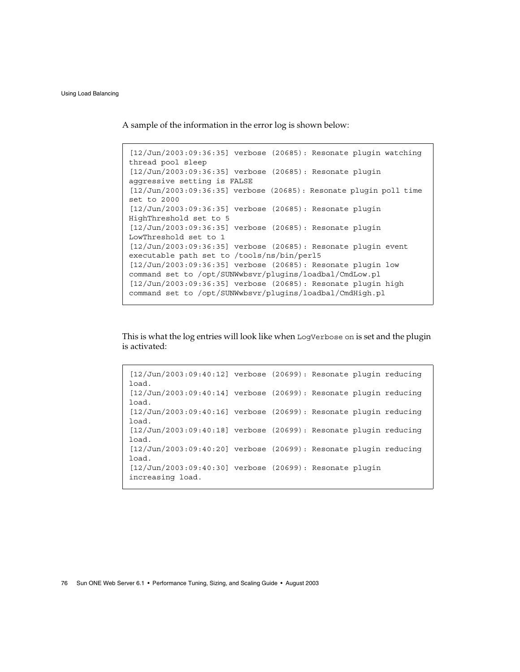A sample of the information in the error log is shown below:

```
[12/Jun/2003:09:36:35] verbose (20685): Resonate plugin watching 
thread pool sleep 
[12/Jun/2003:09:36:35] verbose (20685): Resonate plugin 
aggressive setting is FALSE 
[12/Jun/2003:09:36:35] verbose (20685): Resonate plugin poll time 
set to 2000 
[12/Jun/2003:09:36:35] verbose (20685): Resonate plugin 
HighThreshold set to 5 
[12/Jun/2003:09:36:35] verbose (20685): Resonate plugin 
LowThreshold set to 1 
[12/Jun/2003:09:36:35] verbose (20685): Resonate plugin event 
executable path set to /tools/ns/bin/perl5 
[12/Jun/2003:09:36:35] verbose (20685): Resonate plugin low 
command set to /opt/SUNWwbsvr/plugins/loadbal/CmdLow.pl 
[12/Jun/2003:09:36:35] verbose (20685): Resonate plugin high 
command set to /opt/SUNWwbsvr/plugins/loadbal/CmdHigh.pl
```
This is what the log entries will look like when LogVerbose on is set and the plugin is activated:

```
[12/Jun/2003:09:40:12] verbose (20699): Resonate plugin reducing 
load. 
[12/Jun/2003:09:40:14] verbose (20699): Resonate plugin reducing 
load. 
[12/Jun/2003:09:40:16] verbose (20699): Resonate plugin reducing 
load. 
[12/Jun/2003:09:40:18] verbose (20699): Resonate plugin reducing 
load. 
[12/Jun/2003:09:40:20] verbose (20699): Resonate plugin reducing 
load. 
[12/Jun/2003:09:40:30] verbose (20699): Resonate plugin 
increasing load.
```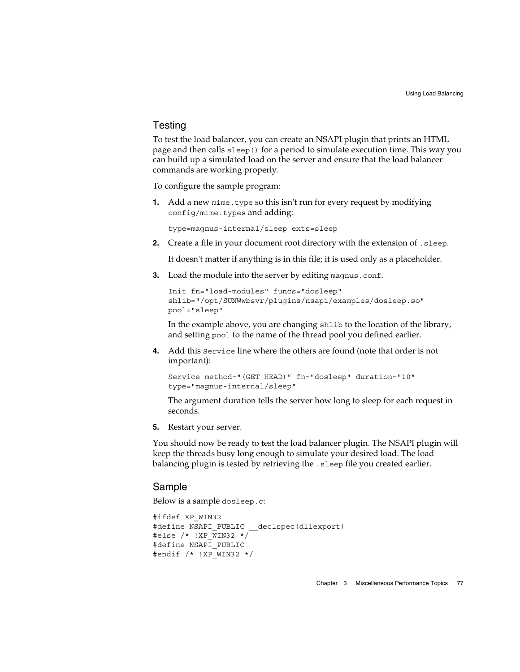#### **Testing**

To test the load balancer, you can create an NSAPI plugin that prints an HTML page and then calls sleep() for a period to simulate execution time. This way you can build up a simulated load on the server and ensure that the load balancer commands are working properly.

To configure the sample program:

**1.** Add a new mime.type so this isn't run for every request by modifying config/mime.types and adding:

type=magnus-internal/sleep exts=sleep

**2.** Create a file in your document root directory with the extension of .sleep.

It doesn't matter if anything is in this file; it is used only as a placeholder.

**3.** Load the module into the server by editing magnus.conf.

```
Init fn="load-modules" funcs="dosleep" 
shlib="/opt/SUNWwbsvr/plugins/nsapi/examples/dosleep.so" 
pool="sleep"
```
In the example above, you are changing shlib to the location of the library, and setting pool to the name of the thread pool you defined earlier.

**4.** Add this Service line where the others are found (note that order is not important):

```
Service method="(GET|HEAD)" fn="dosleep" duration="10" 
type="magnus-internal/sleep"
```
The argument duration tells the server how long to sleep for each request in seconds.

**5.** Restart your server.

You should now be ready to test the load balancer plugin. The NSAPI plugin will keep the threads busy long enough to simulate your desired load. The load balancing plugin is tested by retrieving the .sleep file you created earlier.

#### Sample

Below is a sample dosleep.c:

```
#ifdef XP_WIN32
#define NSAPI_PUBLIC __declspec(dllexport)
#else /* !XP WIN32 */#define NSAPI_PUBLIC
#endif /* !XP_WIN32 */
```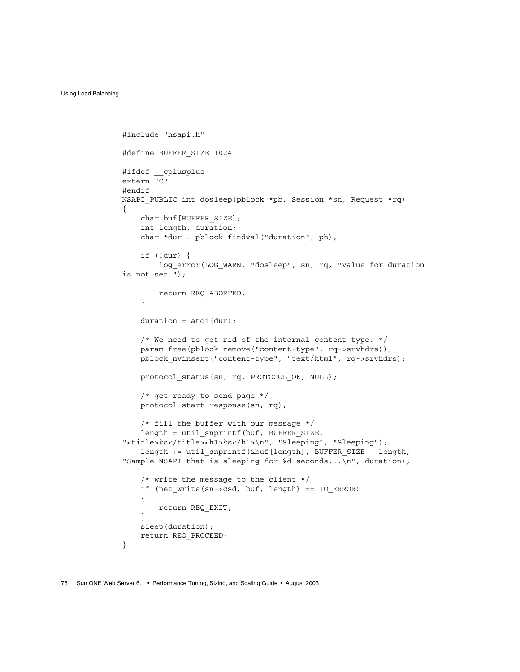```
#include "nsapi.h"
#define BUFFER_SIZE 1024
#ifdef cplusplus
extern "C"
#endif
NSAPI PUBLIC int dosleep(pblock *pb, Session *sn, Request *rq)
{
    char buf[BUFFER_SIZE];
    int length, duration;
   char *dur = phlock findval("duration", pb);if (!dur) {
       log error(LOG WARN, "dosleep", sn, rq, "Value for duration
is not set.");
       return REQ_ABORTED;
    }
    duration = atoi(dur);/* We need to get rid of the internal content type. */param_free(pblock_remove("content-type", rq->srvhdrs));
    pblock_nvinsert("content-type", "text/html", rq->srvhdrs);
   protocol status(sn, rq, PROTOCOL OK, NULL);
    /* get ready to send page */
   protocol start response(sn, rq);
    /* fill the buffer with our message */
    length = util snprintf(buf, BUFFER SIZE,
"<title>%s</title><h1>%s</h1>\n", "Sleeping", "Sleeping");
    length += util_snprintf(&buf[length], BUFFER_SIZE - length, 
"Sample NSAPI that is sleeping for %d seconds...\n", duration);
    /* write the message to the client */if (net_write(sn->csd, buf, length) == IO_ERROR)
    \mathcal{L}return REQ_EXIT;
    }
   sleep(duration);
   return REQ_PROCEED;
}
```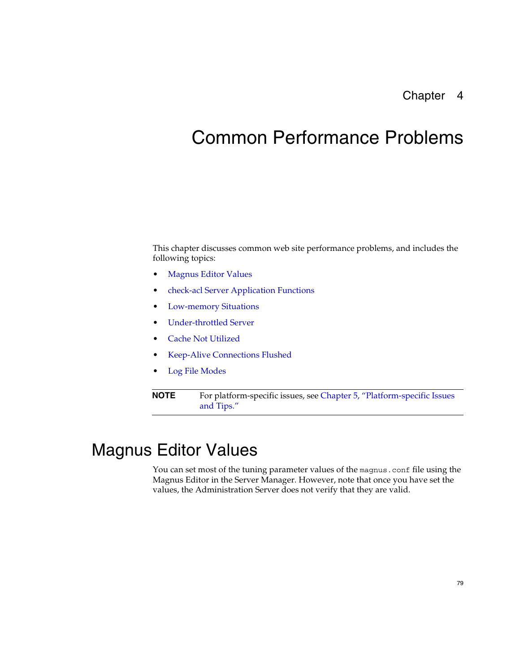# Common Performance Problems

This chapter discusses common web site performance problems, and includes the following topics:

- [Magnus Editor Values](#page-78-0)
- [check-acl Server Application Functions](#page-79-1)
- [Low-memory Situations](#page-79-0)
- [Under-throttled Server](#page-80-0)
- [Cache Not Utilized](#page-80-1)
- [Keep-Alive Connections Flushed](#page-81-0)
- [Log File Modes](#page-81-1)

**NOTE** For platform-specific issues, see Chapter 5, "Platform-specific Issues [and Tips."](#page-82-0)

# <span id="page-78-0"></span>Magnus Editor Values

You can set most of the tuning parameter values of the magnus.conf file using the Magnus Editor in the Server Manager. However, note that once you have set the values, the Administration Server does not verify that they are valid.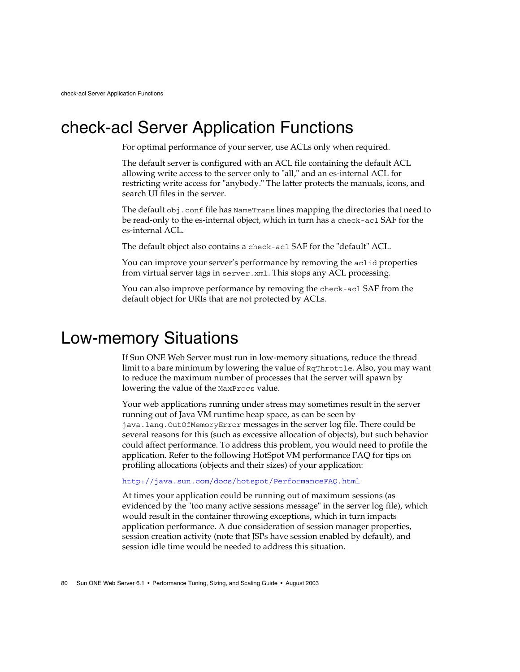# <span id="page-79-1"></span>check-acl Server Application Functions

For optimal performance of your server, use ACLs only when required.

The default server is configured with an ACL file containing the default ACL allowing write access to the server only to "all," and an es-internal ACL for restricting write access for "anybody." The latter protects the manuals, icons, and search UI files in the server.

The default obj.conf file has NameTrans lines mapping the directories that need to be read-only to the es-internal object, which in turn has a check-acl SAF for the es-internal ACL.

The default object also contains a check-acl SAF for the "default" ACL.

You can improve your server's performance by removing the aclid properties from virtual server tags in server.xml. This stops any ACL processing.

You can also improve performance by removing the check-acl SAF from the default object for URIs that are not protected by ACLs.

# <span id="page-79-0"></span>Low-memory Situations

If Sun ONE Web Server must run in low-memory situations, reduce the thread limit to a bare minimum by lowering the value of RqThrottle. Also, you may want to reduce the maximum number of processes that the server will spawn by lowering the value of the MaxProcs value.

Your web applications running under stress may sometimes result in the server running out of Java VM runtime heap space, as can be seen by java.lang.OutOfMemoryError messages in the server log file. There could be several reasons for this (such as excessive allocation of objects), but such behavior could affect performance. To address this problem, you would need to profile the application. Refer to the following HotSpot VM performance FAQ for tips on profiling allocations (objects and their sizes) of your application:

<http://java.sun.com/docs/hotspot/PerformanceFAQ.html>

At times your application could be running out of maximum sessions (as evidenced by the "too many active sessions message" in the server log file), which would result in the container throwing exceptions, which in turn impacts application performance. A due consideration of session manager properties, session creation activity (note that JSPs have session enabled by default), and session idle time would be needed to address this situation.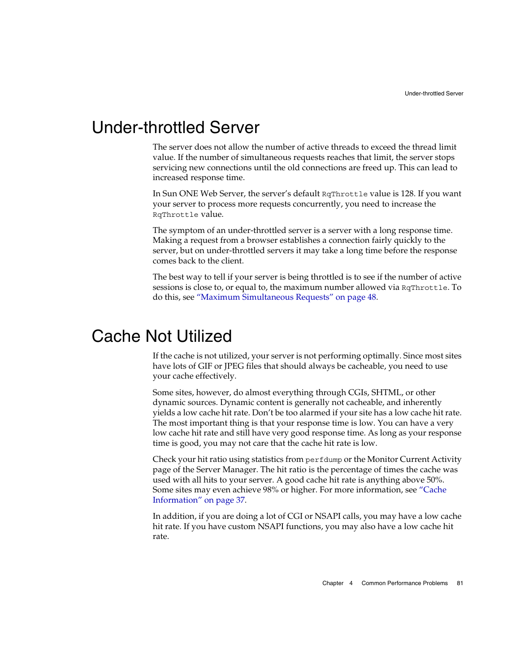### <span id="page-80-0"></span>Under-throttled Server

The server does not allow the number of active threads to exceed the thread limit value. If the number of simultaneous requests reaches that limit, the server stops servicing new connections until the old connections are freed up. This can lead to increased response time.

In Sun ONE Web Server, the server's default RqThrottle value is 128. If you want your server to process more requests concurrently, you need to increase the RqThrottle value.

The symptom of an under-throttled server is a server with a long response time. Making a request from a browser establishes a connection fairly quickly to the server, but on under-throttled servers it may take a long time before the response comes back to the client.

The best way to tell if your server is being throttled is to see if the number of active sessions is close to, or equal to, the maximum number allowed via RqThrottle. To do this, see ["Maximum Simultaneous Requests" on page 48](#page-47-0).

# <span id="page-80-1"></span>Cache Not Utilized

If the cache is not utilized, your server is not performing optimally. Since most sites have lots of GIF or JPEG files that should always be cacheable, you need to use your cache effectively.

Some sites, however, do almost everything through CGIs, SHTML, or other dynamic sources. Dynamic content is generally not cacheable, and inherently yields a low cache hit rate. Don't be too alarmed if your site has a low cache hit rate. The most important thing is that your response time is low. You can have a very low cache hit rate and still have very good response time. As long as your response time is good, you may not care that the cache hit rate is low.

Check your hit ratio using statistics from perfdump or the Monitor Current Activity page of the Server Manager. The hit ratio is the percentage of times the cache was used with all hits to your server. A good cache hit rate is anything above 50%. Some sites may even achieve 98% or higher. For more information, see ["Cache](#page-36-0)  [Information" on page 37](#page-36-0).

In addition, if you are doing a lot of CGI or NSAPI calls, you may have a low cache hit rate. If you have custom NSAPI functions, you may also have a low cache hit rate.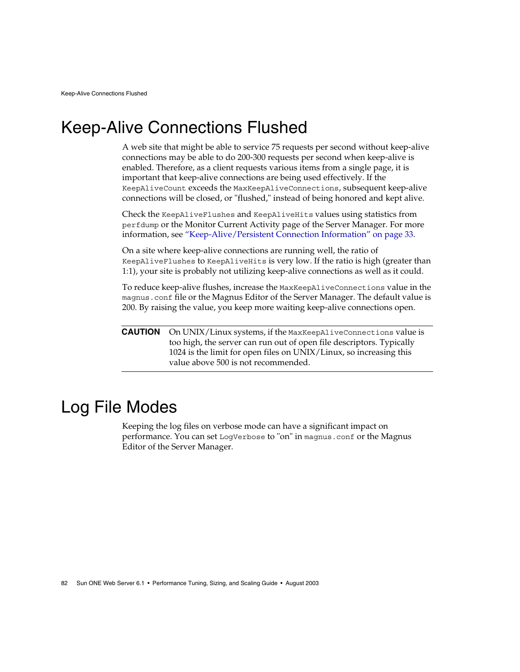# <span id="page-81-0"></span>Keep-Alive Connections Flushed

A web site that might be able to service 75 requests per second without keep-alive connections may be able to do 200-300 requests per second when keep-alive is enabled. Therefore, as a client requests various items from a single page, it is important that keep-alive connections are being used effectively. If the KeepAliveCount exceeds the MaxKeepAliveConnections, subsequent keep-alive connections will be closed, or "flushed," instead of being honored and kept alive.

Check the KeepAliveFlushes and KeepAliveHits values using statistics from perfdump or the Monitor Current Activity page of the Server Manager. For more information, see ["Keep-Alive/Persistent Connection Information" on page 33.](#page-32-0)

On a site where keep-alive connections are running well, the ratio of KeepAliveFlushes to KeepAliveHits is very low. If the ratio is high (greater than 1:1), your site is probably not utilizing keep-alive connections as well as it could.

To reduce keep-alive flushes, increase the MaxKeepAliveConnections value in the magnus.conf file or the Magnus Editor of the Server Manager. The default value is 200. By raising the value, you keep more waiting keep-alive connections open.

**CAUTION** On UNIX/Linux systems, if the MaxKeepAliveConnections value is too high, the server can run out of open file descriptors. Typically 1024 is the limit for open files on UNIX/Linux, so increasing this value above 500 is not recommended.

# <span id="page-81-1"></span>Log File Modes

Keeping the log files on verbose mode can have a significant impact on performance. You can set LogVerbose to "on" in magnus.conf or the Magnus Editor of the Server Manager.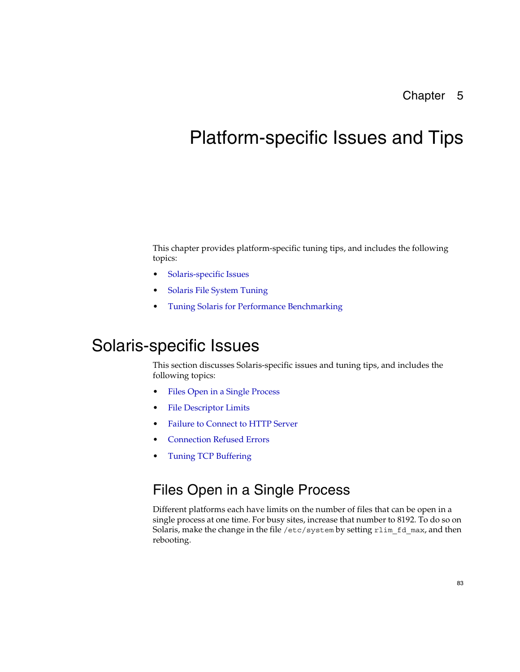# <span id="page-82-0"></span>Platform-specific Issues and Tips

This chapter provides platform-specific tuning tips, and includes the following topics:

- [Solaris-specific Issues](#page-82-1)
- [Solaris File System Tuning](#page-85-1)
- [Tuning Solaris for Performance Benchmarking](#page-89-0)

## <span id="page-82-1"></span>Solaris-specific Issues

This section discusses Solaris-specific issues and tuning tips, and includes the following topics:

- [Files Open in a Single Process](#page-82-2)
- [File Descriptor Limits](#page-83-0)
- [Failure to Connect to HTTP Server](#page-83-1)
- [Connection Refused Errors](#page-84-0)
- [Tuning TCP Buffering](#page-85-0)

### <span id="page-82-2"></span>Files Open in a Single Process

Different platforms each have limits on the number of files that can be open in a single process at one time. For busy sites, increase that number to 8192. To do so on Solaris, make the change in the file /etc/system by setting  $rlim$  fd max, and then rebooting.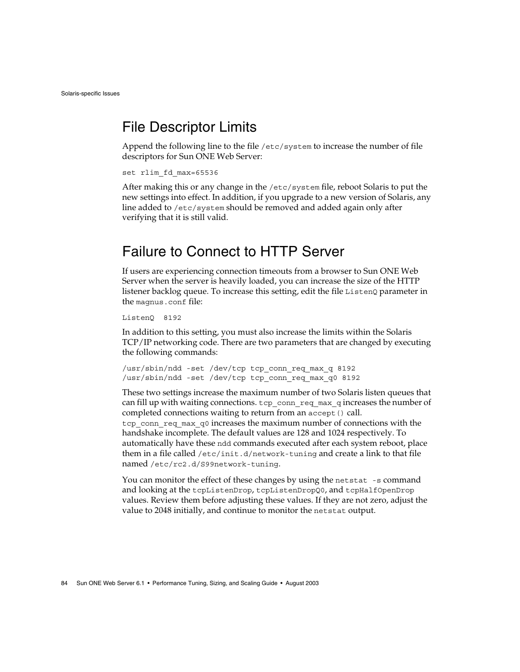#### <span id="page-83-0"></span>File Descriptor Limits

Append the following line to the file /etc/system to increase the number of file descriptors for Sun ONE Web Server:

set rlim\_fd\_max=65536

After making this or any change in the /etc/system file, reboot Solaris to put the new settings into effect. In addition, if you upgrade to a new version of Solaris, any line added to /etc/system should be removed and added again only after verifying that it is still valid.

#### <span id="page-83-1"></span>Failure to Connect to HTTP Server

If users are experiencing connection timeouts from a browser to Sun ONE Web Server when the server is heavily loaded, you can increase the size of the HTTP listener backlog queue. To increase this setting, edit the file ListenQ parameter in the magnus.conf file:

ListenQ 8192

In addition to this setting, you must also increase the limits within the Solaris TCP/IP networking code. There are two parameters that are changed by executing the following commands:

```
/usr/sbin/ndd -set /dev/tcp tcp_conn_req_max_q 8192
/usr/sbin/ndd -set /dev/tcp tcp_conn_req_max_q0 8192
```
These two settings increase the maximum number of two Solaris listen queues that can fill up with waiting connections. tcp\_conn\_req\_max\_q increases the number of completed connections waiting to return from an accept() call.

tcp conn req max  $q0$  increases the maximum number of connections with the handshake incomplete. The default values are 128 and 1024 respectively. To automatically have these ndd commands executed after each system reboot, place them in a file called /etc/init.d/network-tuning and create a link to that file named /etc/rc2.d/S99network-tuning.

You can monitor the effect of these changes by using the netstat -s command and looking at the tcpListenDrop, tcpListenDropQ0, and tcpHalfOpenDrop values. Review them before adjusting these values. If they are not zero, adjust the value to 2048 initially, and continue to monitor the netstat output.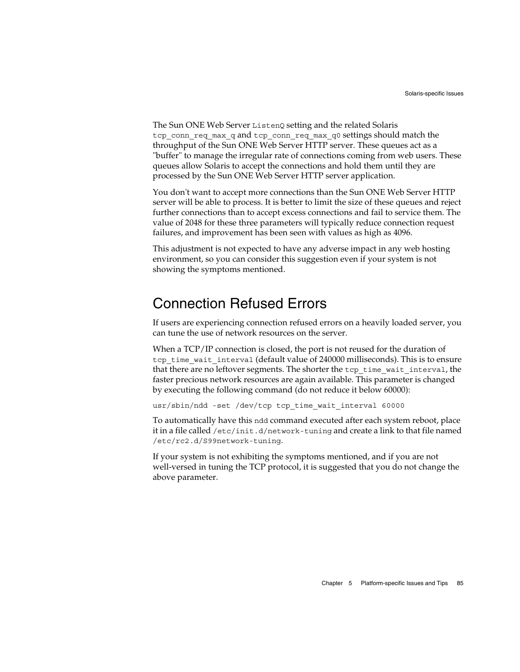The Sun ONE Web Server ListenQ setting and the related Solaris tcp\_conn\_req\_max\_q and tcp\_conn\_req\_max\_q0 settings should match the throughput of the Sun ONE Web Server HTTP server. These queues act as a "buffer" to manage the irregular rate of connections coming from web users. These queues allow Solaris to accept the connections and hold them until they are processed by the Sun ONE Web Server HTTP server application.

You don't want to accept more connections than the Sun ONE Web Server HTTP server will be able to process. It is better to limit the size of these queues and reject further connections than to accept excess connections and fail to service them. The value of 2048 for these three parameters will typically reduce connection request failures, and improvement has been seen with values as high as 4096.

This adjustment is not expected to have any adverse impact in any web hosting environment, so you can consider this suggestion even if your system is not showing the symptoms mentioned.

#### <span id="page-84-0"></span>Connection Refused Errors

If users are experiencing connection refused errors on a heavily loaded server, you can tune the use of network resources on the server.

When a TCP/IP connection is closed, the port is not reused for the duration of tcp\_time\_wait\_interval (default value of 240000 milliseconds). This is to ensure that there are no leftover segments. The shorter the tcp\_time\_wait\_interval, the faster precious network resources are again available. This parameter is changed by executing the following command (do not reduce it below 60000):

usr/sbin/ndd -set /dev/tcp tcp\_time\_wait\_interval 60000

To automatically have this ndd command executed after each system reboot, place it in a file called /etc/init.d/network-tuning and create a link to that file named /etc/rc2.d/S99network-tuning.

If your system is not exhibiting the symptoms mentioned, and if you are not well-versed in tuning the TCP protocol, it is suggested that you do not change the above parameter.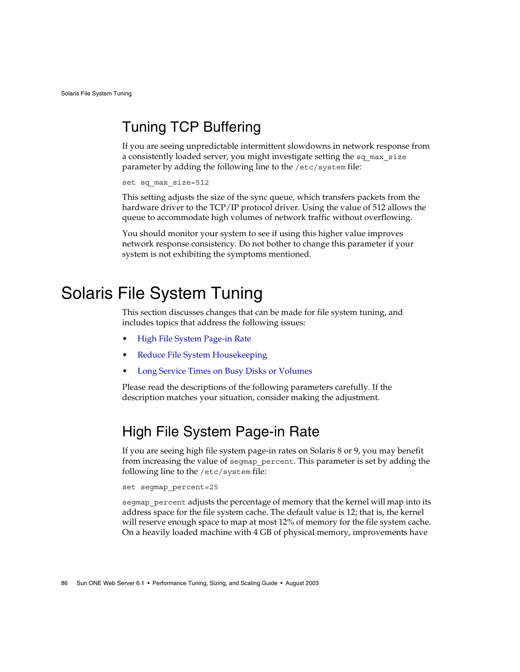### <span id="page-85-0"></span>Tuning TCP Buffering

If you are seeing unpredictable intermittent slowdowns in network response from a consistently loaded server, you might investigate setting the sq max size parameter by adding the following line to the /etc/system file:

set sq\_max\_size=512

This setting adjusts the size of the sync queue, which transfers packets from the hardware driver to the TCP/IP protocol driver. Using the value of 512 allows the queue to accommodate high volumes of network traffic without overflowing.

You should monitor your system to see if using this higher value improves network response consistency. Do not bother to change this parameter if your system is not exhibiting the symptoms mentioned.

# <span id="page-85-1"></span>Solaris File System Tuning

This section discusses changes that can be made for file system tuning, and includes topics that address the following issues:

- [High File System Page-in Rate](#page-85-2)
- [Reduce File System Housekeeping](#page-86-0)
- [Long Service Times on Busy Disks or Volumes](#page-86-1)

Please read the descriptions of the following parameters carefully. If the description matches your situation, consider making the adjustment.

#### <span id="page-85-2"></span>High File System Page-in Rate

If you are seeing high file system page-in rates on Solaris 8 or 9, you may benefit from increasing the value of segmap\_percent. This parameter is set by adding the following line to the /etc/system file:

```
set segmap_percent=25
```
segmap percent adjusts the percentage of memory that the kernel will map into its address space for the file system cache. The default value is 12; that is, the kernel will reserve enough space to map at most 12% of memory for the file system cache. On a heavily loaded machine with 4 GB of physical memory, improvements have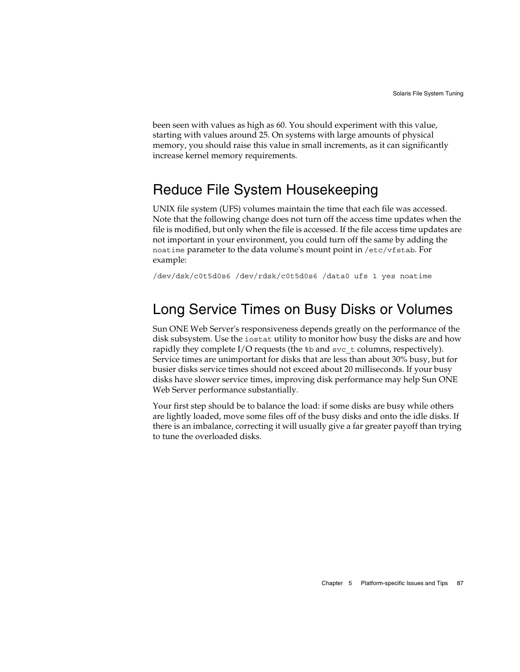been seen with values as high as 60. You should experiment with this value, starting with values around 25. On systems with large amounts of physical memory, you should raise this value in small increments, as it can significantly increase kernel memory requirements.

#### <span id="page-86-0"></span>Reduce File System Housekeeping

UNIX file system (UFS) volumes maintain the time that each file was accessed. Note that the following change does not turn off the access time updates when the file is modified, but only when the file is accessed. If the file access time updates are not important in your environment, you could turn off the same by adding the noatime parameter to the data volume's mount point in /etc/vfstab. For example:

/dev/dsk/c0t5d0s6 /dev/rdsk/c0t5d0s6 /data0 ufs 1 yes noatime

### <span id="page-86-1"></span>Long Service Times on Busy Disks or Volumes

Sun ONE Web Server's responsiveness depends greatly on the performance of the disk subsystem. Use the iostat utility to monitor how busy the disks are and how rapidly they complete I/O requests (the  $\&b$  and svc t columns, respectively). Service times are unimportant for disks that are less than about 30% busy, but for busier disks service times should not exceed about 20 milliseconds. If your busy disks have slower service times, improving disk performance may help Sun ONE Web Server performance substantially.

Your first step should be to balance the load: if some disks are busy while others are lightly loaded, move some files off of the busy disks and onto the idle disks. If there is an imbalance, correcting it will usually give a far greater payoff than trying to tune the overloaded disks.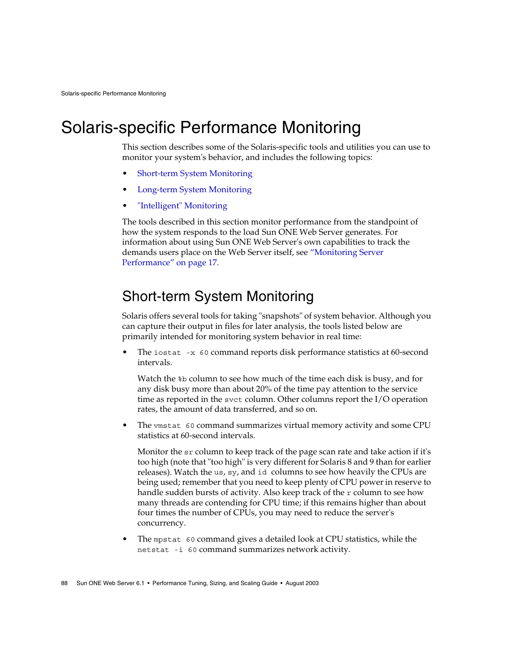# Solaris-specific Performance Monitoring

This section describes some of the Solaris-specific tools and utilities you can use to monitor your system's behavior, and includes the following topics:

- [Short-term System Monitoring](#page-87-0)
- [Long-term System Monitoring](#page-88-0)
- ["Intelligent" Monitoring](#page-88-1)

The tools described in this section monitor performance from the standpoint of how the system responds to the load Sun ONE Web Server generates. For information about using Sun ONE Web Server's own capabilities to track the demands users place on the Web Server itself, see ["Monitoring Server](#page-16-0)  [Performance" on page 17](#page-16-0).

## <span id="page-87-0"></span>Short-term System Monitoring

Solaris offers several tools for taking "snapshots" of system behavior. Although you can capture their output in files for later analysis, the tools listed below are primarily intended for monitoring system behavior in real time:

The iostat -x 60 command reports disk performance statistics at 60-second intervals.

Watch the %b column to see how much of the time each disk is busy, and for any disk busy more than about 20% of the time pay attention to the service time as reported in the svct column. Other columns report the I/O operation rates, the amount of data transferred, and so on.

• The vmstat 60 command summarizes virtual memory activity and some CPU statistics at 60-second intervals.

Monitor the sr column to keep track of the page scan rate and take action if it's too high (note that "too high" is very different for Solaris 8 and 9 than for earlier releases). Watch the us, sy, and id columns to see how heavily the CPUs are being used; remember that you need to keep plenty of CPU power in reserve to handle sudden bursts of activity. Also keep track of the r column to see how many threads are contending for CPU time; if this remains higher than about four times the number of CPUs, you may need to reduce the server's concurrency.

The mpstat 60 command gives a detailed look at CPU statistics, while the netstat -i 60 command summarizes network activity.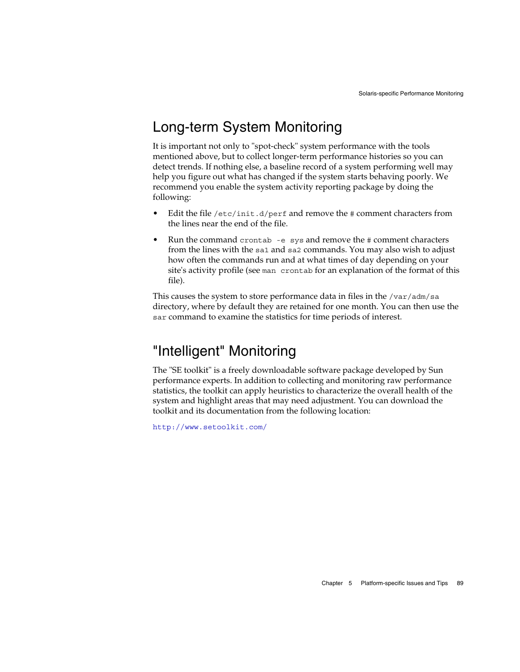#### <span id="page-88-0"></span>Long-term System Monitoring

It is important not only to "spot-check" system performance with the tools mentioned above, but to collect longer-term performance histories so you can detect trends. If nothing else, a baseline record of a system performing well may help you figure out what has changed if the system starts behaving poorly. We recommend you enable the system activity reporting package by doing the following:

- Edit the file /etc/init.d/perf and remove the # comment characters from the lines near the end of the file.
- Run the command crontab -e sys and remove the  $\#$  comment characters from the lines with the sa1 and sa2 commands. You may also wish to adjust how often the commands run and at what times of day depending on your site's activity profile (see man crontab for an explanation of the format of this file).

This causes the system to store performance data in files in the  $/\text{var/adm/sa}$ directory, where by default they are retained for one month. You can then use the sar command to examine the statistics for time periods of interest.

#### <span id="page-88-1"></span>"Intelligent" Monitoring

The "SE toolkit" is a freely downloadable software package developed by Sun performance experts. In addition to collecting and monitoring raw performance statistics, the toolkit can apply heuristics to characterize the overall health of the system and highlight areas that may need adjustment. You can download the toolkit and its documentation from the following location:

<http://www.setoolkit.com/>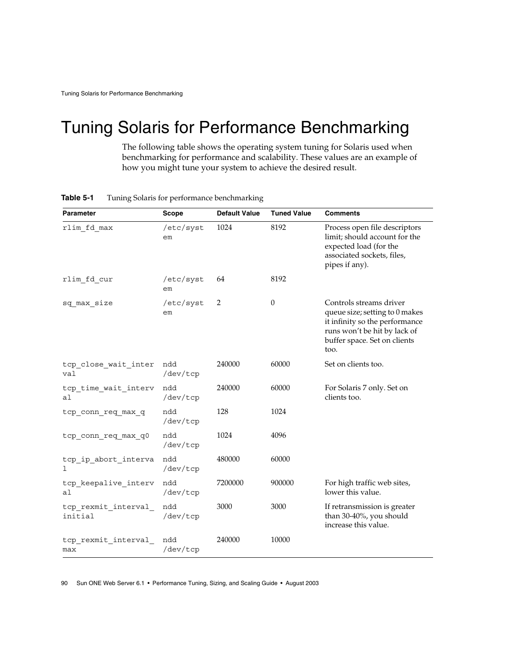# <span id="page-89-0"></span>Tuning Solaris for Performance Benchmarking

The following table shows the operating system tuning for Solaris used when benchmarking for performance and scalability. These values are an example of how you might tune your system to achieve the desired result.

| <b>Parameter</b>               | <b>Scope</b>    | <b>Default Value</b> | <b>Tuned Value</b> | <b>Comments</b>                                                                                                                                                     |
|--------------------------------|-----------------|----------------------|--------------------|---------------------------------------------------------------------------------------------------------------------------------------------------------------------|
| rlim_fd_max                    | /etc/syst<br>em | 1024                 | 8192               | Process open file descriptors<br>limit; should account for the<br>expected load (for the<br>associated sockets, files,<br>pipes if any).                            |
| rlim fd cur                    | /etc/syst<br>em | 64                   | 8192               |                                                                                                                                                                     |
| sq max size                    | /etc/syst<br>em | 2                    | $\theta$           | Controls streams driver<br>queue size; setting to 0 makes<br>it infinity so the performance<br>runs won't be hit by lack of<br>buffer space. Set on clients<br>too. |
| tcp_close_wait_inter<br>val    | ndd<br>/dev/tcp | 240000               | 60000              | Set on clients too.                                                                                                                                                 |
| tcp time wait interv<br>al     | ndd<br>/dev/tcp | 240000               | 60000              | For Solaris 7 only. Set on<br>clients too.                                                                                                                          |
| tcp conn req max q             | ndd<br>/dev/tcp | 128                  | 1024               |                                                                                                                                                                     |
| tcp conn req max q0            | ndd<br>/dev/tcp | 1024                 | 4096               |                                                                                                                                                                     |
| tcp_ip_abort_interva<br>1      | ndd<br>/dev/tcp | 480000               | 60000              |                                                                                                                                                                     |
| tcp keepalive interv<br>al     | ndd<br>/dev/tcp | 7200000              | 900000             | For high traffic web sites,<br>lower this value.                                                                                                                    |
| tcp rexmit interval<br>initial | ndd<br>/dev/tcp | 3000                 | 3000               | If retransmission is greater<br>than 30-40%, you should<br>increase this value.                                                                                     |
| tcp rexmit interval<br>max     | ndd<br>/dev/tcp | 240000               | 10000              |                                                                                                                                                                     |

| Tuning Solaris for performance benchmarking |
|---------------------------------------------|
|                                             |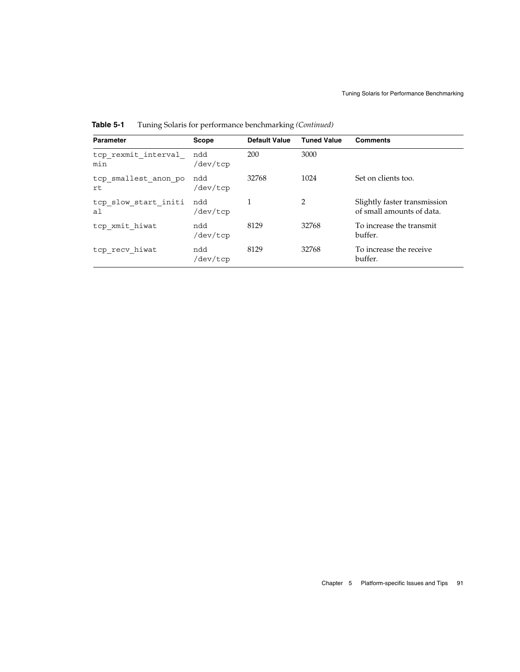| <b>Parameter</b>           | <b>Scope</b>    | <b>Default Value</b> | <b>Tuned Value</b> | <b>Comments</b>                                           |
|----------------------------|-----------------|----------------------|--------------------|-----------------------------------------------------------|
| tcp rexmit interval<br>min | ndd<br>/dev/tcp | 200                  | 3000               |                                                           |
| tcp smallest anon po<br>rt | ndd<br>/dev/tcp | 32768                | 1024               | Set on clients too.                                       |
| tcp_slow_start_initi<br>a1 | ndd<br>/dev/tcp |                      | 2                  | Slightly faster transmission<br>of small amounts of data. |
| tcp xmit hiwat             | ndd<br>/dev/tcp | 8129                 | 32768              | To increase the transmit<br>buffer.                       |
| tcp recv hiwat             | ndd<br>/dev/tcp | 8129                 | 32768              | To increase the receive<br>buffer.                        |

**Table 5-1** Tuning Solaris for performance benchmarking *(Continued)*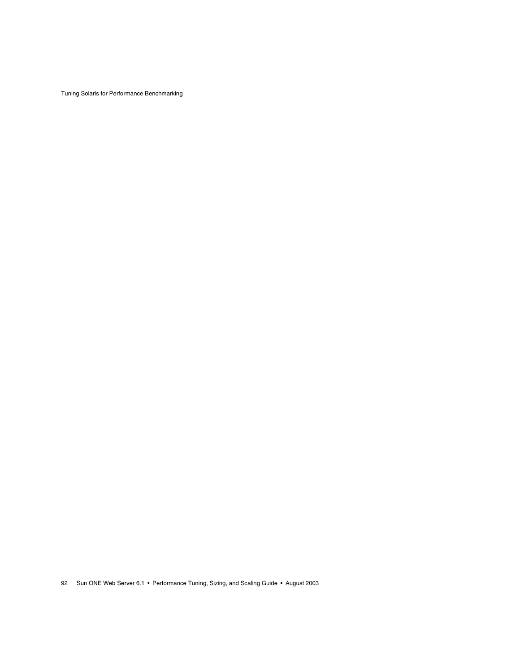Tuning Solaris for Performance Benchmarking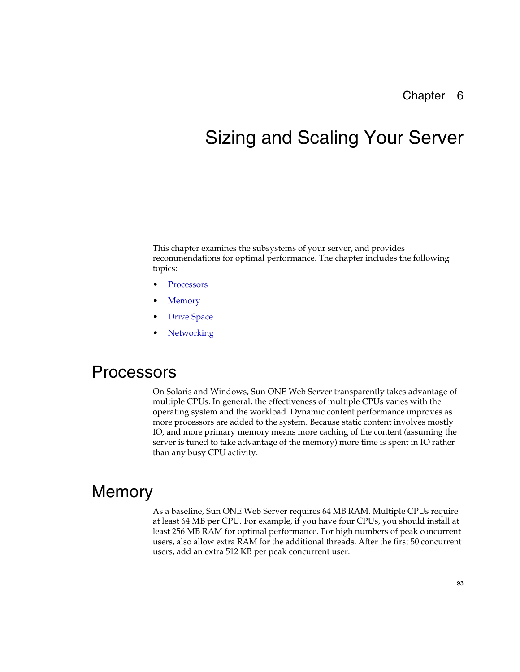# Sizing and Scaling Your Server

This chapter examines the subsystems of your server, and provides recommendations for optimal performance. The chapter includes the following topics:

- **[Processors](#page-92-0)**
- **[Memory](#page-92-1)**
- **[Drive Space](#page-93-0)**
- **[Networking](#page-93-1)**

#### <span id="page-92-0"></span>Processors

On Solaris and Windows, Sun ONE Web Server transparently takes advantage of multiple CPUs. In general, the effectiveness of multiple CPUs varies with the operating system and the workload. Dynamic content performance improves as more processors are added to the system. Because static content involves mostly IO, and more primary memory means more caching of the content (assuming the server is tuned to take advantage of the memory) more time is spent in IO rather than any busy CPU activity.

#### <span id="page-92-1"></span>**Memory**

As a baseline, Sun ONE Web Server requires 64 MB RAM. Multiple CPUs require at least 64 MB per CPU. For example, if you have four CPUs, you should install at least 256 MB RAM for optimal performance. For high numbers of peak concurrent users, also allow extra RAM for the additional threads. After the first 50 concurrent users, add an extra 512 KB per peak concurrent user.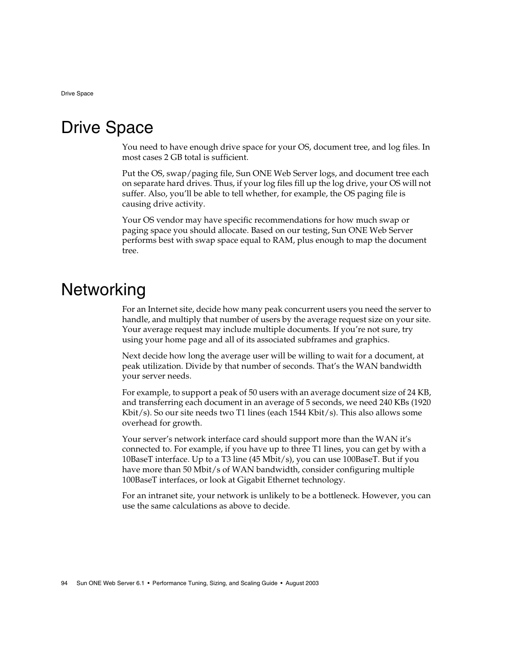## <span id="page-93-0"></span>Drive Space

You need to have enough drive space for your OS, document tree, and log files. In most cases 2 GB total is sufficient.

Put the OS, swap/paging file, Sun ONE Web Server logs, and document tree each on separate hard drives. Thus, if your log files fill up the log drive, your OS will not suffer. Also, you'll be able to tell whether, for example, the OS paging file is causing drive activity.

Your OS vendor may have specific recommendations for how much swap or paging space you should allocate. Based on our testing, Sun ONE Web Server performs best with swap space equal to RAM, plus enough to map the document tree.

# <span id="page-93-1"></span>**Networking**

For an Internet site, decide how many peak concurrent users you need the server to handle, and multiply that number of users by the average request size on your site. Your average request may include multiple documents. If you're not sure, try using your home page and all of its associated subframes and graphics.

Next decide how long the average user will be willing to wait for a document, at peak utilization. Divide by that number of seconds. That's the WAN bandwidth your server needs.

For example, to support a peak of 50 users with an average document size of 24 KB, and transferring each document in an average of 5 seconds, we need 240 KBs (1920 Kbit/s). So our site needs two T1 lines (each 1544 Kbit/s). This also allows some overhead for growth.

Your server's network interface card should support more than the WAN it's connected to. For example, if you have up to three T1 lines, you can get by with a 10BaseT interface. Up to a T3 line (45 Mbit/s), you can use 100BaseT. But if you have more than 50 Mbit/s of WAN bandwidth, consider configuring multiple 100BaseT interfaces, or look at Gigabit Ethernet technology.

For an intranet site, your network is unlikely to be a bottleneck. However, you can use the same calculations as above to decide.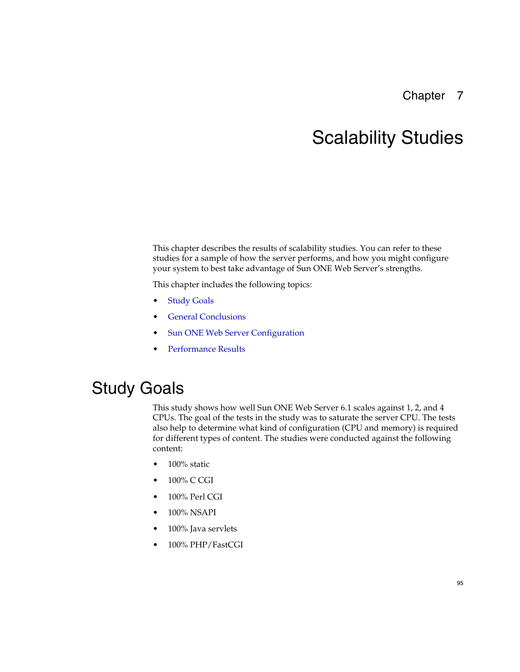# Scalability Studies

This chapter describes the results of scalability studies. You can refer to these studies for a sample of how the server performs, and how you might configure your system to best take advantage of Sun ONE Web Server's strengths.

This chapter includes the following topics:

- [Study Goals](#page-94-0)
- [General Conclusions](#page-95-0)
- [Sun ONE Web Server Configuration](#page-95-1)
- [Performance Results](#page-98-0)

# <span id="page-94-0"></span>Study Goals

This study shows how well Sun ONE Web Server 6.1 scales against 1, 2, and 4 CPUs. The goal of the tests in the study was to saturate the server CPU. The tests also help to determine what kind of configuration (CPU and memory) is required for different types of content. The studies were conducted against the following content:

- 100% static
- 100% C CGI
- 100% Perl CGI
- 100% NSAPI
- 100% Java servlets
- 100% PHP/FastCGI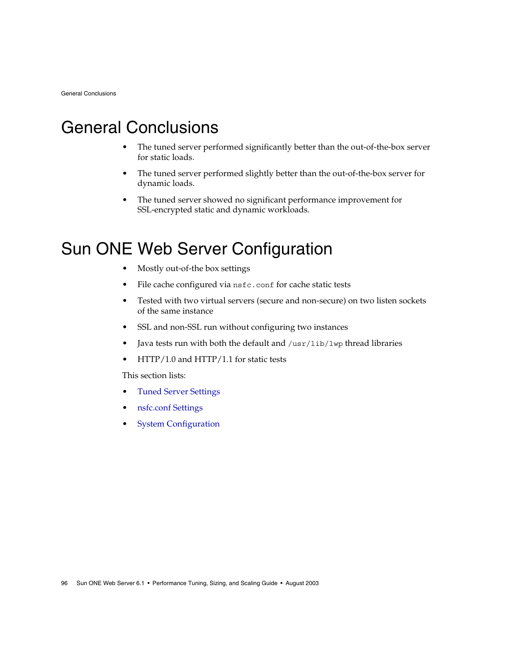# <span id="page-95-0"></span>General Conclusions

- The tuned server performed significantly better than the out-of-the-box server for static loads.
- The tuned server performed slightly better than the out-of-the-box server for dynamic loads.
- The tuned server showed no significant performance improvement for SSL-encrypted static and dynamic workloads.

# <span id="page-95-1"></span>Sun ONE Web Server Configuration

- Mostly out-of-the box settings
- File cache configured via nsfc.conf for cache static tests
- Tested with two virtual servers (secure and non-secure) on two listen sockets of the same instance
- SSL and non-SSL run without configuring two instances
- Java tests run with both the default and /usr/lib/lwp thread libraries
- HTTP/1.0 and HTTP/1.1 for static tests

This section lists:

- [Tuned Server Settings](#page-96-0)
- [nsfc.conf Settings](#page-97-0)
- [System Configuration](#page-97-1)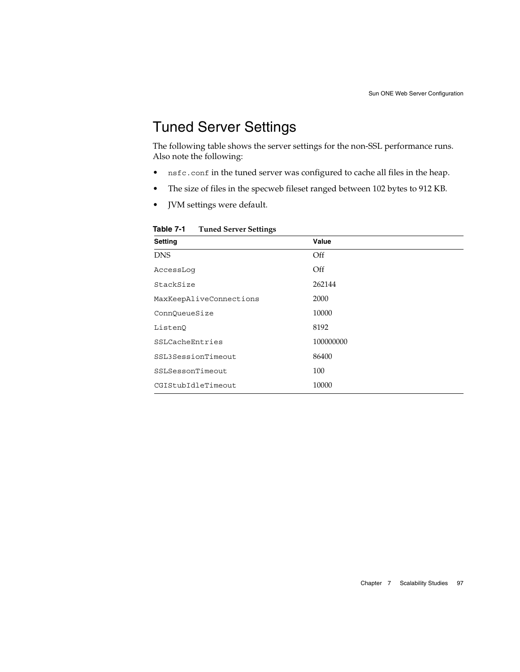#### <span id="page-96-0"></span>Tuned Server Settings

The following table shows the server settings for the non-SSL performance runs. Also note the following:

- nsfc.conf in the tuned server was configured to cache all files in the heap.
- The size of files in the specweb fileset ranged between 102 bytes to 912 KB.
- JVM settings were default.

| <b>Setting</b>          | Value     |
|-------------------------|-----------|
| <b>DNS</b>              | Off       |
| AccessLoq               | Off       |
| StackSize               | 262144    |
| MaxKeepAliveConnections | 2000      |
| ConnOueueSize           | 10000     |
| ListenO                 | 8192      |
| SSLCacheEntries         | 100000000 |
| SSL3SessionTimeout      | 86400     |
| SSLSessonTimeout        | 100       |
| CGIStubIdleTimeout      | 10000     |

**Table 7-1 Tuned Server Settings**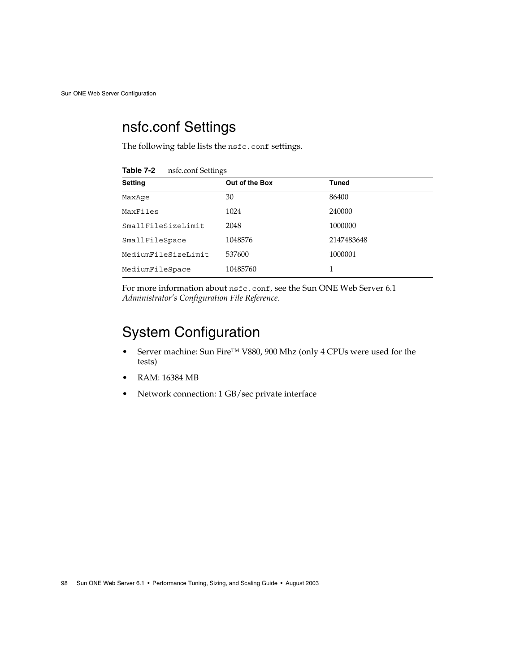#### <span id="page-97-0"></span>nsfc.conf Settings

The following table lists the nsfc.conf settings.

| Table 7-2 | nsfc.conf Settings |
|-----------|--------------------|
|-----------|--------------------|

| $\cdot$<br><b>Setting</b> | Out of the Box | <b>Tuned</b> |
|---------------------------|----------------|--------------|
| MaxAge                    | 30             | 86400        |
| MaxFiles                  | 1024           | 240000       |
| SmallFileSizeLimit        | 2048           | 1000000      |
| SmallFileSpace            | 1048576        | 2147483648   |
| MediumFileSizeLimit       | 537600         | 1000001      |
| MediumFileSpace           | 10485760       |              |

For more information about nsfc.conf, see the Sun ONE Web Server 6.1 *Administrator's Configuration File Reference*.

### <span id="page-97-1"></span>System Configuration

- Server machine: Sun Fire™ V880, 900 Mhz (only 4 CPUs were used for the tests)
- RAM: 16384 MB
- Network connection: 1 GB/sec private interface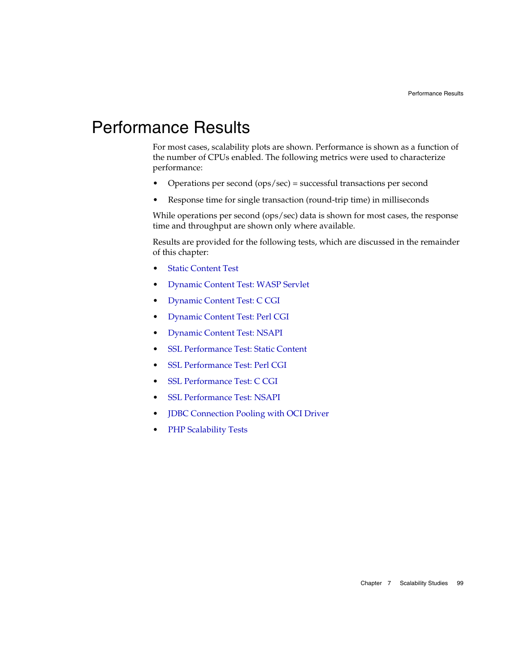### <span id="page-98-0"></span>Performance Results

For most cases, scalability plots are shown. Performance is shown as a function of the number of CPUs enabled. The following metrics were used to characterize performance:

- Operations per second (ops/sec) = successful transactions per second
- Response time for single transaction (round-trip time) in milliseconds

While operations per second (ops/sec) data is shown for most cases, the response time and throughput are shown only where available.

Results are provided for the following tests, which are discussed in the remainder of this chapter:

- [Static Content Test](#page-99-0)
- [Dynamic Content Test: WASP Servlet](#page-100-0)
- [Dynamic Content Test: C CGI](#page-101-0)
- [Dynamic Content Test: Perl CGI](#page-102-0)
- [Dynamic Content Test: NSAPI](#page-103-0)
- [SSL Performance Test: Static Content](#page-104-0)
- [SSL Performance Test: Perl CGI](#page-105-0)
- [SSL Performance Test: C CGI](#page-106-0)
- [SSL Performance Test: NSAPI](#page-108-0)
- [JDBC Connection Pooling with OCI Driver](#page-109-0)
- [PHP Scalability Tests](#page-111-0)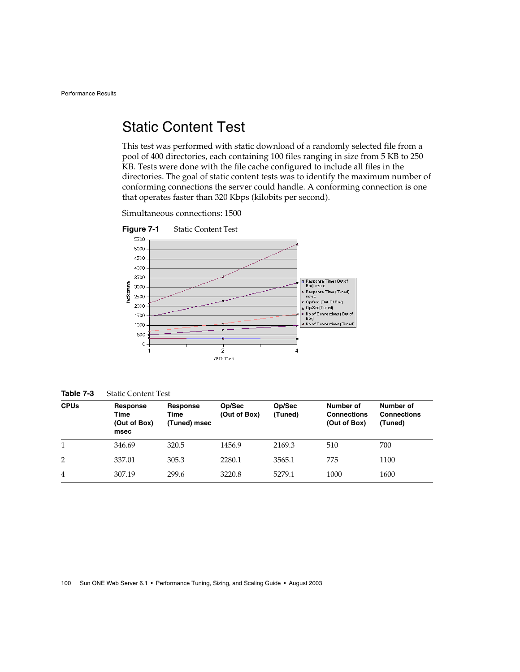#### <span id="page-99-0"></span>Static Content Test

This test was performed with static download of a randomly selected file from a pool of 400 directories, each containing 100 files ranging in size from 5 KB to 250 KB. Tests were done with the file cache configured to include all files in the directories. The goal of static content tests was to identify the maximum number of conforming connections the server could handle. A conforming connection is one that operates faster than 320 Kbps (kilobits per second).

Simultaneous connections: 1500



**Table 7-3** Static Content Test

| <b>CPUs</b> | Response<br>Time<br>(Out of Box)<br>msec | Response<br>Time<br>(Tuned) msec | Op/Sec<br>(Out of Box) | Op/Sec<br>(Tuned) | Number of<br><b>Connections</b><br>(Out of Box) | Number of<br><b>Connections</b><br>(Tuned) |
|-------------|------------------------------------------|----------------------------------|------------------------|-------------------|-------------------------------------------------|--------------------------------------------|
|             | 346.69                                   | 320.5                            | 1456.9                 | 2169.3            | 510                                             | 700                                        |
| 2           | 337.01                                   | 305.3                            | 2280.1                 | 3565.1            | 775                                             | 1100                                       |
| 4           | 307.19                                   | 299.6                            | 3220.8                 | 5279.1            | 1000                                            | 1600                                       |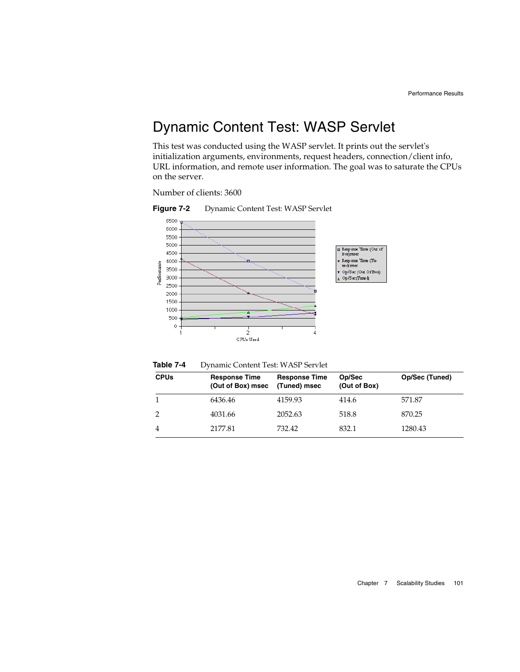#### <span id="page-100-0"></span>Dynamic Content Test: WASP Servlet

This test was conducted using the WASP servlet. It prints out the servlet's initialization arguments, environments, request headers, connection/client info, URL information, and remote user information. The goal was to saturate the CPUs on the server.



**Figure 7-2** Dynamic Content Test: WASP Servlet

|  | Table 7-4 | Dynamic Content Test: WASP Servlet |  |  |  |  |
|--|-----------|------------------------------------|--|--|--|--|
|--|-----------|------------------------------------|--|--|--|--|

| <b>CPUs</b> | <b>Response Time</b><br>(Out of Box) msec | <b>Response Time</b><br>(Tuned) msec | Op/Sec<br>(Out of Box) | Op/Sec (Tuned) |
|-------------|-------------------------------------------|--------------------------------------|------------------------|----------------|
|             | 6436.46                                   | 4159.93                              | 414.6                  | 571.87         |
|             | 4031.66                                   | 2052.63                              | 518.8                  | 870.25         |
|             | 2177.81                                   | 732.42                               | 832.1                  | 1280.43        |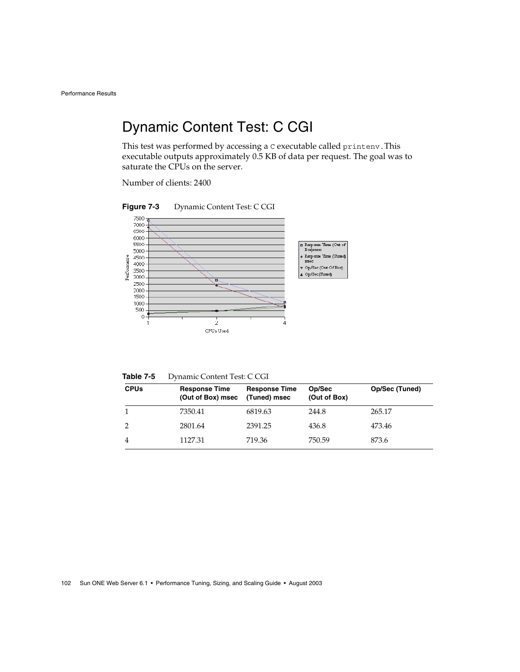### <span id="page-101-0"></span>Dynamic Content Test: C CGI

This test was performed by accessing a C executable called printenv.This executable outputs approximately 0.5 KB of data per request. The goal was to saturate the CPUs on the server.



**Figure 7-3** Dynamic Content Test: C CGI

| Table 7-5 | Dynamic Content Test: C CGI |  |
|-----------|-----------------------------|--|
|-----------|-----------------------------|--|

| <b>CPUs</b>    | <b>Response Time</b><br>(Out of Box) msec | <b>Response Time</b><br>(Tuned) msec | Op/Sec<br>(Out of Box) | Op/Sec (Tuned) |
|----------------|-------------------------------------------|--------------------------------------|------------------------|----------------|
|                | 7350.41                                   | 6819.63                              | 244.8                  | 265.17         |
| 2              | 2801.64                                   | 2391.25                              | 436.8                  | 473.46         |
| $\overline{4}$ | 1127.31                                   | 719.36                               | 750.59                 | 873.6          |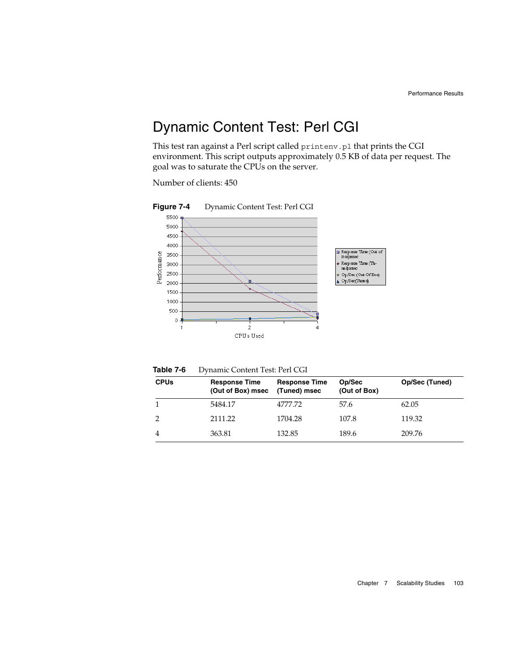#### <span id="page-102-0"></span>Dynamic Content Test: Perl CGI

This test ran against a Perl script called printenv.pl that prints the CGI environment. This script outputs approximately 0.5 KB of data per request. The goal was to saturate the CPUs on the server.



**Figure 7-4** Dynamic Content Test: Perl CGI

**Table 7-6** Dynamic Content Test: Perl CGI

| <b>CPUs</b> | <b>Response Time</b><br>(Out of Box) msec | <b>Response Time</b><br>(Tuned) msec | Op/Sec<br>(Out of Box) | Op/Sec (Tuned) |
|-------------|-------------------------------------------|--------------------------------------|------------------------|----------------|
|             | 5484.17                                   | 4777.72                              | 57.6                   | 62.05          |
|             | 2111.22                                   | 1704.28                              | 107.8                  | 119.32         |
| 4           | 363.81                                    | 132.85                               | 189.6                  | 209.76         |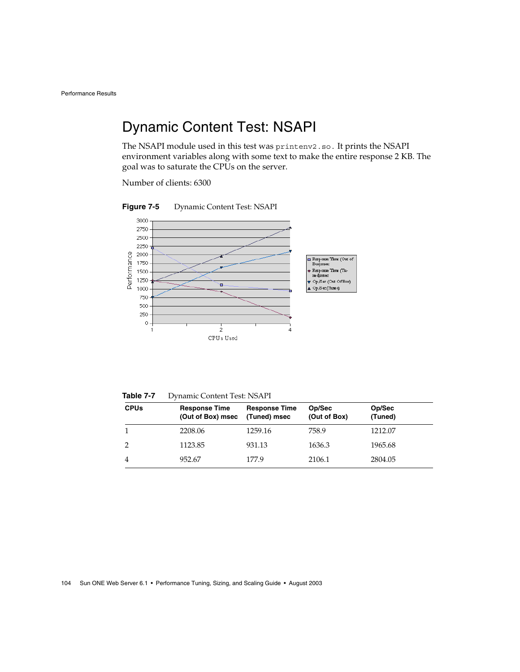### <span id="page-103-0"></span>Dynamic Content Test: NSAPI

The NSAPI module used in this test was printenv2.so. It prints the NSAPI environment variables along with some text to make the entire response 2 KB. The goal was to saturate the CPUs on the server.



**Figure 7-5** Dynamic Content Test: NSAPI

**Table 7-7** Dynamic Content Test: NSAPI

| <b>CPUs</b>    | <b>Response Time</b><br>(Out of Box) msec | <b>Response Time</b><br>(Tuned) msec | Op/Sec<br>(Out of Box) | Op/Sec<br>(Tuned) |
|----------------|-------------------------------------------|--------------------------------------|------------------------|-------------------|
| 1              | 2208.06                                   | 1259.16                              | 758.9                  | 1212.07           |
| 2              | 1123.85                                   | 931.13                               | 1636.3                 | 1965.68           |
| $\overline{4}$ | 952.67                                    | 177.9                                | 2106.1                 | 2804.05           |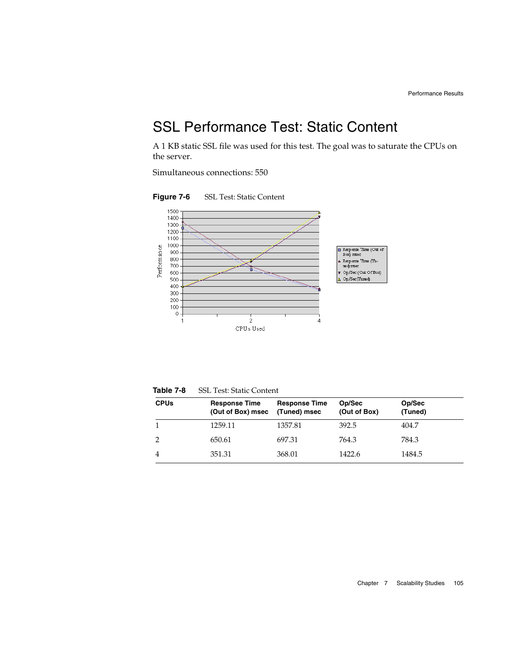#### <span id="page-104-0"></span>SSL Performance Test: Static Content

A 1 KB static SSL file was used for this test. The goal was to saturate the CPUs on the server.

Simultaneous connections: 550



**Figure 7-6** SSL Test: Static Content

Table 7-8 SSL Test: Static Content

| <b>CPUs</b> | <b>Response Time</b><br>(Out of Box) msec | <b>Response Time</b><br>(Tuned) msec | Op/Sec<br>(Out of Box) | Op/Sec<br>(Tuned) |
|-------------|-------------------------------------------|--------------------------------------|------------------------|-------------------|
|             | 1259.11                                   | 1357.81                              | 392.5                  | 404.7             |
|             | 650.61                                    | 697.31                               | 764.3                  | 784.3             |
|             | 351.31                                    | 368.01                               | 1422.6                 | 1484.5            |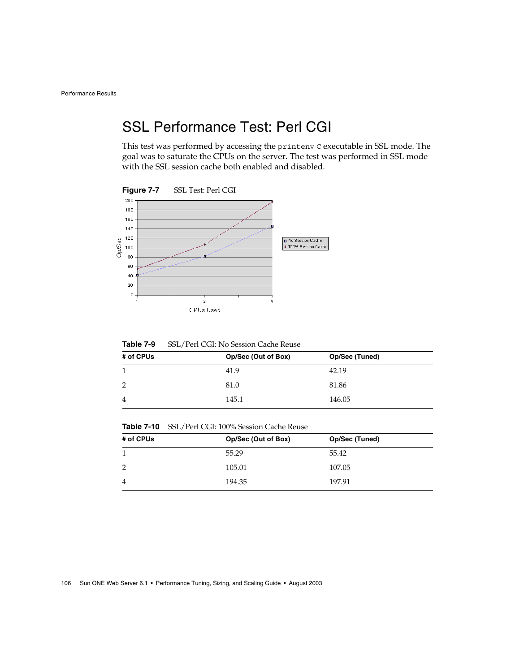#### <span id="page-105-0"></span>SSL Performance Test: Perl CGI

This test was performed by accessing the printenv C executable in SSL mode. The goal was to saturate the CPUs on the server. The test was performed in SSL mode with the SSL session cache both enabled and disabled.



| # of CPUs      | Op/Sec (Out of Box) | Op/Sec (Tuned) |  |
|----------------|---------------------|----------------|--|
|                | 41.9                | 42.19          |  |
| 2              | 81.0                | 81.86          |  |
| $\overline{4}$ | 145.1               | 146.05         |  |

**Table 7-10** SSL/Perl CGI: 100% Session Cache Reuse

| # of CPUs      | Op/Sec (Out of Box) | Op/Sec (Tuned) |
|----------------|---------------------|----------------|
|                | 55.29               | 55.42          |
| 2              | 105.01              | 107.05         |
| $\overline{4}$ | 194.35              | 197.91         |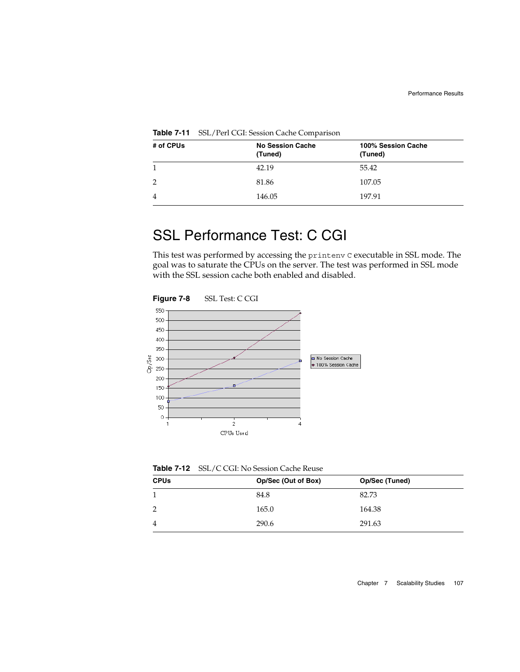| # of CPUs      | <b>No Session Cache</b><br>(Tuned) | 100% Session Cache<br>(Tuned) |  |
|----------------|------------------------------------|-------------------------------|--|
|                | 42.19                              | 55.42                         |  |
| $\overline{2}$ | 81.86                              | 107.05                        |  |
| $\overline{4}$ | 146.05                             | 197.91                        |  |

**Table 7-11** SSL/Perl CGI: Session Cache Comparison

#### <span id="page-106-0"></span>SSL Performance Test: C CGI

This test was performed by accessing the printenv C executable in SSL mode. The goal was to saturate the CPUs on the server. The test was performed in SSL mode with the SSL session cache both enabled and disabled.



**Figure 7-8** SSL Test: C CGI



| <b>CPUs</b> | Op/Sec (Out of Box) | Op/Sec (Tuned) |
|-------------|---------------------|----------------|
|             | 84.8                | 82.73          |
| 2           | 165.0               | 164.38         |
| 4           | 290.6               | 291.63         |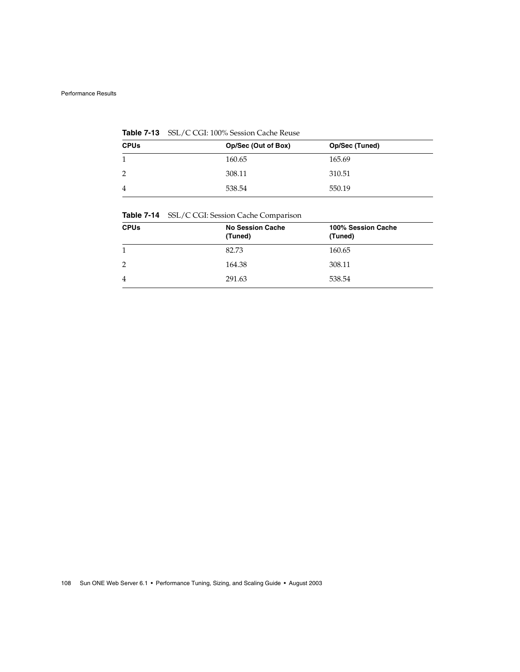| <b>CPUs</b>    | Op/Sec (Out of Box) | Op/Sec (Tuned) |  |
|----------------|---------------------|----------------|--|
|                | 160.65              | 165.69         |  |
| 2              | 308.11              | 310.51         |  |
| $\overline{4}$ | 538.54              | 550.19         |  |

**Table 7-13** SSL/C CGI: 100% Session Cache Reuse

#### **Table 7-14** SSL/C CGI: Session Cache Comparison

| <b>CPUs</b> | <b>No Session Cache</b><br>(Tuned) | 100% Session Cache<br>(Tuned) |
|-------------|------------------------------------|-------------------------------|
| 1           | 82.73                              | 160.65                        |
| 2           | 164.38                             | 308.11                        |
| 4           | 291.63                             | 538.54                        |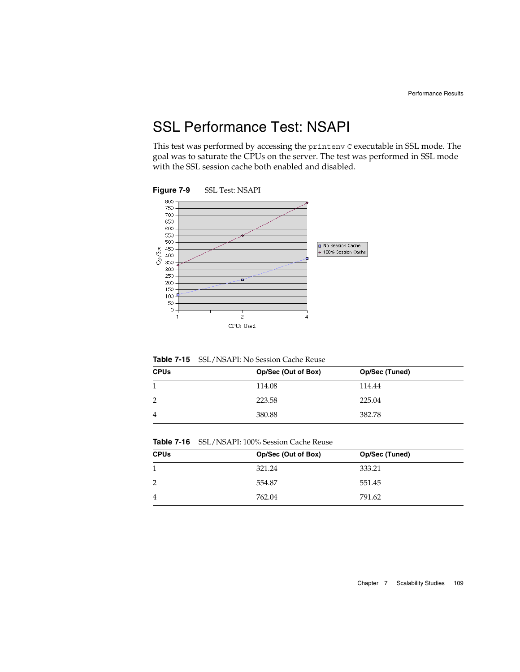## <span id="page-108-0"></span>SSL Performance Test: NSAPI

This test was performed by accessing the printenv C executable in SSL mode. The goal was to saturate the CPUs on the server. The test was performed in SSL mode with the SSL session cache both enabled and disabled.



**Table 7-15** SSL/NSAPI: No Session Cache Reuse

| <b>CPUs</b> | Op/Sec (Out of Box) | Op/Sec (Tuned) |
|-------------|---------------------|----------------|
|             | 114.08              | 114.44         |
|             | 223.58              | 225.04         |
| 4           | 380.88              | 382.78         |

**Table 7-16** SSL/NSAPI: 100% Session Cache Reuse

| <b>CPUs</b>    | Op/Sec (Out of Box) | Op/Sec (Tuned) |  |
|----------------|---------------------|----------------|--|
|                | 321.24              | 333.21         |  |
| $\overline{2}$ | 554.87              | 551.45         |  |
| $\overline{4}$ | 762.04              | 791.62         |  |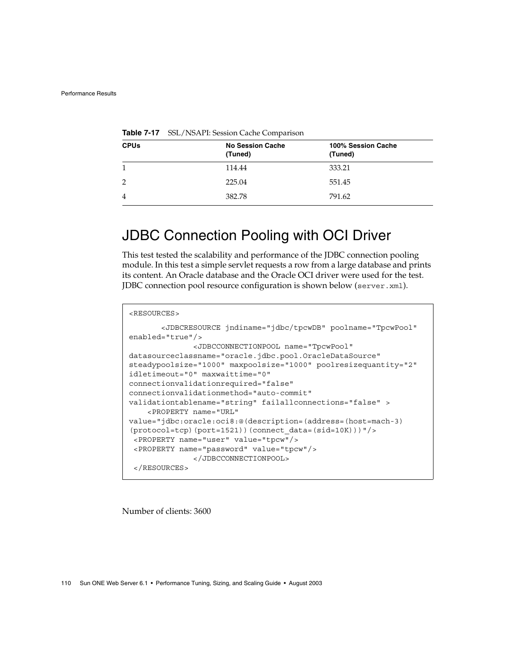| <b>CPUs</b>    | <b>No Session Cache</b><br>(Tuned) | 100% Session Cache<br>(Tuned) |  |
|----------------|------------------------------------|-------------------------------|--|
| 1              | 114.44                             | 333.21                        |  |
| 2              | 225.04                             | 551.45                        |  |
| $\overline{4}$ | 382.78                             | 791.62                        |  |

**Table 7-17** SSL/NSAPI: Session Cache Comparison

# JDBC Connection Pooling with OCI Driver

This test tested the scalability and performance of the JDBC connection pooling module. In this test a simple servlet requests a row from a large database and prints its content. An Oracle database and the Oracle OCI driver were used for the test. JDBC connection pool resource configuration is shown below (server.xml).

```
<RESOURCES>
       <JDBCRESOURCE jndiname="jdbc/tpcwDB" poolname="TpcwPool" 
enabled="true"/>
              <JDBCCONNECTIONPOOL name="TpcwPool" 
datasourceclassname="oracle.jdbc.pool.OracleDataSource"
steadypoolsize="1000" maxpoolsize="1000" poolresizequantity="2"
idletimeout="0" maxwaittime="0" 
connectionvalidationrequired="false"
connectionvalidationmethod="auto-commit" 
validationtablename="string" failallconnections="false" >
    <PROPERTY name="URL" 
value="jdbc:oracle:oci8:@(description=(address=(host=mach-3)
(protocol=tcp)(port=1521))(connect_data=(sid=10K)))"/>
<PROPERTY name="user" value="tpcw"/>
 <PROPERTY name="password" value="tpcw"/>
              </JDBCCONNECTIONPOOL>
 </RESOURCES>
```
Number of clients: 3600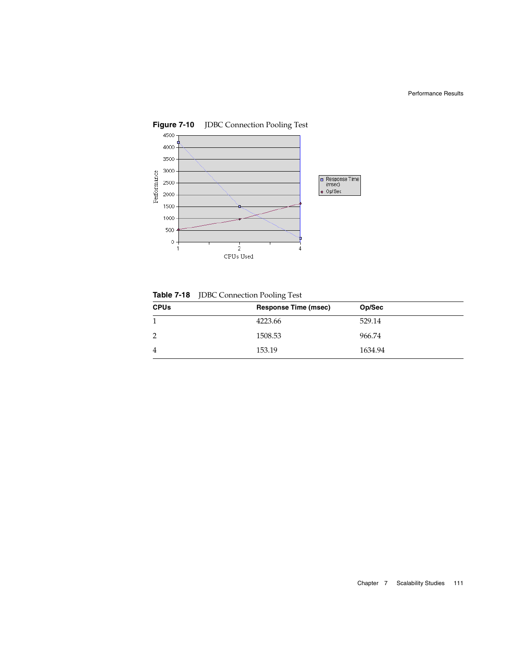

**Figure 7-10** JDBC Connection Pooling Test

**Table 7-18** JDBC Connection Pooling Test

| <b>CPUs</b>    | <b>Response Time (msec)</b> | Op/Sec  |
|----------------|-----------------------------|---------|
| 1              | 4223.66                     | 529.14  |
| 2              | 1508.53                     | 966.74  |
| $\overline{4}$ | 153.19                      | 1634.94 |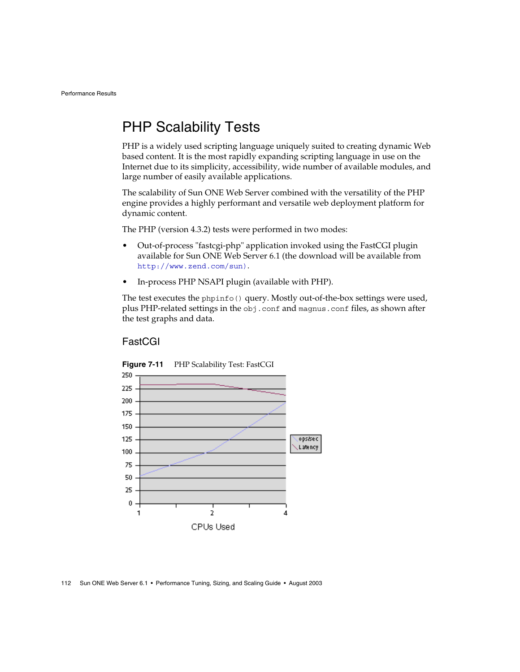# <span id="page-111-0"></span>PHP Scalability Tests

PHP is a widely used scripting language uniquely suited to creating dynamic Web based content. It is the most rapidly expanding scripting language in use on the Internet due to its simplicity, accessibility, wide number of available modules, and large number of easily available applications.

The scalability of Sun ONE Web Server combined with the versatility of the PHP engine provides a highly performant and versatile web deployment platform for dynamic content.

The PHP (version 4.3.2) tests were performed in two modes:

- Out-of-process "fastcgi-php" application invoked using the FastCGI plugin available for Sun ONE Web Server 6.1 (the download will be available from <http://www.zend.com/sun>).
- In-process PHP NSAPI plugin (available with PHP).

The test executes the phpinfo() query. Mostly out-of-the-box settings were used, plus PHP-related settings in the obj.conf and magnus.conf files, as shown after the test graphs and data.

#### FastCGI



**Figure 7-11** PHP Scalability Test: FastCGI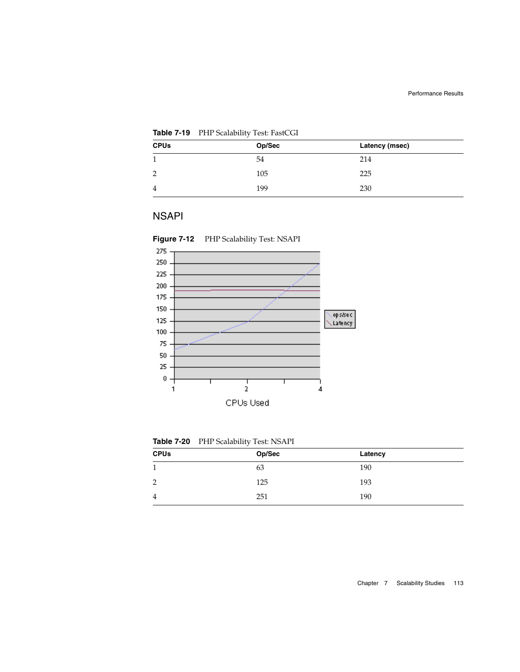| <b>CPUs</b> | Op/Sec | Latency (msec) |  |
|-------------|--------|----------------|--|
|             | 54     | 214            |  |
|             | 105    | 225            |  |
|             | 199    | 230            |  |

Table 7-19 PHP Scalability Test: FastCGI

#### **NSAPI**



**Figure 7-12** PHP Scalability Test: NSAPI

**Table 7-20** PHP Scalability Test: NSAPI

| <b>CPUs</b> | Op/Sec | Latency |
|-------------|--------|---------|
|             | 63     | 190     |
| っ           | 125    | 193     |
| 4           | 251    | 190     |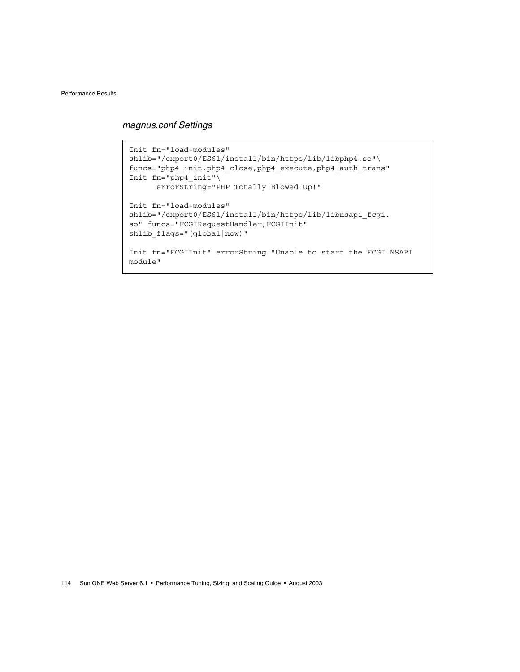#### *magnus.conf Settings*

```
Init fn="load-modules"
shlib="/export0/ES61/install/bin/https/lib/libphp4.so"\
funcs="php4_init,php4_close,php4_execute,php4_auth_trans"
Init fn="php4_init"\
      errorString="PHP Totally Blowed Up!"
Init fn="load-modules"
shlib="/export0/ES61/install/bin/https/lib/libnsapi_fcgi.
so" funcs="FCGIRequestHandler,FCGIInit" 
shlib_flags="(global|now)"
Init fn="FCGIInit" errorString "Unable to start the FCGI NSAPI 
module"
```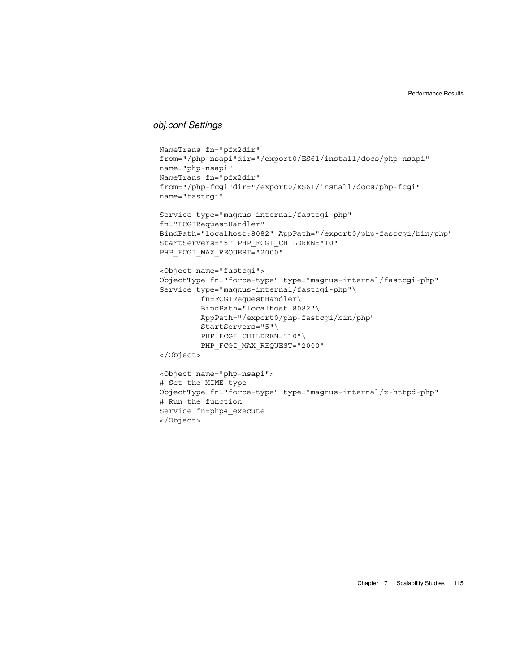#### *obj.conf Settings*

```
NameTrans fn="pfx2dir" 
from="/php-nsapi"dir="/export0/ES61/install/docs/php-nsapi" 
name="php-nsapi"
NameTrans fn="pfx2dir"
from="/php-fcgi"dir="/export0/ES61/install/docs/php-fcgi" 
name="fastcgi"
Service type="magnus-internal/fastcgi-php" 
fn="FCGIRequestHandler"
BindPath="localhost:8082" AppPath="/export0/php-fastcgi/bin/php"
StartServers="5" PHP_FCGI_CHILDREN="10" 
PHP_FCGI_MAX_REQUEST="2000"
<Object name="fastcgi">
ObjectType fn="force-type" type="magnus-internal/fastcgi-php"
Service type="magnus-internal/fastcgi-php"\
         fn=FCGIRequestHandler\
         BindPath="localhost:8082"\
         AppPath="/export0/php-fastcgi/bin/php"
         StartServers="5"\
         PHP_FCGI_CHILDREN="10"\
         PHP_FCGI_MAX_REQUEST="2000"
</Object>
<Object name="php-nsapi">
# Set the MIME type
ObjectType fn="force-type" type="magnus-internal/x-httpd-php"
# Run the function
Service fn=php4_execute
</Object>
```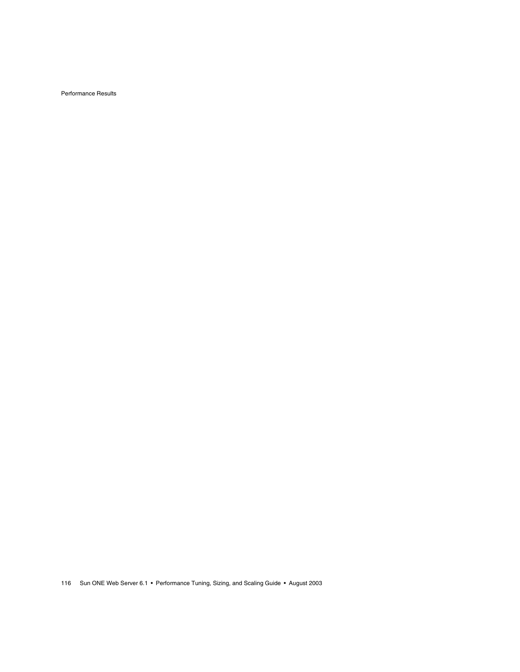Performance Results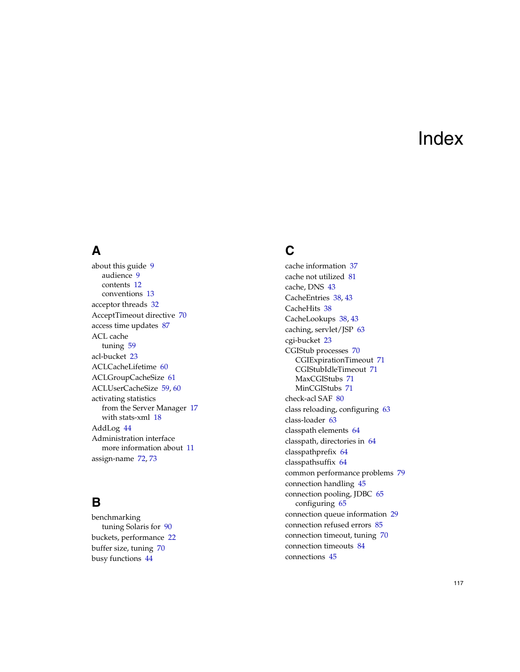# Index

#### **A**

about this guide [9](#page-8-0) audience [9](#page-8-1) contents [12](#page-11-0) conventions [13](#page-12-0) acceptor threads [32](#page-31-0) AcceptTimeout directive [70](#page-69-0) access time updates [87](#page-86-0) ACL cache tuning [59](#page-58-0) acl-bucket [23](#page-22-0) ACLCacheLifetime [60](#page-59-0) ACLGroupCacheSize [61](#page-60-0) ACLUserCacheSize [59,](#page-58-1) [60](#page-59-1) activating statistics from the Server Manager [17](#page-16-0) with stats-xml [18](#page-17-0) AddLog [44](#page-43-0) Administration interface more information about [11](#page-10-0) assign-name [72](#page-71-0), [73](#page-72-0)

### **B**

benchmarking tuning Solaris for [90](#page-89-0) buckets, performance [22](#page-21-0) buffer size, tuning [70](#page-69-1) busy functions [44](#page-43-1)

### **C**

cache information [37](#page-36-0) cache not utilized [81](#page-80-0) cache, DNS [43](#page-42-0) CacheEntries [38,](#page-37-0) [43](#page-42-1) CacheHits [38](#page-37-1) CacheLookups [38,](#page-37-2) [43](#page-42-2) caching, servlet/JSP [63](#page-62-0) cgi-bucket [23](#page-22-1) CGIStub processes [70](#page-69-2) CGIExpirationTimeout [71](#page-70-0) CGIStubIdleTimeout [71](#page-70-1) MaxCGIStubs [71](#page-70-2) MinCGIStubs [71](#page-70-3) check-acl SAF [80](#page-79-0) class reloading, configuring [63](#page-62-1) class-loader [63](#page-62-2) classpath elements [64](#page-63-0) classpath, directories in [64](#page-63-1) classpathprefix [64](#page-63-2) classpathsuffix [64](#page-63-3) common performance problems [79](#page-78-0) connection handling [45](#page-44-0) connection pooling, JDBC [65](#page-64-0) configuring [65](#page-64-1) connection queue information [29](#page-28-0) connection refused errors [85](#page-84-0) connection timeout, tuning [70](#page-69-3) connection timeouts [84](#page-83-0) connections [45](#page-44-1)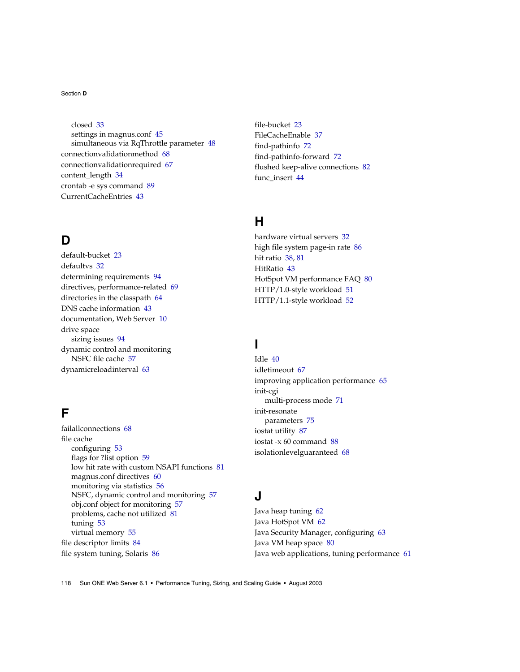closed [33](#page-32-0) settings in magnus.conf [45](#page-44-2) simultaneous via RqThrottle parameter [48](#page-47-0) connectionvalidationmethod [68](#page-67-0) connectionvalidationrequired [67](#page-66-0) content\_length [34](#page-33-0) crontab -e sys command [89](#page-88-0) CurrentCacheEntries [43](#page-42-3)

#### **D**

default-bucket [23](#page-22-2) defaultvs [32](#page-31-1) determining requirements [94](#page-93-0) directives, performance-related [69](#page-68-0) directories in the classpath [64](#page-63-1) DNS cache information [43](#page-42-4) documentation, Web Server [10](#page-9-0) drive space sizing issues [94](#page-93-1) dynamic control and monitoring NSFC file cache [57](#page-56-0) dynamicreloadinterval [63](#page-62-3)

### **F**

failallconnections [68](#page-67-1) file cache configuring [53](#page-52-0) flags for ?list option [59](#page-58-2) low hit rate with custom NSAPI functions [81](#page-80-1) magnus.conf directives [60](#page-59-2) monitoring via statistics [56](#page-55-0) NSFC, dynamic control and monitoring [57](#page-56-0) obj.conf object for monitoring [57](#page-56-1) problems, cache not utilized [81](#page-80-2) tuning [53](#page-52-1) virtual memory [55](#page-54-0) file descriptor limits [84](#page-83-1) file system tuning, Solaris [86](#page-85-0)

file-bucket [23](#page-22-3) FileCacheEnable [37](#page-36-1) find-pathinfo [72](#page-71-1) find-pathinfo-forward [72](#page-71-2) flushed keep-alive connections [82](#page-81-0) func insert [44](#page-43-2)

### **H**

hardware virtual servers [32](#page-31-2) high file system page-in rate [86](#page-85-1) hit ratio [38](#page-37-3), [81](#page-80-3) HitRatio [43](#page-42-5) HotSpot VM performance FAQ [80](#page-79-1) HTTP/1.0-style workload [51](#page-50-0) HTTP/1.1-style workload [52](#page-51-0)

### **I**

Idle [40](#page-39-0) idletimeout [67](#page-66-1) improving application performance [65](#page-64-2) init-cgi multi-process mode [71](#page-70-4) init-resonate parameters [75](#page-74-0) iostat utility [87](#page-86-1) iostat -x 60 command [88](#page-87-0) isolationlevelguaranteed [68](#page-67-2)

#### **J**

Java heap tuning [62](#page-61-0) Java HotSpot VM [62](#page-61-1) Java Security Manager, configuring [63](#page-62-4) Java VM heap space [80](#page-79-2) Java web applications, tuning performance [61](#page-60-1)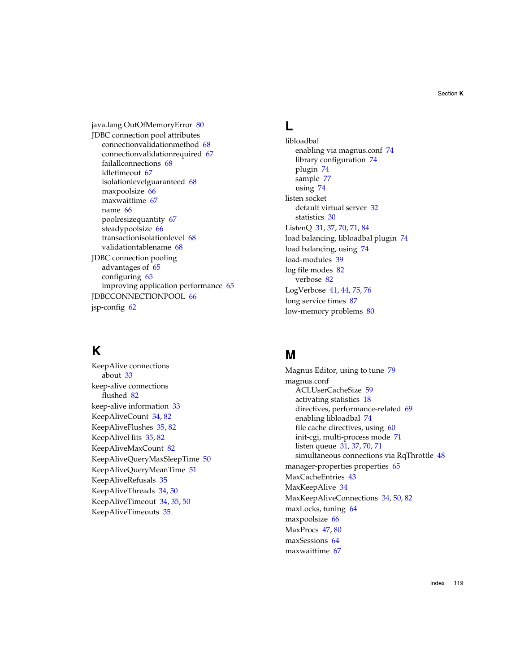java.lang.OutOfMemoryError [80](#page-79-3) JDBC connection pool attributes connectionvalidationmethod [68](#page-67-0) connectionvalidationrequired [67](#page-66-0) failallconnections [68](#page-67-1) idletimeout [67](#page-66-1) isolationlevelguaranteed [68](#page-67-2) maxpoolsize [66](#page-65-0) maxwaittime [67](#page-66-2) name [66](#page-65-1) poolresizequantity [67](#page-66-3) steadypoolsize [66](#page-65-2) transactionisolationlevel [68](#page-67-3) validationtablename [68](#page-67-4) JDBC connection pooling advantages of [65](#page-64-2) configuring [65](#page-64-0) improving application performance [65](#page-64-2) JDBCCONNECTIONPOOL [66](#page-65-3) jsp-config [62](#page-61-2)

### **K**

KeepAlive connections about [33](#page-32-1) keep-alive connections flushed [82](#page-81-1) keep-alive information [33](#page-32-2) KeepAliveCount [34,](#page-33-1) [82](#page-81-2) KeepAliveFlushes [35,](#page-34-0) [82](#page-81-3) KeepAliveHits [35](#page-34-1), [82](#page-81-4) KeepAliveMaxCount [82](#page-81-5) KeepAliveQueryMaxSleepTime [50](#page-49-0) KeepAliveQueryMeanTime [51](#page-50-1) KeepAliveRefusals [35](#page-34-2) KeepAliveThreads [34,](#page-33-2) [50](#page-49-1) KeepAliveTimeout [34](#page-33-3), [35,](#page-34-3) [50](#page-49-2) KeepAliveTimeouts [35](#page-34-4)

#### **L**

libloadbal enabling via magnus.conf [74](#page-73-0) library configuration [74](#page-73-1) plugin [74](#page-73-2) sample [77](#page-76-0) using [74](#page-73-3) listen socket default virtual server [32](#page-31-3) statistics [30](#page-29-0) ListenQ [31,](#page-30-0) [37](#page-36-2), [70,](#page-69-4) [71](#page-70-5), [84](#page-83-2) load balancing, libloadbal plugin [74](#page-73-2) load balancing, using [74](#page-73-4) load-modules [39](#page-38-0) log file modes [82](#page-81-6) verbose [82](#page-81-7) LogVerbose [41](#page-40-0), [44,](#page-43-3) [75](#page-74-1), [76](#page-75-0) long service times [87](#page-86-2) low-memory problems [80](#page-79-4)

### **M**

Magnus Editor, using to tune [79](#page-78-1) magnus.conf ACLUserCacheSize [59](#page-58-3) activating statistics [18](#page-17-1) directives, performance-related [69](#page-68-0) enabling libloadbal [74](#page-73-0) file cache directives, using [60](#page-59-2) init-cgi, multi-process mode [71](#page-70-4) listen queue [31,](#page-30-1) [37](#page-36-3), [70,](#page-69-5) [71](#page-70-6) simultaneous connections via RqThrottle [48](#page-47-0) manager-properties properties [65](#page-64-3) MaxCacheEntries [43](#page-42-6) MaxKeepAlive [34](#page-33-4) MaxKeepAliveConnections [34,](#page-33-5) [50](#page-49-3), [82](#page-81-8) maxLocks, tuning [64](#page-63-4) maxpoolsize [66](#page-65-0) MaxProcs [47,](#page-46-0)80 maxSessions [64](#page-63-5) maxwaittime [67](#page-66-2)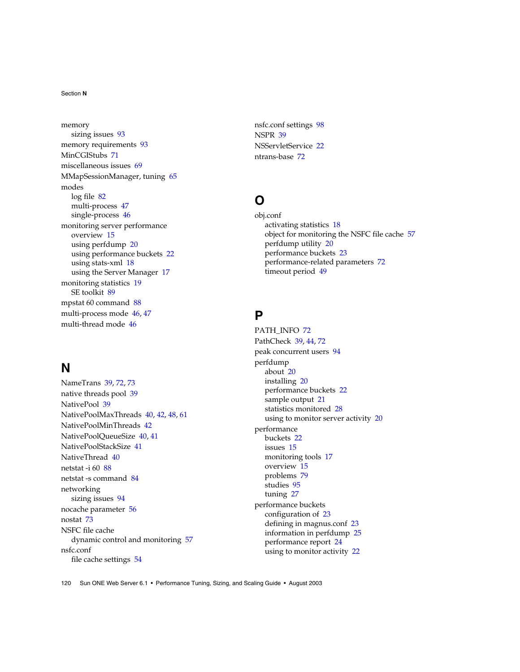memory sizing issues [93](#page-92-0) memory requirements [93](#page-92-0) MinCGIStubs [71](#page-70-3) miscellaneous issues [69](#page-68-1) MMapSessionManager, tuning [65](#page-64-4) modes log file [82](#page-81-6) multi-process [47](#page-46-1) single-process [46](#page-45-0) monitoring server performance overview [15](#page-14-0) using perfdump [20](#page-19-0) using performance buckets [22](#page-21-1) using stats-xml [18](#page-17-0) using the Server Manager [17](#page-16-1) monitoring statistics [19](#page-18-0) SE toolkit [89](#page-88-1) mpstat 60 command [88](#page-87-1) multi-process mode [46,](#page-45-1) [47](#page-46-1) multi-thread mode [46](#page-45-2)

# **N**

NameTrans [39](#page-38-1), [72,](#page-71-3) [73](#page-72-1) native threads pool [39](#page-38-2) NativePool [39](#page-38-3) NativePoolMaxThreads [40](#page-39-1), [42,](#page-41-0) [48](#page-47-1), [61](#page-60-2) NativePoolMinThreads [42](#page-41-1) NativePoolQueueSize [40,](#page-39-2) [41](#page-40-1) NativePoolStackSize [41](#page-40-2) NativeThread [40](#page-39-3) netstat -i 60 [88](#page-87-2) netstat -s command [84](#page-83-3) networking sizing issues [94](#page-93-2) nocache parameter [56](#page-55-1) nostat [73](#page-72-2) NSFC file cache dynamic control and monitoring [57](#page-56-0) nsfc.conf file cache settings [54](#page-53-0)

nsfc.conf settings [98](#page-97-0) NSPR [39](#page-38-4) NSServletService [22](#page-21-2) ntrans-base [72](#page-71-4)

# **O**

obj.conf activating statistics [18](#page-17-1) object for monitoring the NSFC file cache [57](#page-56-1) perfdump utility [20](#page-19-1) performance buckets [23](#page-22-4) performance-related parameters [72](#page-71-5) timeout period [49](#page-48-0)

### **P**

PATH\_INFO [72](#page-71-6) PathCheck [39](#page-38-5), [44,](#page-43-4) [72](#page-71-7) peak concurrent users [94](#page-93-3) perfdump about [20](#page-19-0) installing [20](#page-19-2) performance buckets [22](#page-21-3) sample output [21](#page-20-0) statistics monitored [28](#page-27-0) using to monitor server activity [20](#page-19-0) performance buckets [22](#page-21-0) issues [15](#page-14-1) monitoring tools [17](#page-16-2) overview [15](#page-14-2) problems [79](#page-78-2) studies [95](#page-94-0) tuning [27](#page-26-0) performance buckets configuration of [23](#page-22-5) defining in magnus.conf [23](#page-22-6) information in perfdump [25](#page-24-0) performance report [24](#page-23-0) using to monitor activity [22](#page-21-0)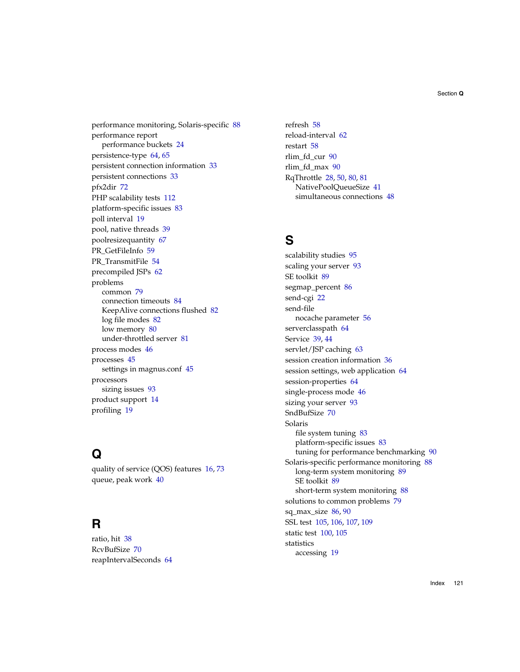performance monitoring, Solaris-specific [88](#page-87-3) performance report performance buckets [24](#page-23-0) persistence-type [64](#page-63-6), [65](#page-64-5) persistent connection information [33](#page-32-2) persistent connections [33](#page-32-3) pfx2dir [72](#page-71-8) PHP scalability tests [112](#page-111-0) platform-specific issues [83](#page-82-0) poll interval [19](#page-18-1) pool, native threads [39](#page-38-2) poolresizequantity [67](#page-66-3) PR\_GetFileInfo [59](#page-58-4) PR\_TransmitFile [54](#page-53-1) precompiled JSPs [62](#page-61-3) problems common [79](#page-78-2) connection timeouts [84](#page-83-0) KeepAlive connections flushed [82](#page-81-9) log file modes [82](#page-81-7) low memory [80](#page-79-4) under-throttled server [81](#page-80-4) process modes [46](#page-45-1) processes [45](#page-44-1) settings in magnus.conf [45](#page-44-2) processors sizing issues [93](#page-92-1) product support [14](#page-13-0) profiling [19](#page-18-2)

### **Q**

quality of service (QOS) features [16,](#page-15-0) [73](#page-72-3) queue, peak work [40](#page-39-4)

### **R**

ratio, hit [38](#page-37-4) RcvBufSize [70](#page-69-6) reapIntervalSeconds [64](#page-63-7) refresh [58](#page-57-0) reload-interval [62](#page-61-4) restart [58](#page-57-1) rlim\_fd\_cur [90](#page-89-1) rlim\_fd\_max [90](#page-89-2) RqThrottle [28,](#page-27-1) [50,](#page-49-4) [80](#page-79-6), [81](#page-80-5) NativePoolQueueSize [41](#page-40-3) simultaneous connections [48](#page-47-0)

### **S**

scalability studies [95](#page-94-0) scaling your server [93](#page-92-2) SE toolkit [89](#page-88-2) segmap\_percent [86](#page-85-2) send-cgi [22](#page-21-4) send-file nocache parameter [56](#page-55-2) serverclasspath [64](#page-63-8) Service [39](#page-38-6), [44](#page-43-5) servlet/JSP caching [63](#page-62-0) session creation information [36](#page-35-0) session settings, web application [64](#page-63-9) session-properties [64](#page-63-10) single-process mode [46](#page-45-0) sizing your server [93](#page-92-2) SndBufSize [70](#page-69-7) Solaris file system tuning [83](#page-82-1) platform-specific issues [83](#page-82-1) tuning for performance benchmarking [90](#page-89-0) Solaris-specific performance monitoring [88](#page-87-3) long-term system monitoring [89](#page-88-3) SE toolkit [89](#page-88-2) short-term system monitoring [88](#page-87-4) solutions to common problems [79](#page-78-0) sq\_max\_size [86,](#page-85-3) [90](#page-89-3) SSL test [105](#page-104-0), [106](#page-105-0), [107](#page-106-0), [109](#page-108-0) static test [100,](#page-99-0) [105](#page-104-1) statistics accessing [19](#page-18-3)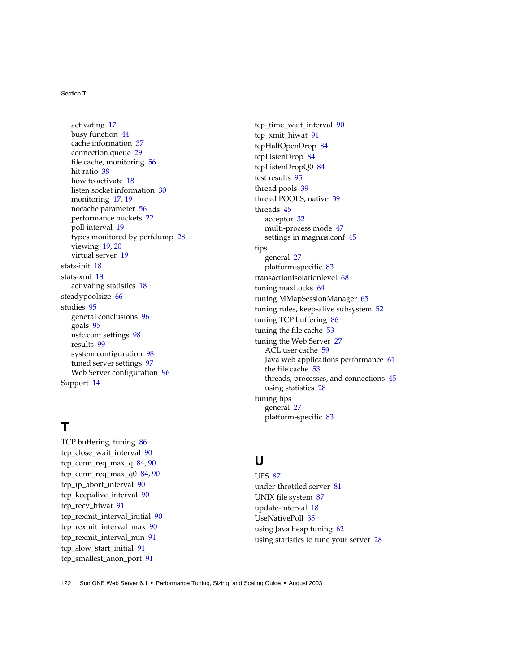activating [17](#page-16-3) busy function [44](#page-43-6) cache information [37](#page-36-4) connection queue [29](#page-28-1) file cache, monitoring [56](#page-55-0) hit ratio [38](#page-37-4) how to activate [18](#page-17-2) listen socket information [30](#page-29-0) monitoring [17](#page-16-4), [19](#page-18-0) nocache parameter [56](#page-55-1) performance buckets [22](#page-21-0) poll interval [19](#page-18-1) types monitored by perfdump [28](#page-27-2) viewing [19,](#page-18-0) [20](#page-19-3) virtual server [19](#page-18-4) stats-init [18](#page-17-3) stats-xml [18](#page-17-4) activating statistics [18](#page-17-0) steadypoolsize [66](#page-65-2) studies [95](#page-94-0) general conclusions [96](#page-95-0) goals [95](#page-94-1) nsfc.conf settings [98](#page-97-0) results [99](#page-98-0) system configuration [98](#page-97-1) tuned server settings [97](#page-96-0) Web Server configuration [96](#page-95-1) Support [14](#page-13-0)

### **T**

TCP buffering, tuning [86](#page-85-4) tcp\_close\_wait\_interval [90](#page-89-4) tcp\_conn\_req\_max\_q [84](#page-83-4), [90](#page-89-5) tcp\_conn\_req\_max\_q0 [84,](#page-83-5) [90](#page-89-6) tcp\_ip\_abort\_interval [90](#page-89-7) tcp\_keepalive\_interval [90](#page-89-8) tcp\_recv\_hiwat [91](#page-90-0) tcp\_rexmit\_interval\_initial [90](#page-89-9) tcp\_rexmit\_interval\_max [90](#page-89-10) tcp\_rexmit\_interval\_min [91](#page-90-1) tcp\_slow\_start\_initial [91](#page-90-2) tcp\_smallest\_anon\_port [91](#page-90-3)

tcp\_time\_wait\_interval [90](#page-89-11) tcp\_xmit\_hiwat [91](#page-90-4) tcpHalfOpenDrop [84](#page-83-6) tcpListenDrop [84](#page-83-7) tcpListenDropQ0 [84](#page-83-8) test results [95](#page-94-0) thread pools [39](#page-38-7) thread POOLS, native [39](#page-38-2) threads [45](#page-44-1) acceptor [32](#page-31-0) multi-process mode [47](#page-46-2) settings in magnus.conf [45](#page-44-2) tips general [27](#page-26-1) platform-specific [83](#page-82-0) transactionisolationlevel [68](#page-67-3) tuning maxLocks [64](#page-63-4) tuning MMapSessionManager [65](#page-64-6) tuning rules, keep-alive subsystem [52](#page-51-1) tuning TCP buffering [86](#page-85-4) tuning the file cache [53](#page-52-2) tuning the Web Server [27](#page-26-2) ACL user cache [59](#page-58-5) Java web applications performance [61](#page-60-3) the file cache [53](#page-52-3) threads, processes, and connections [45](#page-44-3) using statistics [28](#page-27-3) tuning tips general [27](#page-26-1) platform-specific [83](#page-82-2)

### **U**

UFS [87](#page-86-3) under-throttled server [81](#page-80-6) UNIX file system [87](#page-86-4) update-interval [18](#page-17-5) UseNativePoll [35](#page-34-5) using Java heap tuning [62](#page-61-0) using statistics to tune your server [28](#page-27-3)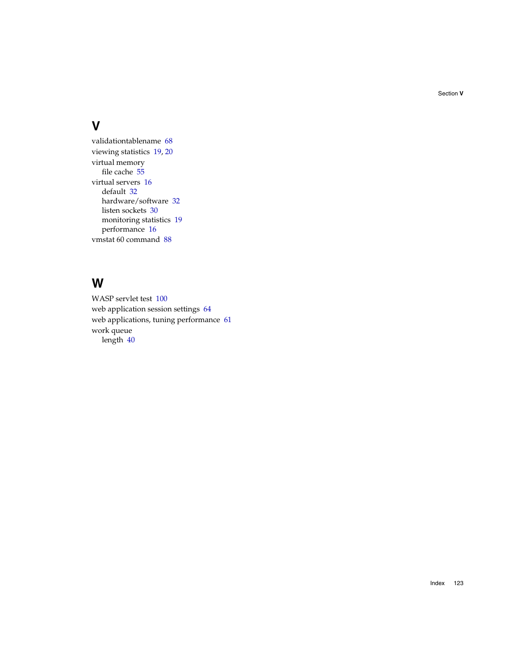### **V**

validationtablename [68](#page-67-4) viewing statistics [19,](#page-18-0) [20](#page-19-3) virtual memory file cache [55](#page-54-0) virtual servers [16](#page-15-1) default [32](#page-31-4) hardware/software [32](#page-31-2) listen sockets [30](#page-29-1) monitoring statistics [19](#page-18-4) performance [16](#page-15-2) vmstat 60 command [88](#page-87-5)

### **W**

WASP servlet test [100](#page-99-0) web application session settings [64](#page-63-9) web applications, tuning performance [61](#page-60-4) work queue length [40](#page-39-5)